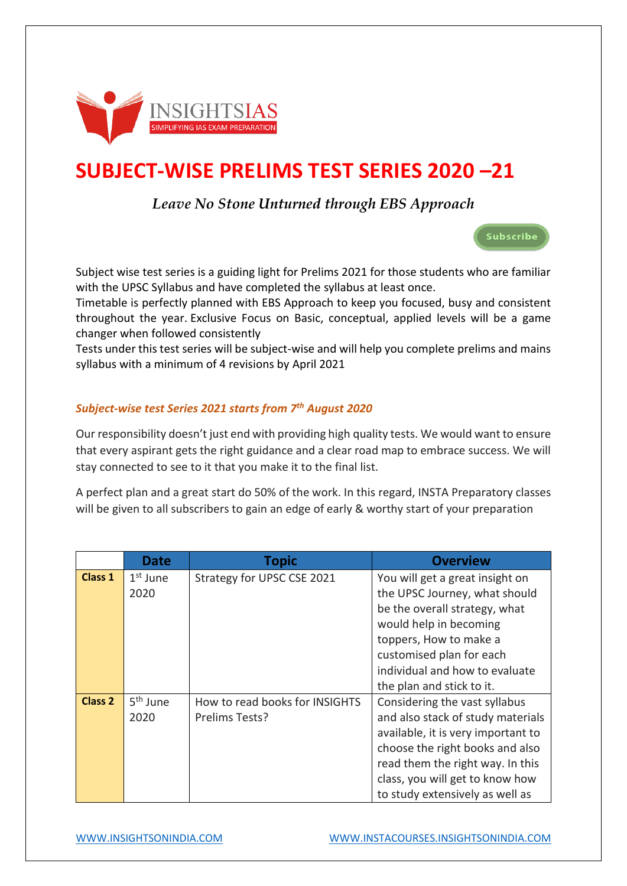

# **SUBJECT-WISE PRELIMS TEST SERIES 2020 –21**

*Leave No Stone Unturned through EBS Approach*

Subscribe

Subject wise test series is a guiding light for Prelims 2021 for those students who are familiar with the UPSC Syllabus and have completed the syllabus at least once.

Timetable is perfectly planned with EBS Approach to keep you focused, busy and consistent throughout the year. Exclusive Focus on Basic, conceptual, applied levels will be a game changer when followed consistently

Tests under this test series will be subject-wise and will help you complete prelims and mains syllabus with a minimum of 4 revisions by April 2021

# *Subject-wise test Series 2021 starts from 7 th August 2020*

Our responsibility doesn't just end with providing high quality tests. We would want to ensure that every aspirant gets the right guidance and a clear road map to embrace success. We will stay connected to see to it that you make it to the final list.

A perfect plan and a great start do 50% of the work. In this regard, INSTA Preparatory classes will be given to all subscribers to gain an edge of early & worthy start of your preparation

|                | <b>Date</b>          | <b>Topic</b>                   | <b>Overview</b>                    |
|----------------|----------------------|--------------------------------|------------------------------------|
| Class 1        | $1st$ June           | Strategy for UPSC CSE 2021     | You will get a great insight on    |
|                | 2020                 |                                | the UPSC Journey, what should      |
|                |                      |                                | be the overall strategy, what      |
|                |                      |                                | would help in becoming             |
|                |                      |                                | toppers, How to make a             |
|                |                      |                                | customised plan for each           |
|                |                      |                                | individual and how to evaluate     |
|                |                      |                                | the plan and stick to it.          |
| <b>Class 2</b> | 5 <sup>th</sup> June | How to read books for INSIGHTS | Considering the vast syllabus      |
|                | 2020                 | Prelims Tests?                 | and also stack of study materials  |
|                |                      |                                | available, it is very important to |
|                |                      |                                | choose the right books and also    |
|                |                      |                                | read them the right way. In this   |
|                |                      |                                | class, you will get to know how    |
|                |                      |                                | to study extensively as well as    |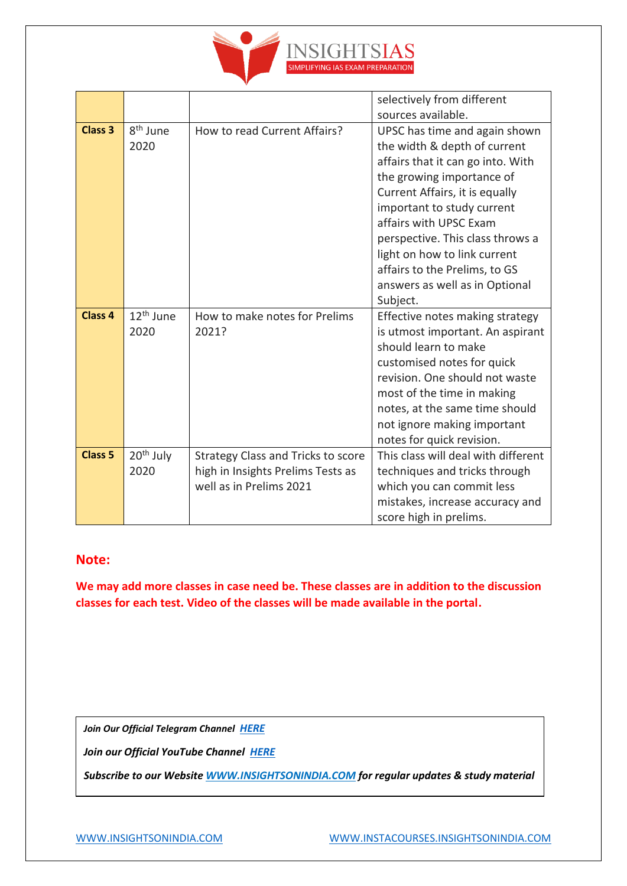

|                    |                       |                                           | selectively from different          |
|--------------------|-----------------------|-------------------------------------------|-------------------------------------|
|                    |                       |                                           | sources available.                  |
| Class 3            | 8 <sup>th</sup> June  | How to read Current Affairs?              | UPSC has time and again shown       |
|                    | 2020                  |                                           | the width & depth of current        |
|                    |                       |                                           | affairs that it can go into. With   |
|                    |                       |                                           | the growing importance of           |
|                    |                       |                                           | Current Affairs, it is equally      |
|                    |                       |                                           | important to study current          |
|                    |                       |                                           | affairs with UPSC Exam              |
|                    |                       |                                           | perspective. This class throws a    |
|                    |                       |                                           | light on how to link current        |
|                    |                       |                                           | affairs to the Prelims, to GS       |
|                    |                       |                                           | answers as well as in Optional      |
|                    |                       |                                           | Subject.                            |
|                    |                       |                                           |                                     |
| Class <sub>4</sub> | 12 <sup>th</sup> June | How to make notes for Prelims             | Effective notes making strategy     |
|                    | 2020                  | 2021?                                     | is utmost important. An aspirant    |
|                    |                       |                                           | should learn to make                |
|                    |                       |                                           | customised notes for quick          |
|                    |                       |                                           | revision. One should not waste      |
|                    |                       |                                           | most of the time in making          |
|                    |                       |                                           | notes, at the same time should      |
|                    |                       |                                           | not ignore making important         |
|                    |                       |                                           | notes for quick revision.           |
| <b>Class 5</b>     | 20 <sup>th</sup> July | <b>Strategy Class and Tricks to score</b> | This class will deal with different |
|                    | 2020                  | high in Insights Prelims Tests as         | techniques and tricks through       |
|                    |                       | well as in Prelims 2021                   | which you can commit less           |
|                    |                       |                                           | mistakes, increase accuracy and     |

# **Note:**

**We may add more classes in case need be. These classes are in addition to the discussion classes for each test. Video of the classes will be made available in the portal.**

*Join Our Official Telegram Channel [HERE](https://t.me/insightsIAStips)*

*Join our Official YouTube Channel [HERE](https://www.youtube.com/channel/UCpoccbCX9GEIwaiIe4HLjwA)*

*Subscribe to our Websit[e WWW.INSIGHTSONINDIA.COM](http://www.insightsonindia.com/) for regular updates & study material*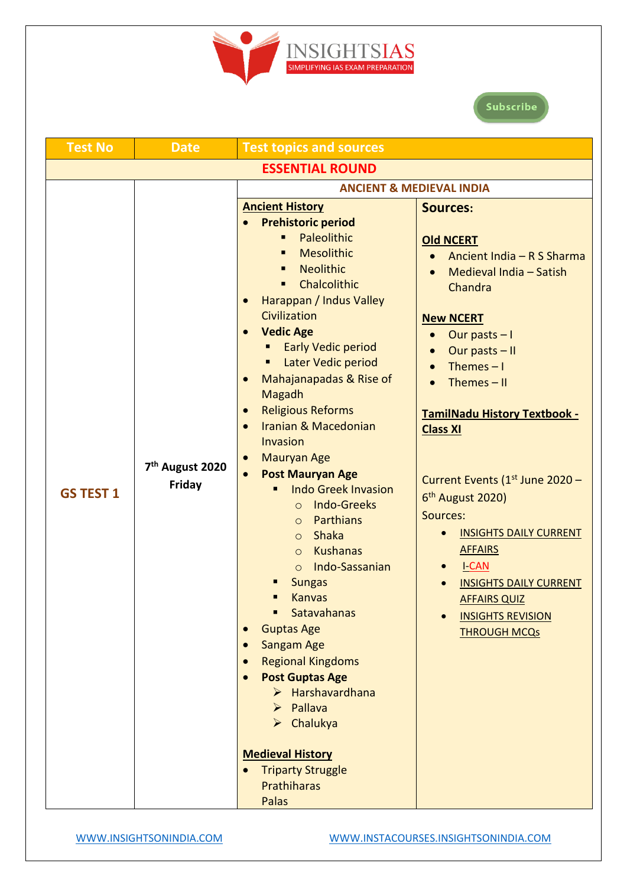



| <b>Test No</b>         | <b>Date</b>                                  | <b>Test topics and sources</b>                                                                                                                                                                                                                                                                                                                                                                                                                                                                                                                                                                                                                                                                                                                                                                                                                                                                                                                                     |                                                                                                                                                                                                                                                                                                                                                                                                                                                                                                                                                        |
|------------------------|----------------------------------------------|--------------------------------------------------------------------------------------------------------------------------------------------------------------------------------------------------------------------------------------------------------------------------------------------------------------------------------------------------------------------------------------------------------------------------------------------------------------------------------------------------------------------------------------------------------------------------------------------------------------------------------------------------------------------------------------------------------------------------------------------------------------------------------------------------------------------------------------------------------------------------------------------------------------------------------------------------------------------|--------------------------------------------------------------------------------------------------------------------------------------------------------------------------------------------------------------------------------------------------------------------------------------------------------------------------------------------------------------------------------------------------------------------------------------------------------------------------------------------------------------------------------------------------------|
| <b>ESSENTIAL ROUND</b> |                                              |                                                                                                                                                                                                                                                                                                                                                                                                                                                                                                                                                                                                                                                                                                                                                                                                                                                                                                                                                                    |                                                                                                                                                                                                                                                                                                                                                                                                                                                                                                                                                        |
|                        |                                              | <b>ANCIENT &amp; MEDIEVAL INDIA</b>                                                                                                                                                                                                                                                                                                                                                                                                                                                                                                                                                                                                                                                                                                                                                                                                                                                                                                                                |                                                                                                                                                                                                                                                                                                                                                                                                                                                                                                                                                        |
| <b>GS TEST 1</b>       | 7 <sup>th</sup> August 2020<br><b>Friday</b> | <b>Ancient History</b><br><b>Prehistoric period</b><br>Paleolithic<br>٠<br><b>Mesolithic</b><br>п<br><b>Neolithic</b><br>٠<br>Chalcolithic<br>Harappan / Indus Valley<br>Civilization<br><b>Vedic Age</b><br><b>Early Vedic period</b><br>Later Vedic period<br>Mahajanapadas & Rise of<br>Magadh<br><b>Religious Reforms</b><br>Iranian & Macedonian<br>$\bullet$<br><b>Invasion</b><br><b>Mauryan Age</b><br>$\bullet$<br><b>Post Mauryan Age</b><br><b>Indo Greek Invasion</b><br><b>Indo-Greeks</b><br>$\circ$<br>Parthians<br>$\circ$<br>Shaka<br>$\circ$<br><b>Kushanas</b><br>$\circ$<br>Indo-Sassanian<br>$\circ$<br><b>Sungas</b><br><b>Kanvas</b><br>Satavahanas<br><b>Guptas Age</b><br>$\bullet$<br>Sangam Age<br><b>Regional Kingdoms</b><br><b>Post Guptas Age</b><br>$\triangleright$ Harshavardhana<br>$\triangleright$ Pallava<br>$\triangleright$ Chalukya<br><b>Medieval History</b><br><b>Triparty Struggle</b><br><b>Prathiharas</b><br>Palas | <b>Sources:</b><br><b>Old NCERT</b><br>Ancient India - R S Sharma<br>$\bullet$<br>Medieval India - Satish<br>Chandra<br><b>New NCERT</b><br>Our pasts $-1$<br>Our pasts - II<br>$\bullet$<br>Themes $-1$<br>Themes $-$ II<br>$\bullet$<br>TamilNadu History Textbook -<br><b>Class XI</b><br>Current Events (1st June 2020 -<br>6 <sup>th</sup> August 2020)<br>Sources:<br><b>INSIGHTS DAILY CURRENT</b><br><b>AFFAIRS</b><br><b>I-CAN</b><br><b>INSIGHTS DAILY CURRENT</b><br><b>AFFAIRS QUIZ</b><br><b>INSIGHTS REVISION</b><br><b>THROUGH MCQs</b> |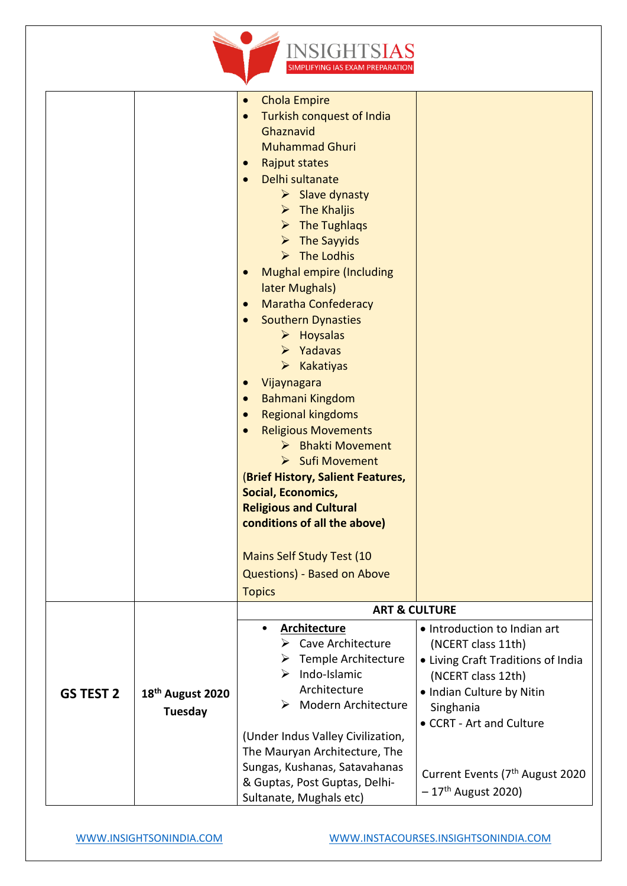

|                  |                              | <b>Chola Empire</b><br>$\bullet$                                   |                                             |
|------------------|------------------------------|--------------------------------------------------------------------|---------------------------------------------|
|                  |                              | Turkish conquest of India<br>$\bullet$                             |                                             |
|                  |                              | Ghaznavid                                                          |                                             |
|                  |                              | <b>Muhammad Ghuri</b>                                              |                                             |
|                  |                              | <b>Rajput states</b><br>$\bullet$                                  |                                             |
|                  |                              | Delhi sultanate<br>$\bullet$                                       |                                             |
|                  |                              | $\triangleright$ Slave dynasty                                     |                                             |
|                  |                              | $\triangleright$ The Khaljis                                       |                                             |
|                  |                              | $\triangleright$ The Tughlags                                      |                                             |
|                  |                              | The Sayyids<br>$\blacktriangleright$                               |                                             |
|                  |                              | The Lodhis<br>$\blacktriangleright$                                |                                             |
|                  |                              | <b>Mughal empire (Including</b>                                    |                                             |
|                  |                              | later Mughals)                                                     |                                             |
|                  |                              | <b>Maratha Confederacy</b><br>$\bullet$                            |                                             |
|                  |                              | <b>Southern Dynasties</b>                                          |                                             |
|                  |                              | $\triangleright$ Hoysalas<br>$\triangleright$ Yadavas              |                                             |
|                  |                              | $\triangleright$ Kakatiyas                                         |                                             |
|                  |                              | Vijaynagara<br>$\bullet$                                           |                                             |
|                  |                              | <b>Bahmani Kingdom</b>                                             |                                             |
|                  |                              | <b>Regional kingdoms</b><br>$\bullet$                              |                                             |
|                  |                              | <b>Religious Movements</b>                                         |                                             |
|                  |                              | > Bhakti Movement                                                  |                                             |
|                  |                              | > Sufi Movement                                                    |                                             |
|                  |                              | (Brief History, Salient Features,                                  |                                             |
|                  |                              | Social, Economics,                                                 |                                             |
|                  |                              | <b>Religious and Cultural</b>                                      |                                             |
|                  |                              | conditions of all the above)                                       |                                             |
|                  |                              |                                                                    |                                             |
|                  |                              | <b>Mains Self Study Test (10</b>                                   |                                             |
|                  |                              | Questions) - Based on Above                                        |                                             |
|                  |                              | <b>Topics</b>                                                      |                                             |
|                  |                              | <b>ART &amp; CULTURE</b>                                           |                                             |
|                  |                              | <b>Architecture</b><br>$\bullet$                                   | • Introduction to Indian art                |
|                  |                              | Cave Architecture<br>⋗                                             | (NCERT class 11th)                          |
|                  |                              | Temple Architecture<br>➤                                           | • Living Craft Traditions of India          |
|                  |                              | Indo-Islamic<br>➤                                                  | (NCERT class 12th)                          |
| <b>GS TEST 2</b> | 18 <sup>th</sup> August 2020 | Architecture                                                       | • Indian Culture by Nitin                   |
|                  | Tuesday                      | Modern Architecture<br>➤                                           | Singhania                                   |
|                  |                              |                                                                    | • CCRT - Art and Culture                    |
|                  |                              | (Under Indus Valley Civilization,<br>The Mauryan Architecture, The |                                             |
|                  |                              | Sungas, Kushanas, Satavahanas                                      |                                             |
|                  |                              | & Guptas, Post Guptas, Delhi-                                      | Current Events (7 <sup>th</sup> August 2020 |
|                  |                              | Sultanate, Mughals etc)                                            | $-17$ <sup>th</sup> August 2020)            |
|                  |                              |                                                                    |                                             |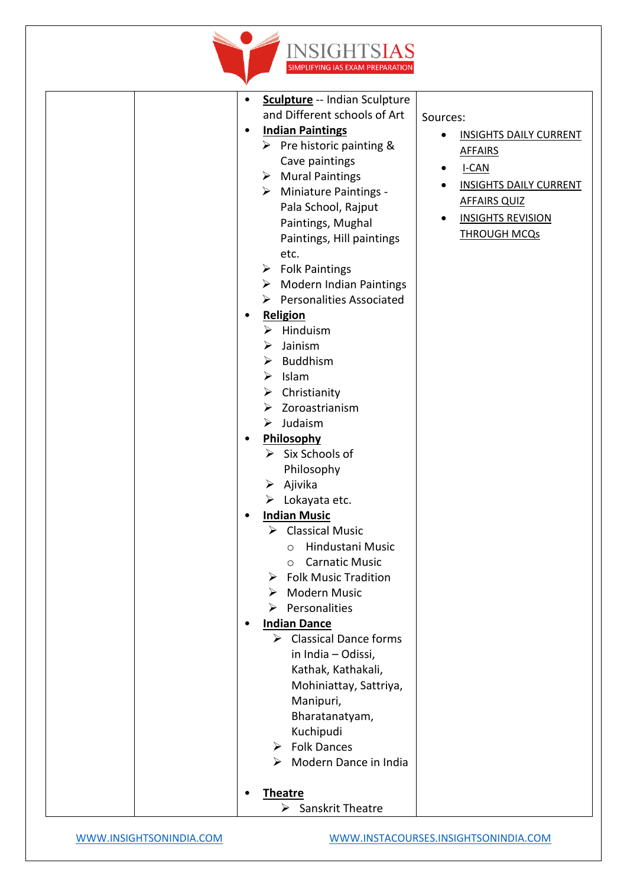

|  | <b>Sculpture</b> -- Indian Sculpture<br>$\bullet$<br>and Different schools of Art<br><b>Indian Paintings</b><br>$\bullet$<br>$\triangleright$ Pre historic painting &<br>Cave paintings<br>$\triangleright$ Mural Paintings<br>> Miniature Paintings -<br>Pala School, Rajput<br>Paintings, Mughal<br>Paintings, Hill paintings<br>etc.<br>$\triangleright$ Folk Paintings<br>$\triangleright$ Modern Indian Paintings<br>$\triangleright$ Personalities Associated<br><b>Religion</b><br>٠<br>$\triangleright$ Hinduism<br>Jainism<br>➤<br>$\triangleright$ Buddhism<br>$\triangleright$ Islam<br>$\triangleright$ Christianity<br>$\triangleright$ Zoroastrianism<br>$\triangleright$ Judaism<br>Philosophy<br>$\triangleright$ Six Schools of<br>Philosophy<br>$\triangleright$ Ajivika<br>$\triangleright$ Lokayata etc.<br><b>Indian Music</b><br>$\bullet$<br><b>Classical Music</b><br>Hindustani Music<br>$\circ$<br><b>Carnatic Music</b><br>O<br><b>Folk Music Tradition</b><br>➤<br><b>Modern Music</b><br>➤<br>Personalities<br>≻<br><b>Indian Dance</b><br>$\bullet$<br>$\triangleright$ Classical Dance forms<br>in India - Odissi,<br>Kathak, Kathakali,<br>Mohiniattay, Sattriya,<br>Manipuri,<br>Bharatanatyam,<br>Kuchipudi<br>$\triangleright$ Folk Dances<br>Modern Dance in India<br>➤<br><b>Theatre</b><br>$\bullet$<br>$\triangleright$ Sanskrit Theatre | Sources:<br><b>INSIGHTS DAILY CURRENT</b><br><b>AFFAIRS</b><br>I-CAN<br><b>INSIGHTS DAILY CURRENT</b><br><b>AFFAIRS QUIZ</b><br><b>INSIGHTS REVISION</b><br><b>THROUGH MCQs</b> |
|--|---------------------------------------------------------------------------------------------------------------------------------------------------------------------------------------------------------------------------------------------------------------------------------------------------------------------------------------------------------------------------------------------------------------------------------------------------------------------------------------------------------------------------------------------------------------------------------------------------------------------------------------------------------------------------------------------------------------------------------------------------------------------------------------------------------------------------------------------------------------------------------------------------------------------------------------------------------------------------------------------------------------------------------------------------------------------------------------------------------------------------------------------------------------------------------------------------------------------------------------------------------------------------------------------------------------------------------------------------------------------------------|---------------------------------------------------------------------------------------------------------------------------------------------------------------------------------|
|  |                                                                                                                                                                                                                                                                                                                                                                                                                                                                                                                                                                                                                                                                                                                                                                                                                                                                                                                                                                                                                                                                                                                                                                                                                                                                                                                                                                                 |                                                                                                                                                                                 |

[WWW.INSIGHTSONINDIA.COM](file:///C:/Users/ADMIN/Desktop/FINAL/WWW.INSIGHTSONINDIA.COM) [WWW.INSTACOURSES.INSIGHTSONINDIA.COM](file:///C:/Users/ADMIN/Desktop/FINAL/WWW.INSTACOURSES.INSIGHTSONINDIA.COM)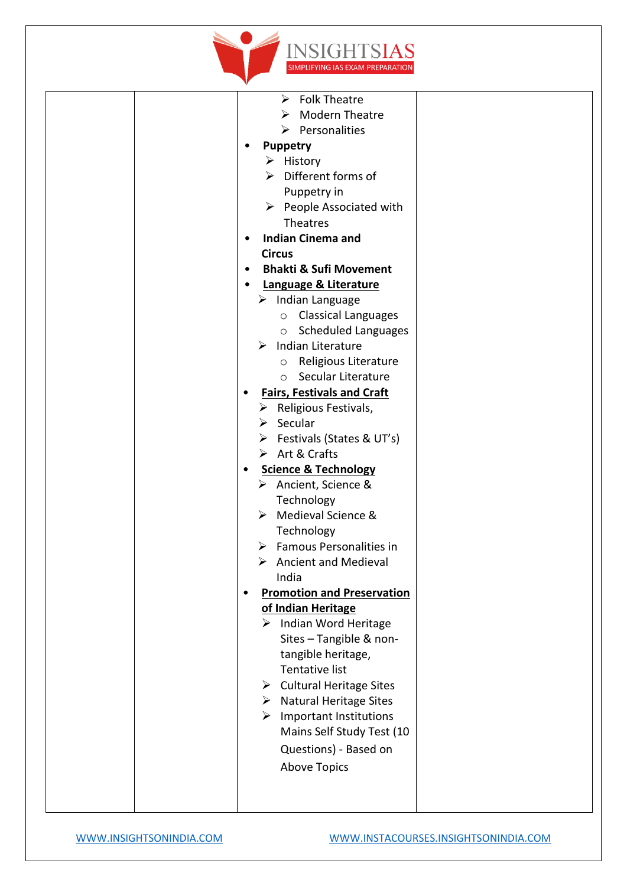

| <b>Folk Theatre</b><br>➤<br><b>Modern Theatre</b><br>➤<br>$\triangleright$ Personalities<br><b>Puppetry</b><br>$\triangleright$ History<br>Different forms of<br>➤<br>Puppetry in<br>$\triangleright$ People Associated with<br>Theatres<br><b>Indian Cinema and</b><br><b>Circus</b><br><b>Bhakti &amp; Sufi Movement</b><br>Language & Literature<br>$\triangleright$ Indian Language<br><b>Classical Languages</b><br>$\circ$<br><b>Scheduled Languages</b><br>$\circ$<br>Indian Literature<br>➤<br>Religious Literature<br>$\circ$<br>Secular Literature<br>$\circ$<br><b>Fairs, Festivals and Craft</b><br>$\bullet$<br>$\triangleright$ Religious Festivals,<br>$\triangleright$ Secular<br>$\triangleright$ Festivals (States & UT's)<br>Art & Crafts<br>➤<br><b>Science &amp; Technology</b><br>$\bullet$<br>$\triangleright$ Ancient, Science &<br>Technology<br>Medieval Science &<br>➤<br>Technology<br>Famous Personalities in<br>➤<br><b>Ancient and Medieval</b><br>≻<br>India<br><b>Promotion and Preservation</b><br>$\bullet$<br>of Indian Heritage<br>$\triangleright$ Indian Word Heritage<br>Sites - Tangible & non-<br>tangible heritage,<br><b>Tentative list</b><br>$\triangleright$ Cultural Heritage Sites<br>$\triangleright$ Natural Heritage Sites<br>$\triangleright$ Important Institutions |  |
|---------------------------------------------------------------------------------------------------------------------------------------------------------------------------------------------------------------------------------------------------------------------------------------------------------------------------------------------------------------------------------------------------------------------------------------------------------------------------------------------------------------------------------------------------------------------------------------------------------------------------------------------------------------------------------------------------------------------------------------------------------------------------------------------------------------------------------------------------------------------------------------------------------------------------------------------------------------------------------------------------------------------------------------------------------------------------------------------------------------------------------------------------------------------------------------------------------------------------------------------------------------------------------------------------------------------------|--|
| Mains Self Study Test (10<br>Questions) - Based on<br><b>Above Topics</b>                                                                                                                                                                                                                                                                                                                                                                                                                                                                                                                                                                                                                                                                                                                                                                                                                                                                                                                                                                                                                                                                                                                                                                                                                                                 |  |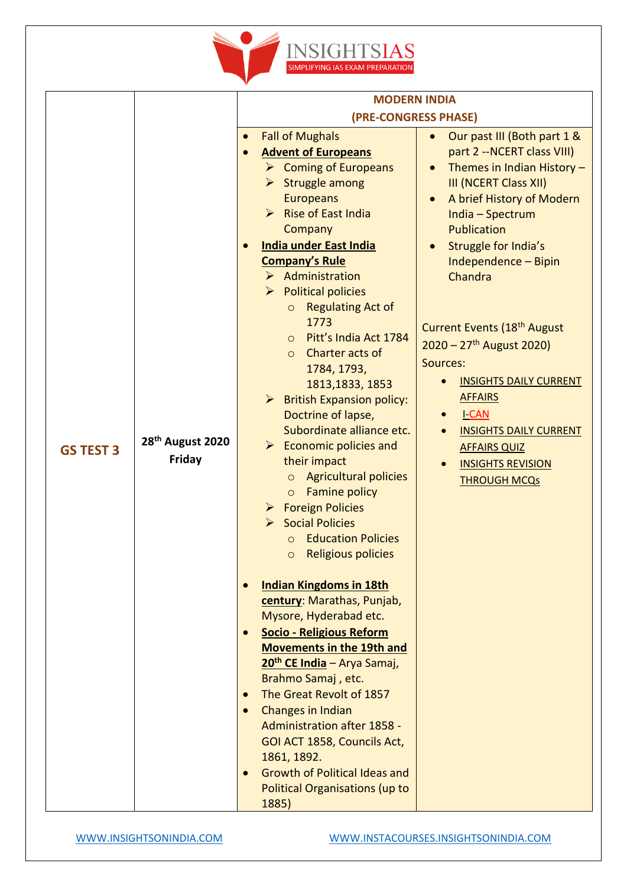

|                  |                              | <b>MODERN INDIA</b>                                                                  |                                          |                  |
|------------------|------------------------------|--------------------------------------------------------------------------------------|------------------------------------------|------------------|
|                  |                              | (PRE-CONGRESS PHASE)                                                                 |                                          |                  |
|                  |                              | <b>Fall of Mughals</b>                                                               | Our past III (Both part 1 &<br>$\bullet$ |                  |
|                  |                              | <b>Advent of Europeans</b>                                                           | part 2 -- NCERT class VIII)              |                  |
|                  |                              | $\triangleright$ Coming of Europeans                                                 | Themes in Indian History -<br>$\bullet$  |                  |
|                  |                              | $\triangleright$ Struggle among                                                      | <b>III (NCERT Class XII)</b>             |                  |
|                  |                              | <b>Europeans</b>                                                                     | A brief History of Modern<br>$\bullet$   |                  |
|                  |                              |                                                                                      | $\triangleright$ Rise of East India      | India - Spectrum |
|                  |                              | Company                                                                              | <b>Publication</b>                       |                  |
|                  |                              | <b>India under East India</b>                                                        | Struggle for India's<br>$\bullet$        |                  |
|                  |                              | <b>Company's Rule</b>                                                                | Independence - Bipin                     |                  |
|                  |                              | $\triangleright$ Administration                                                      | Chandra                                  |                  |
|                  |                              | <b>Political policies</b><br>➤                                                       |                                          |                  |
|                  |                              | <b>Regulating Act of</b><br>$\circ$<br>1773                                          |                                          |                  |
|                  |                              | Pitt's India Act 1784<br>$\circ$                                                     | Current Events (18 <sup>th</sup> August  |                  |
|                  |                              | Charter acts of<br>$\circ$                                                           | $2020 - 27$ <sup>th</sup> August 2020)   |                  |
|                  |                              | 1784, 1793,                                                                          | Sources:                                 |                  |
|                  |                              | 1813, 1833, 1853                                                                     | <b>INSIGHTS DAILY CURRENT</b>            |                  |
|                  |                              | $\triangleright$ British Expansion policy:                                           | <b>AFFAIRS</b>                           |                  |
|                  |                              | Doctrine of lapse,                                                                   | <b>I-CAN</b>                             |                  |
|                  |                              | Subordinate alliance etc.                                                            | <b>INSIGHTS DAILY CURRENT</b>            |                  |
| <b>GS TEST 3</b> | 28 <sup>th</sup> August 2020 | $\triangleright$ Economic policies and                                               | <b>AFFAIRS QUIZ</b>                      |                  |
|                  | <b>Friday</b>                | their impact                                                                         | <b>INSIGHTS REVISION</b>                 |                  |
|                  |                              | <b>Agricultural policies</b><br>$\circ$                                              | <b>THROUGH MCQs</b>                      |                  |
|                  |                              | Famine policy<br>$\circ$                                                             |                                          |                  |
|                  |                              | $\triangleright$ Foreign Policies<br><b>Social Policies</b><br>$\blacktriangleright$ |                                          |                  |
|                  |                              | <b>Education Policies</b><br>$\circ$                                                 |                                          |                  |
|                  |                              | <b>Religious policies</b><br>$\circ$                                                 |                                          |                  |
|                  |                              |                                                                                      |                                          |                  |
|                  |                              | <b>Indian Kingdoms in 18th</b>                                                       |                                          |                  |
|                  |                              | century: Marathas, Punjab,                                                           |                                          |                  |
|                  |                              | Mysore, Hyderabad etc.                                                               |                                          |                  |
|                  |                              | <b>Socio - Religious Reform</b>                                                      |                                          |                  |
|                  |                              | <b>Movements in the 19th and</b>                                                     |                                          |                  |
|                  |                              | 20 <sup>th</sup> CE India - Arya Samaj,                                              |                                          |                  |
|                  |                              | Brahmo Samaj, etc.                                                                   |                                          |                  |
|                  |                              | The Great Revolt of 1857                                                             |                                          |                  |
|                  |                              | Changes in Indian                                                                    |                                          |                  |
|                  |                              | <b>Administration after 1858 -</b><br>GOI ACT 1858, Councils Act,                    |                                          |                  |
|                  |                              | 1861, 1892.                                                                          |                                          |                  |
|                  |                              | <b>Growth of Political Ideas and</b>                                                 |                                          |                  |
|                  |                              | <b>Political Organisations (up to</b>                                                |                                          |                  |
|                  |                              | 1885)                                                                                |                                          |                  |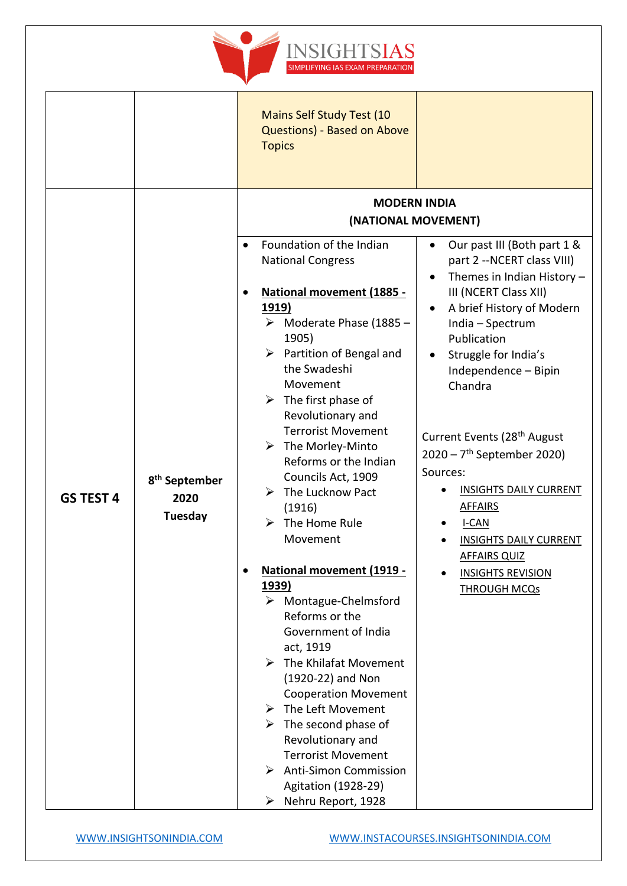

|                  |                                              | Mains Self Study Test (10<br>Questions) - Based on Above<br><b>Topics</b>                                                                                                                                                                                                                                                                                                                                                                                                                                                                                                                                                                                                                                                                                                                                                                                                                                                         |                                                                                                                                                                                                                                                                                                                                                                                                                                                                                                                                                                 |
|------------------|----------------------------------------------|-----------------------------------------------------------------------------------------------------------------------------------------------------------------------------------------------------------------------------------------------------------------------------------------------------------------------------------------------------------------------------------------------------------------------------------------------------------------------------------------------------------------------------------------------------------------------------------------------------------------------------------------------------------------------------------------------------------------------------------------------------------------------------------------------------------------------------------------------------------------------------------------------------------------------------------|-----------------------------------------------------------------------------------------------------------------------------------------------------------------------------------------------------------------------------------------------------------------------------------------------------------------------------------------------------------------------------------------------------------------------------------------------------------------------------------------------------------------------------------------------------------------|
|                  |                                              | <b>MODERN INDIA</b><br>(NATIONAL MOVEMENT)                                                                                                                                                                                                                                                                                                                                                                                                                                                                                                                                                                                                                                                                                                                                                                                                                                                                                        |                                                                                                                                                                                                                                                                                                                                                                                                                                                                                                                                                                 |
| <b>GS TEST 4</b> | 8 <sup>th</sup> September<br>2020<br>Tuesday | Foundation of the Indian<br>$\bullet$<br><b>National Congress</b><br>National movement (1885 -<br><u>1919)</u><br>$\triangleright$ Moderate Phase (1885 –<br>1905)<br>Partition of Bengal and<br>➤<br>the Swadeshi<br>Movement<br>$\triangleright$ The first phase of<br>Revolutionary and<br><b>Terrorist Movement</b><br>$\triangleright$ The Morley-Minto<br>Reforms or the Indian<br>Councils Act, 1909<br>The Lucknow Pact<br>➤<br>(1916)<br>The Home Rule<br>➤<br>Movement<br>National movement (1919 -<br><u>1939)</u><br>$\triangleright$ Montague-Chelmsford<br>Reforms or the<br>Government of India<br>act, 1919<br>The Khilafat Movement<br>➤<br>(1920-22) and Non<br><b>Cooperation Movement</b><br>$\triangleright$ The Left Movement<br>The second phase of<br>➤<br>Revolutionary and<br><b>Terrorist Movement</b><br>$\triangleright$ Anti-Simon Commission<br><b>Agitation (1928-29)</b><br>> Nehru Report, 1928 | Our past III (Both part 1 &<br>$\bullet$<br>part 2 -- NCERT class VIII)<br>Themes in Indian History $-$<br>$\bullet$<br>III (NCERT Class XII)<br>A brief History of Modern<br>$\bullet$<br>India - Spectrum<br>Publication<br>Struggle for India's<br>Independence - Bipin<br>Chandra<br>Current Events (28 <sup>th</sup> August<br>$2020 - 7$ <sup>th</sup> September 2020)<br>Sources:<br><b>INSIGHTS DAILY CURRENT</b><br><b>AFFAIRS</b><br>I-CAN<br><b>INSIGHTS DAILY CURRENT</b><br><b>AFFAIRS QUIZ</b><br><b>INSIGHTS REVISION</b><br><b>THROUGH MCQs</b> |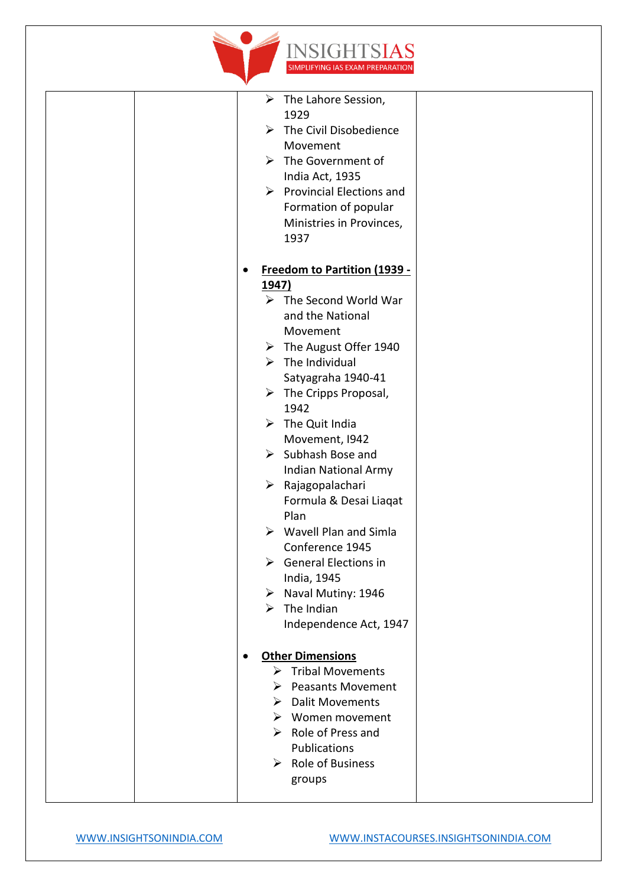

|  | $\triangleright$ The Lahore Session,<br>1929<br>The Civil Disobedience<br>➤<br>Movement<br>$\triangleright$ The Government of<br>India Act, 1935<br>$\triangleright$ Provincial Elections and<br>Formation of popular<br>Ministries in Provinces,<br>1937                                                                                                                                                                                                                                                                                                                                                                                                                                |  |
|--|------------------------------------------------------------------------------------------------------------------------------------------------------------------------------------------------------------------------------------------------------------------------------------------------------------------------------------------------------------------------------------------------------------------------------------------------------------------------------------------------------------------------------------------------------------------------------------------------------------------------------------------------------------------------------------------|--|
|  | Freedom to Partition (1939 -<br>$\bullet$<br>1947)<br>$\triangleright$ The Second World War<br>and the National<br>Movement<br>$\triangleright$ The August Offer 1940<br>$\triangleright$ The Individual<br>Satyagraha 1940-41<br>$\triangleright$ The Cripps Proposal,<br>1942<br>$\triangleright$ The Quit India<br>Movement, 1942<br>$\triangleright$ Subhash Bose and<br>Indian National Army<br>Rajagopalachari<br>➤<br>Formula & Desai Liaqat<br>Plan<br>$\blacktriangleright$<br>Wavell Plan and Simla<br>Conference 1945<br>$\triangleright$ General Elections in<br>India, 1945<br>$\triangleright$ Naval Mutiny: 1946<br>$\triangleright$ The Indian<br>Independence Act, 1947 |  |
|  | <b>Other Dimensions</b><br>$\bullet$<br>$\triangleright$ Tribal Movements<br>$\triangleright$ Peasants Movement<br>$\triangleright$ Dalit Movements<br>$\triangleright$ Women movement<br>$\triangleright$ Role of Press and<br>Publications<br><b>Role of Business</b><br>➤<br>groups                                                                                                                                                                                                                                                                                                                                                                                                   |  |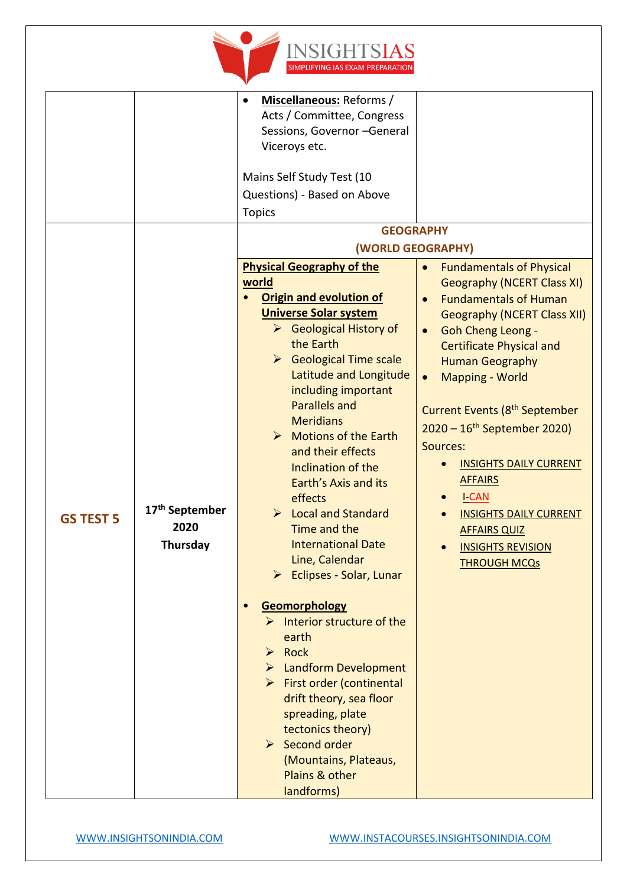

|                  |                                                | Miscellaneous: Reforms /<br>$\bullet$<br>Acts / Committee, Congress<br>Sessions, Governor - General<br>Viceroys etc.<br>Mains Self Study Test (10<br>Questions) - Based on Above                                                                                                                                                                                                                                                                                                                                                                                                                                                                                                                                                                                                                                                                                                                                       |                                                                                                                                                                                                                                                                                                                                                                                                                                                                                                                                                                                                       |
|------------------|------------------------------------------------|------------------------------------------------------------------------------------------------------------------------------------------------------------------------------------------------------------------------------------------------------------------------------------------------------------------------------------------------------------------------------------------------------------------------------------------------------------------------------------------------------------------------------------------------------------------------------------------------------------------------------------------------------------------------------------------------------------------------------------------------------------------------------------------------------------------------------------------------------------------------------------------------------------------------|-------------------------------------------------------------------------------------------------------------------------------------------------------------------------------------------------------------------------------------------------------------------------------------------------------------------------------------------------------------------------------------------------------------------------------------------------------------------------------------------------------------------------------------------------------------------------------------------------------|
|                  |                                                | <b>Topics</b>                                                                                                                                                                                                                                                                                                                                                                                                                                                                                                                                                                                                                                                                                                                                                                                                                                                                                                          |                                                                                                                                                                                                                                                                                                                                                                                                                                                                                                                                                                                                       |
|                  |                                                | <b>GEOGRAPHY</b>                                                                                                                                                                                                                                                                                                                                                                                                                                                                                                                                                                                                                                                                                                                                                                                                                                                                                                       |                                                                                                                                                                                                                                                                                                                                                                                                                                                                                                                                                                                                       |
|                  |                                                | (WORLD GEOGRAPHY)                                                                                                                                                                                                                                                                                                                                                                                                                                                                                                                                                                                                                                                                                                                                                                                                                                                                                                      |                                                                                                                                                                                                                                                                                                                                                                                                                                                                                                                                                                                                       |
| <b>GS TEST 5</b> | 17 <sup>th</sup> September<br>2020<br>Thursday | <b>Physical Geography of the</b><br>world<br><b>Origin and evolution of</b><br><b>Universe Solar system</b><br>$\triangleright$ Geological History of<br>the Earth<br>Geological Time scale<br>Latitude and Longitude<br>including important<br><b>Parallels and</b><br><b>Meridians</b><br>$\triangleright$ Motions of the Earth<br>and their effects<br>Inclination of the<br>Earth's Axis and its<br>effects<br>$\triangleright$ Local and Standard<br>Time and the<br><b>International Date</b><br>Line, Calendar<br>$\triangleright$ Eclipses - Solar, Lunar<br>Geomorphology<br>$\triangleright$ Interior structure of the<br>earth<br>$\triangleright$ Rock<br>$\triangleright$ Landform Development<br>$\triangleright$ First order (continental<br>drift theory, sea floor<br>spreading, plate<br>tectonics theory)<br>$\triangleright$ Second order<br>(Mountains, Plateaus,<br>Plains & other<br>landforms) | <b>Fundamentals of Physical</b><br>$\bullet$<br><b>Geography (NCERT Class XI)</b><br><b>Fundamentals of Human</b><br>$\bullet$<br><b>Geography (NCERT Class XII)</b><br><b>Goh Cheng Leong -</b><br>$\bullet$<br><b>Certificate Physical and</b><br><b>Human Geography</b><br><b>Mapping - World</b><br>$\bullet$<br>Current Events (8 <sup>th</sup> September<br>$2020 - 16$ <sup>th</sup> September 2020)<br>Sources:<br><b>INSIGHTS DAILY CURRENT</b><br><b>AFFAIRS</b><br><b>I-CAN</b><br><b>INSIGHTS DAILY CURRENT</b><br><b>AFFAIRS QUIZ</b><br><b>INSIGHTS REVISION</b><br><b>THROUGH MCQs</b> |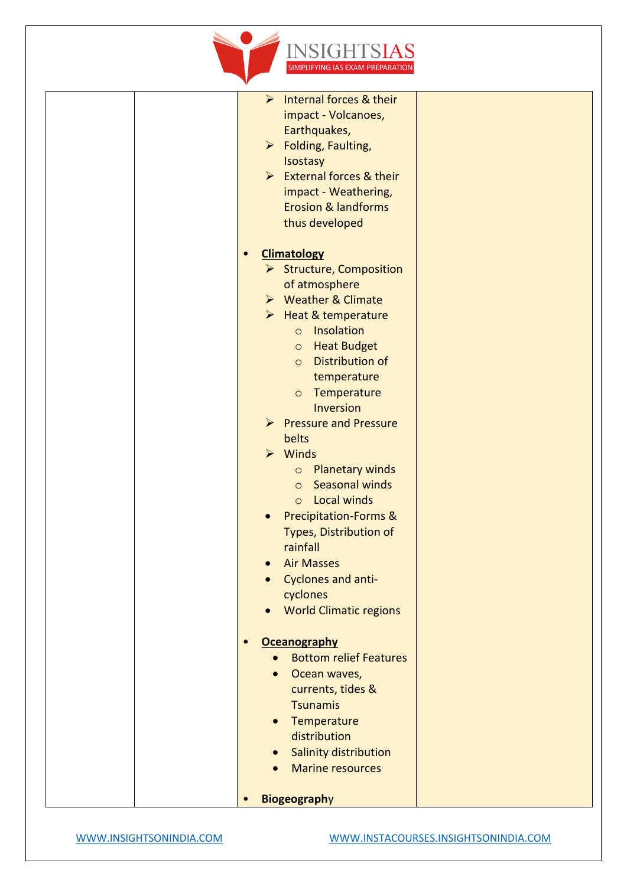

| $\triangleright$ Internal forces & their<br>impact - Volcanoes,<br>Earthquakes,<br>$\triangleright$ Folding, Faulting,<br><b>Isostasy</b><br>$\triangleright$ External forces & their<br>impact - Weathering,<br><b>Erosion &amp; landforms</b><br>thus developed                                                                                                                                                                                                                                                                                                      |  |
|------------------------------------------------------------------------------------------------------------------------------------------------------------------------------------------------------------------------------------------------------------------------------------------------------------------------------------------------------------------------------------------------------------------------------------------------------------------------------------------------------------------------------------------------------------------------|--|
| <b>Climatology</b><br>> Structure, Composition<br>of atmosphere<br>▶ Weather & Climate<br>$\triangleright$ Heat & temperature<br>Insolation<br>$\circ$<br><b>Heat Budget</b><br>$\circ$<br><b>Distribution of</b><br>$\circ$<br>temperature<br>Temperature<br>$\circ$<br>Inversion<br>▶ Pressure and Pressure<br>belts<br>$\triangleright$ Winds<br><b>Planetary winds</b><br>$\circ$<br><b>Seasonal winds</b><br>$\circ$<br><b>Local winds</b><br>$\circ$<br><b>Precipitation-Forms &amp;</b><br>$\bullet$<br>Types, Distribution of<br>rainfall<br><b>Air Masses</b> |  |
| Cyclones and anti-<br>cyclones<br><b>World Climatic regions</b><br>$\bullet$                                                                                                                                                                                                                                                                                                                                                                                                                                                                                           |  |
| <b>Oceanography</b><br><b>Bottom relief Features</b><br>Ocean waves,<br>$\bullet$<br>currents, tides &<br><b>Tsunamis</b><br>Temperature<br>$\bullet$<br>distribution<br>Salinity distribution<br><b>Marine resources</b><br>$\bullet$                                                                                                                                                                                                                                                                                                                                 |  |
| Biogeography<br>$\bullet$                                                                                                                                                                                                                                                                                                                                                                                                                                                                                                                                              |  |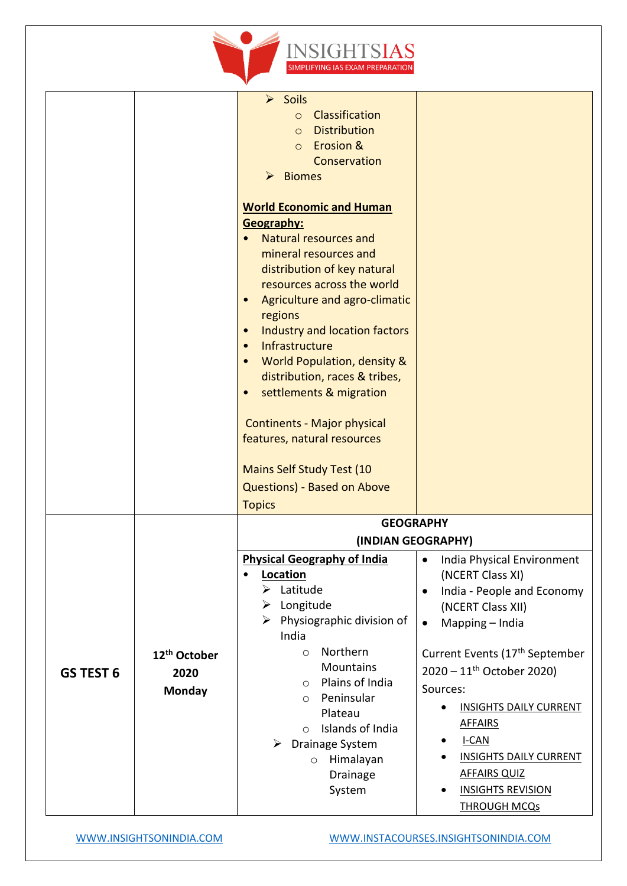

|           |                                  | $\triangleright$ Soils<br>Classification<br>$\circ$<br><b>Distribution</b><br>$\circ$<br><b>Erosion &amp;</b><br>$\circ$<br>Conservation<br><b>Biomes</b><br>$\triangleright$<br><b>World Economic and Human</b><br>Geography:<br>Natural resources and<br>mineral resources and<br>distribution of key natural<br>resources across the world<br>Agriculture and agro-climatic<br>$\bullet$<br>regions<br>Industry and location factors<br>$\bullet$<br>Infrastructure<br>$\bullet$<br>World Population, density &<br>$\bullet$<br>distribution, races & tribes,<br>settlements & migration<br><b>Continents - Major physical</b><br>features, natural resources<br><b>Mains Self Study Test (10</b><br>Questions) - Based on Above |                                                                                                                                                                                                                                        |
|-----------|----------------------------------|-------------------------------------------------------------------------------------------------------------------------------------------------------------------------------------------------------------------------------------------------------------------------------------------------------------------------------------------------------------------------------------------------------------------------------------------------------------------------------------------------------------------------------------------------------------------------------------------------------------------------------------------------------------------------------------------------------------------------------------|----------------------------------------------------------------------------------------------------------------------------------------------------------------------------------------------------------------------------------------|
|           |                                  | <b>Topics</b>                                                                                                                                                                                                                                                                                                                                                                                                                                                                                                                                                                                                                                                                                                                       |                                                                                                                                                                                                                                        |
|           |                                  | <b>GEOGRAPHY</b>                                                                                                                                                                                                                                                                                                                                                                                                                                                                                                                                                                                                                                                                                                                    |                                                                                                                                                                                                                                        |
|           |                                  | (INDIAN GEOGRAPHY)                                                                                                                                                                                                                                                                                                                                                                                                                                                                                                                                                                                                                                                                                                                  |                                                                                                                                                                                                                                        |
| GS TEST 6 | 12 <sup>th</sup> October<br>2020 | <b>Physical Geography of India</b><br>Location<br>$\triangleright$ Latitude<br>Longitude<br>➤<br>Physiographic division of<br>➤<br>India<br>Northern<br>$\circ$<br><b>Mountains</b><br>Plains of India<br>$\circ$                                                                                                                                                                                                                                                                                                                                                                                                                                                                                                                   | India Physical Environment<br>$\bullet$<br>(NCERT Class XI)<br>India - People and Economy<br>$\bullet$<br>(NCERT Class XII)<br>Mapping - India<br>$\bullet$<br>Current Events (17th September<br>2020 - 11 <sup>th</sup> October 2020) |
|           | <b>Monday</b>                    | Peninsular<br>$\circ$<br>Plateau<br>Islands of India<br>$\bigcirc$<br>Drainage System<br>➤<br>Himalayan<br>$\circ$<br>Drainage<br>System                                                                                                                                                                                                                                                                                                                                                                                                                                                                                                                                                                                            | Sources:<br><b>INSIGHTS DAILY CURRENT</b><br><b>AFFAIRS</b><br>I-CAN<br><b>INSIGHTS DAILY CURRENT</b><br><b>AFFAIRS QUIZ</b><br><b>INSIGHTS REVISION</b><br><b>THROUGH MCQs</b>                                                        |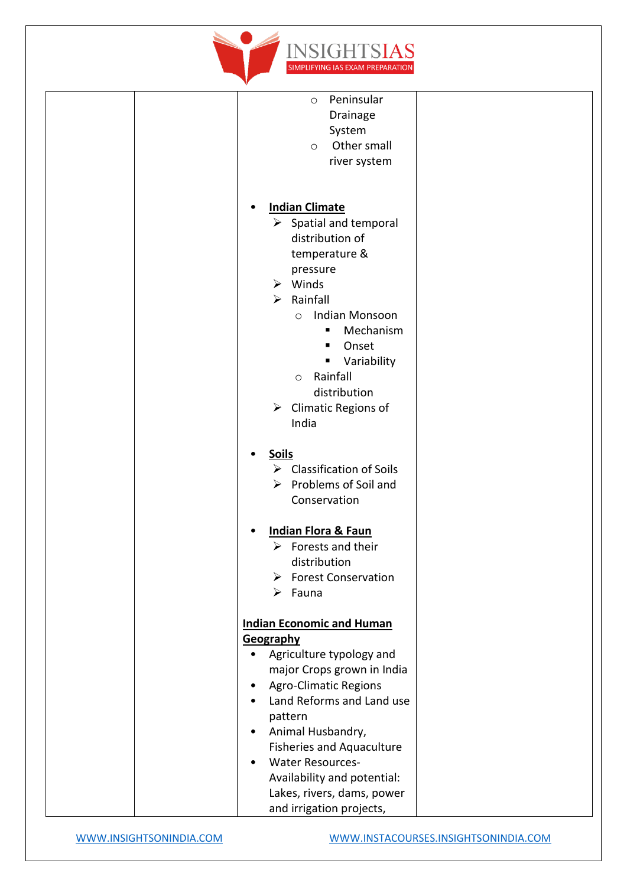

|           | Peninsular<br>$\circ$<br>Drainage<br>System<br>Other small<br>$\circ$<br>river system                                                                                                                                                                                                                                              |  |
|-----------|------------------------------------------------------------------------------------------------------------------------------------------------------------------------------------------------------------------------------------------------------------------------------------------------------------------------------------|--|
|           | <b>Indian Climate</b><br>$\triangleright$ Spatial and temporal<br>distribution of<br>temperature &<br>pressure<br>$\triangleright$ Winds<br>Rainfall<br>➤<br>Indian Monsoon<br>$\circ$<br>Mechanism<br>ш<br>Onset<br>٠<br>Variability<br>٠<br>Rainfall<br>$\circ$<br>distribution<br>$\triangleright$ Climatic Regions of<br>India |  |
|           | <b>Soils</b><br>$\triangleright$ Classification of Soils<br>Problems of Soil and<br>➤<br>Conservation                                                                                                                                                                                                                              |  |
|           | <b>Indian Flora &amp; Faun</b><br>Forests and their<br>➤<br>distribution<br>> Forest Conservation<br>$\triangleright$ Fauna                                                                                                                                                                                                        |  |
|           | <b>Indian Economic and Human</b>                                                                                                                                                                                                                                                                                                   |  |
|           | Geography                                                                                                                                                                                                                                                                                                                          |  |
| $\bullet$ | Agriculture typology and<br>major Crops grown in India                                                                                                                                                                                                                                                                             |  |
| ٠         | <b>Agro-Climatic Regions</b><br>Land Reforms and Land use<br>pattern                                                                                                                                                                                                                                                               |  |
|           | Animal Husbandry,<br><b>Fisheries and Aquaculture</b><br><b>Water Resources-</b>                                                                                                                                                                                                                                                   |  |
|           | Availability and potential:<br>Lakes, rivers, dams, power<br>and irrigation projects,                                                                                                                                                                                                                                              |  |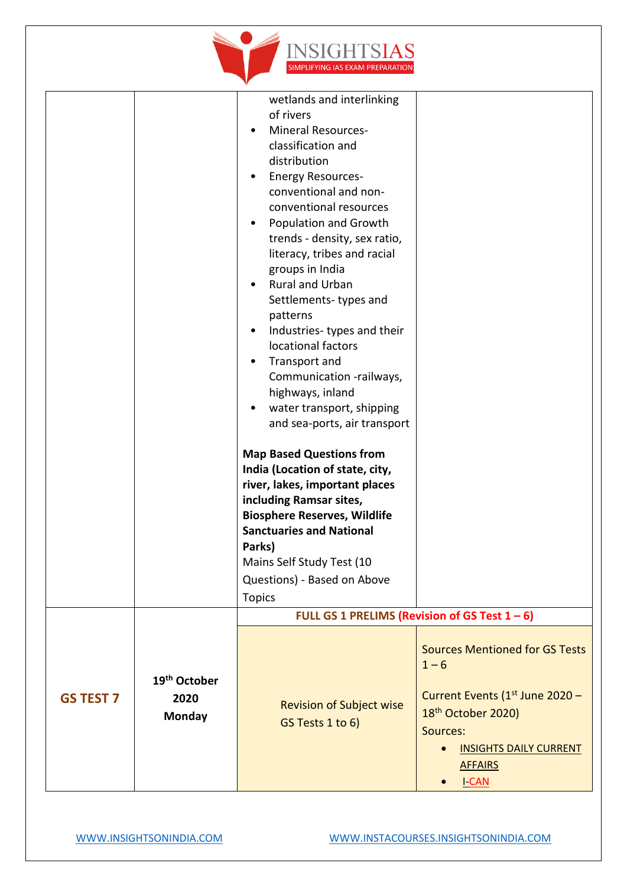

|                  |                                            | wetlands and interlinking<br>of rivers<br><b>Mineral Resources-</b><br>classification and<br>distribution<br><b>Energy Resources-</b><br>conventional and non-<br>conventional resources<br>Population and Growth<br>$\bullet$<br>trends - density, sex ratio,<br>literacy, tribes and racial<br>groups in India<br><b>Rural and Urban</b><br>Settlements-types and<br>patterns<br>Industries-types and their<br>locational factors<br>Transport and<br>Communication -railways,<br>highways, inland<br>water transport, shipping<br>and sea-ports, air transport<br><b>Map Based Questions from</b><br>India (Location of state, city,<br>river, lakes, important places<br>including Ramsar sites,<br><b>Biosphere Reserves, Wildlife</b><br><b>Sanctuaries and National</b><br>Parks)<br>Mains Self Study Test (10<br>Questions) - Based on Above<br><b>Topics</b> |                                                                                                                                                                                                      |
|------------------|--------------------------------------------|-----------------------------------------------------------------------------------------------------------------------------------------------------------------------------------------------------------------------------------------------------------------------------------------------------------------------------------------------------------------------------------------------------------------------------------------------------------------------------------------------------------------------------------------------------------------------------------------------------------------------------------------------------------------------------------------------------------------------------------------------------------------------------------------------------------------------------------------------------------------------|------------------------------------------------------------------------------------------------------------------------------------------------------------------------------------------------------|
|                  |                                            | FULL GS 1 PRELIMS (Revision of GS Test $1 - 6$ )                                                                                                                                                                                                                                                                                                                                                                                                                                                                                                                                                                                                                                                                                                                                                                                                                      |                                                                                                                                                                                                      |
| <b>GS TEST 7</b> | 19 <sup>th</sup> October<br>2020<br>Monday | <b>Revision of Subject wise</b><br>GS Tests 1 to 6)                                                                                                                                                                                                                                                                                                                                                                                                                                                                                                                                                                                                                                                                                                                                                                                                                   | <b>Sources Mentioned for GS Tests</b><br>$1 - 6$<br>Current Events (1st June 2020 -<br>18 <sup>th</sup> October 2020)<br>Sources:<br><b>INSIGHTS DAILY CURRENT</b><br><b>AFFAIRS</b><br><b>I-CAN</b> |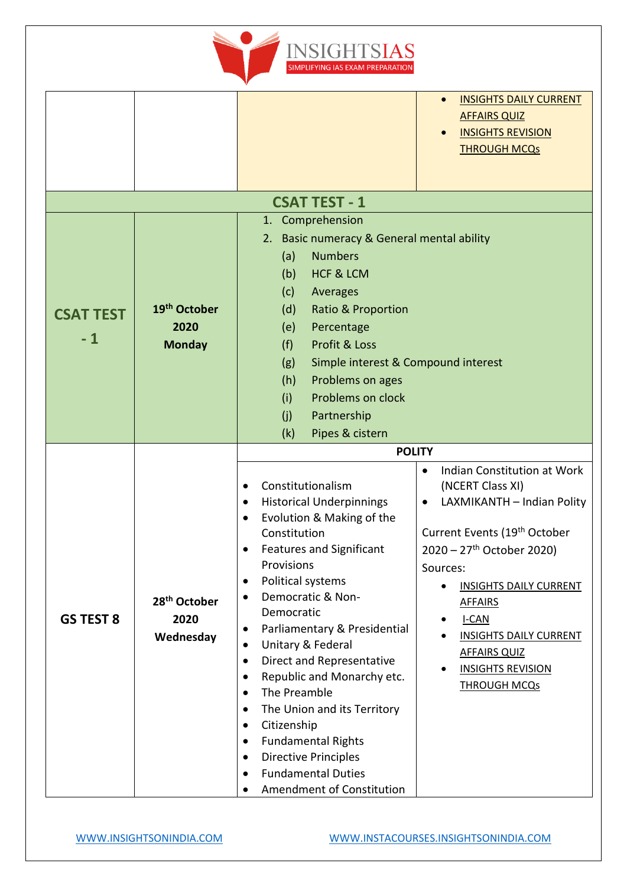

|                          |                                                   |                                                                                                                                                                                                                                                                                                                                                                                                                                                                                                                                                                                                    | <b>INSIGHTS DAILY CURRENT</b><br><b>AFFAIRS QUIZ</b><br><b>INSIGHTS REVISION</b><br><b>THROUGH MCQs</b>                                                                                                                                                                                                                                                              |
|--------------------------|---------------------------------------------------|----------------------------------------------------------------------------------------------------------------------------------------------------------------------------------------------------------------------------------------------------------------------------------------------------------------------------------------------------------------------------------------------------------------------------------------------------------------------------------------------------------------------------------------------------------------------------------------------------|----------------------------------------------------------------------------------------------------------------------------------------------------------------------------------------------------------------------------------------------------------------------------------------------------------------------------------------------------------------------|
|                          |                                                   | <b>CSAT TEST - 1</b>                                                                                                                                                                                                                                                                                                                                                                                                                                                                                                                                                                               |                                                                                                                                                                                                                                                                                                                                                                      |
| <b>CSAT TEST</b><br>$-1$ | 19 <sup>th</sup> October<br>2020<br><b>Monday</b> | Comprehension<br>1.<br>Basic numeracy & General mental ability<br>2.<br><b>Numbers</b><br>(a)<br><b>HCF &amp; LCM</b><br>(b)<br>(c)<br>Averages<br>(d)<br>Ratio & Proportion<br>Percentage<br>(e)<br>(f)<br>Profit & Loss<br>Simple interest & Compound interest<br>(g)<br>Problems on ages<br>(h)<br>Problems on clock<br>(i)<br>(j)<br>Partnership<br>Pipes & cistern<br>(k)                                                                                                                                                                                                                     |                                                                                                                                                                                                                                                                                                                                                                      |
|                          |                                                   | <b>POLITY</b>                                                                                                                                                                                                                                                                                                                                                                                                                                                                                                                                                                                      |                                                                                                                                                                                                                                                                                                                                                                      |
| <b>GS TEST 8</b>         | 28 <sup>th</sup> October<br>2020<br>Wednesday     | Constitutionalism<br>٠<br><b>Historical Underpinnings</b><br>٠<br>Evolution & Making of the<br>Constitution<br><b>Features and Significant</b><br>Provisions<br>Political systems<br>Democratic & Non-<br>٠<br>Democratic<br>Parliamentary & Presidential<br>٠<br>Unitary & Federal<br>٠<br>Direct and Representative<br>٠<br>Republic and Monarchy etc.<br>٠<br>The Preamble<br>$\bullet$<br>The Union and its Territory<br>٠<br>Citizenship<br>$\bullet$<br><b>Fundamental Rights</b><br>٠<br><b>Directive Principles</b><br>$\bullet$<br><b>Fundamental Duties</b><br>Amendment of Constitution | Indian Constitution at Work<br>(NCERT Class XI)<br>LAXMIKANTH - Indian Polity<br>Current Events (19 <sup>th</sup> October<br>$2020 - 27$ <sup>th</sup> October 2020)<br>Sources:<br><b>INSIGHTS DAILY CURRENT</b><br>$\bullet$<br><b>AFFAIRS</b><br>I-CAN<br><b>INSIGHTS DAILY CURRENT</b><br><b>AFFAIRS QUIZ</b><br><b>INSIGHTS REVISION</b><br><b>THROUGH MCQs</b> |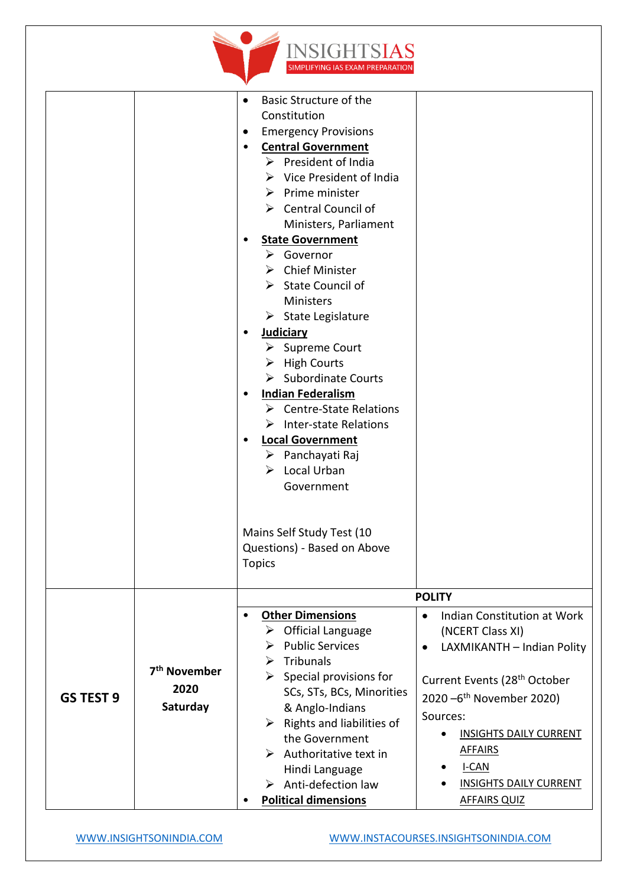

|           |                                              | Basic Structure of the<br>$\bullet$<br>Constitution<br><b>Emergency Provisions</b><br>$\bullet$<br><b>Central Government</b><br>٠<br>$\triangleright$ President of India<br>$\triangleright$ Vice President of India<br>$\triangleright$ Prime minister<br>$\triangleright$ Central Council of<br>Ministers, Parliament<br><b>State Government</b><br>٠<br>$\triangleright$ Governor<br>$\triangleright$ Chief Minister<br>$\triangleright$ State Council of<br><b>Ministers</b><br>$\triangleright$ State Legislature<br><b>Judiciary</b><br>٠<br>$\triangleright$ Supreme Court<br>$\triangleright$ High Courts<br><b>Subordinate Courts</b><br>➤<br><b>Indian Federalism</b><br>$\bullet$<br><b>Centre-State Relations</b><br>➤<br>$\triangleright$ Inter-state Relations<br><b>Local Government</b><br>$\triangleright$ Panchayati Raj<br>$\triangleright$ Local Urban<br>Government<br>Mains Self Study Test (10<br>Questions) - Based on Above<br><b>Topics</b> |                                                                                                                                                                                                                                                                                                                 |
|-----------|----------------------------------------------|-----------------------------------------------------------------------------------------------------------------------------------------------------------------------------------------------------------------------------------------------------------------------------------------------------------------------------------------------------------------------------------------------------------------------------------------------------------------------------------------------------------------------------------------------------------------------------------------------------------------------------------------------------------------------------------------------------------------------------------------------------------------------------------------------------------------------------------------------------------------------------------------------------------------------------------------------------------------------|-----------------------------------------------------------------------------------------------------------------------------------------------------------------------------------------------------------------------------------------------------------------------------------------------------------------|
|           |                                              |                                                                                                                                                                                                                                                                                                                                                                                                                                                                                                                                                                                                                                                                                                                                                                                                                                                                                                                                                                       | <b>POLITY</b>                                                                                                                                                                                                                                                                                                   |
| GS TEST 9 | 7 <sup>th</sup> November<br>2020<br>Saturday | <b>Other Dimensions</b><br>$\bullet$<br><b>Official Language</b><br>➤<br><b>Public Services</b><br>➤<br>Tribunals<br>➤<br>$\triangleright$ Special provisions for<br>SCs, STs, BCs, Minorities<br>& Anglo-Indians<br>$\triangleright$ Rights and liabilities of<br>the Government<br>$\triangleright$ Authoritative text in<br>Hindi Language<br>Anti-defection law<br>➤<br><b>Political dimensions</b>                                                                                                                                                                                                                                                                                                                                                                                                                                                                                                                                                               | Indian Constitution at Work<br>$\bullet$<br>(NCERT Class XI)<br>LAXMIKANTH - Indian Polity<br>Current Events (28 <sup>th</sup> October<br>2020 - 6 <sup>th</sup> November 2020)<br>Sources:<br><b>INSIGHTS DAILY CURRENT</b><br><b>AFFAIRS</b><br>I-CAN<br><b>INSIGHTS DAILY CURRENT</b><br><b>AFFAIRS QUIZ</b> |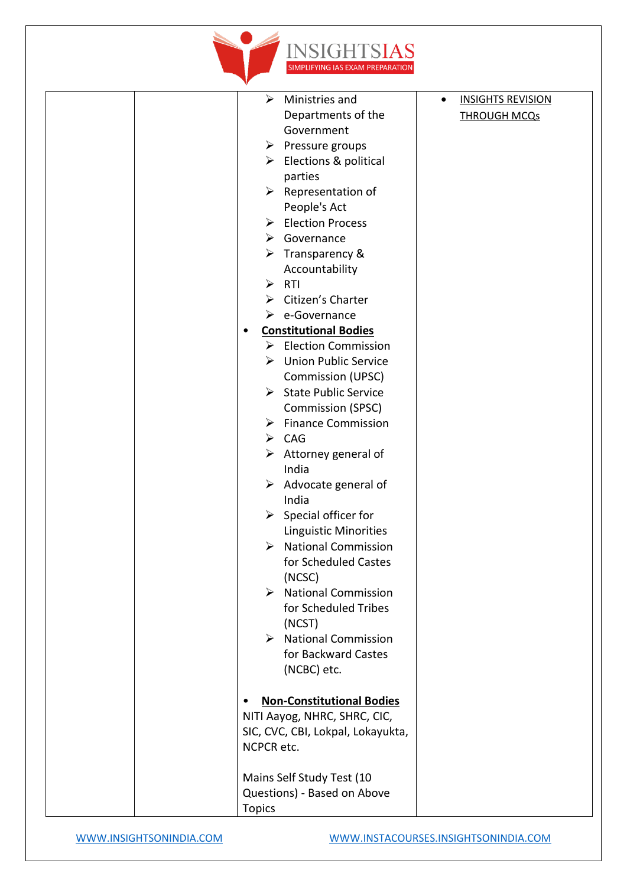

| ➤<br>Ministries and                    | <b>INSIGHTS REVISION</b><br>$\bullet$ |
|----------------------------------------|---------------------------------------|
| Departments of the                     | <b>THROUGH MCQs</b>                   |
| Government                             |                                       |
| $\triangleright$ Pressure groups       |                                       |
| $\triangleright$ Elections & political |                                       |
| parties                                |                                       |
| $\triangleright$ Representation of     |                                       |
| People's Act                           |                                       |
| <b>Election Process</b><br>➤           |                                       |
| Governance<br>➤                        |                                       |
| $\triangleright$ Transparency &        |                                       |
| Accountability                         |                                       |
| $\blacktriangleright$<br>RTI           |                                       |
| Citizen's Charter<br>≻                 |                                       |
| e-Governance<br>➤                      |                                       |
| <b>Constitutional Bodies</b>           |                                       |
| $\triangleright$ Election Commission   |                                       |
| <b>Union Public Service</b><br>➤       |                                       |
| <b>Commission (UPSC)</b>               |                                       |
| State Public Service                   |                                       |
| Commission (SPSC)                      |                                       |
| $\triangleright$ Finance Commission    |                                       |
| CAG<br>➤                               |                                       |
| Attorney general of<br>➤               |                                       |
| India                                  |                                       |
| $\triangleright$ Advocate general of   |                                       |
| India                                  |                                       |
| $\triangleright$ Special officer for   |                                       |
| <b>Linguistic Minorities</b>           |                                       |
| <b>National Commission</b><br>➤        |                                       |
| for Scheduled Castes                   |                                       |
| (NCSC)                                 |                                       |
| $\triangleright$ National Commission   |                                       |
| for Scheduled Tribes                   |                                       |
| (NCST)                                 |                                       |
| $\triangleright$ National Commission   |                                       |
| for Backward Castes                    |                                       |
| (NCBC) etc.                            |                                       |
|                                        |                                       |
| <b>Non-Constitutional Bodies</b>       |                                       |
| NITI Aayog, NHRC, SHRC, CIC,           |                                       |
| SIC, CVC, CBI, Lokpal, Lokayukta,      |                                       |
| NCPCR etc.                             |                                       |
|                                        |                                       |
| Mains Self Study Test (10              |                                       |
| Questions) - Based on Above            |                                       |
| <b>Topics</b>                          |                                       |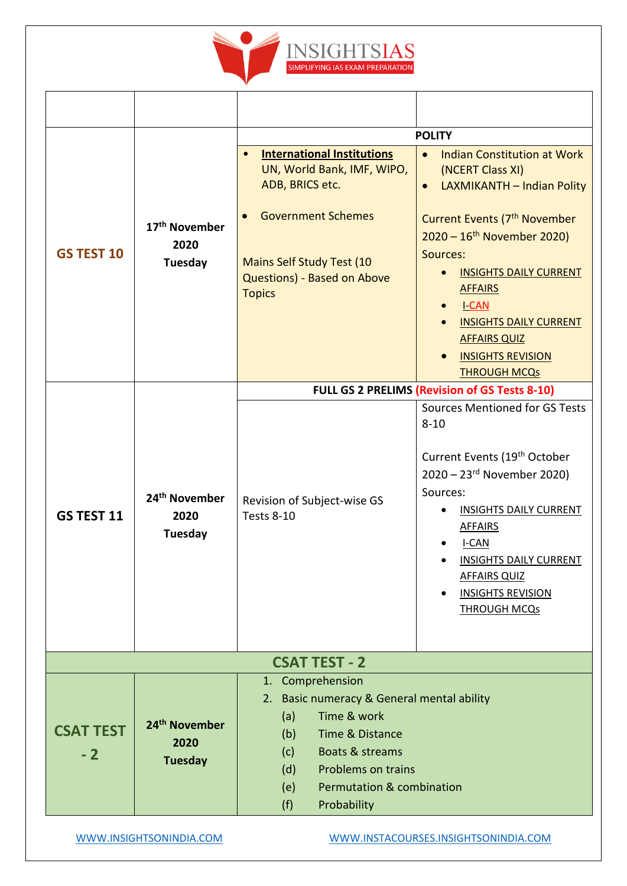

|                          |                                                     | <b>POLITY</b>                                                                                                                                                                                                                      |                                                                                                                                                                                                                                                                                                                                                                                                  |
|--------------------------|-----------------------------------------------------|------------------------------------------------------------------------------------------------------------------------------------------------------------------------------------------------------------------------------------|--------------------------------------------------------------------------------------------------------------------------------------------------------------------------------------------------------------------------------------------------------------------------------------------------------------------------------------------------------------------------------------------------|
| <b>GS TEST 10</b>        | 17 <sup>th</sup> November<br>2020<br>Tuesday        | <b>International Institutions</b><br>UN, World Bank, IMF, WIPO,<br>ADB, BRICS etc.<br><b>Government Schemes</b><br><b>Mains Self Study Test (10</b><br>Questions) - Based on Above<br><b>Topics</b>                                | <b>Indian Constitution at Work</b><br>$\bullet$<br>(NCERT Class XI)<br>LAXMIKANTH - Indian Polity<br>$\bullet$<br>Current Events (7 <sup>th</sup> November<br>$2020 - 16$ <sup>th</sup> November 2020)<br>Sources:<br><b>INSIGHTS DAILY CURRENT</b><br><b>AFFAIRS</b><br><b>I-CAN</b><br><b>INSIGHTS DAILY CURRENT</b><br><b>AFFAIRS QUIZ</b><br><b>INSIGHTS REVISION</b><br><b>THROUGH MCQs</b> |
|                          |                                                     |                                                                                                                                                                                                                                    | <b>FULL GS 2 PRELIMS (Revision of GS Tests 8-10)</b>                                                                                                                                                                                                                                                                                                                                             |
| <b>GS TEST 11</b>        | 24 <sup>th</sup> November<br>2020<br>Tuesday        | Revision of Subject-wise GS<br><b>Tests 8-10</b>                                                                                                                                                                                   | <b>Sources Mentioned for GS Tests</b><br>$8 - 10$<br>Current Events (19 <sup>th</sup> October<br>2020 - 23rd November 2020)<br>Sources:<br><b>INSIGHTS DAILY CURRENT</b><br><b>AFFAIRS</b><br>$I-CAN$<br><b>INSIGHTS DAILY CURRENT</b><br><b>AFFAIRS QUIZ</b><br><b>INSIGHTS REVISION</b><br><b>THROUGH MCQs</b>                                                                                 |
|                          |                                                     | <b>CSAT TEST - 2</b>                                                                                                                                                                                                               |                                                                                                                                                                                                                                                                                                                                                                                                  |
| <b>CSAT TEST</b><br>$-2$ | 24 <sup>th</sup> November<br>2020<br><b>Tuesday</b> | 1. Comprehension<br>Basic numeracy & General mental ability<br>2.<br>Time & work<br>(a)<br>Time & Distance<br>(b)<br>Boats & streams<br>(c)<br>(d)<br>Problems on trains<br>Permutation & combination<br>(e)<br>Probability<br>(f) |                                                                                                                                                                                                                                                                                                                                                                                                  |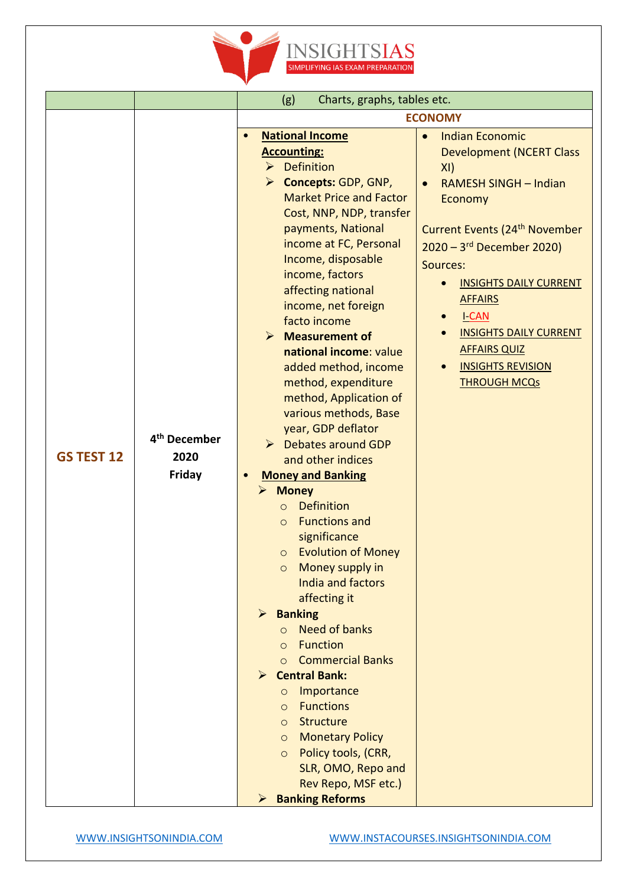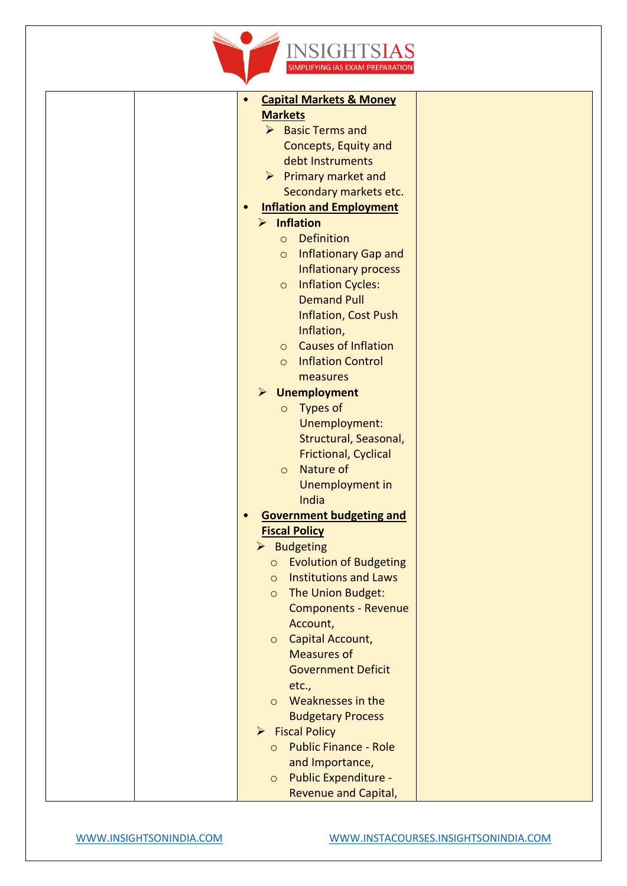

| v                                               |  |
|-------------------------------------------------|--|
| <b>Capital Markets &amp; Money</b><br>$\bullet$ |  |
| <b>Markets</b>                                  |  |
| $\triangleright$ Basic Terms and                |  |
| Concepts, Equity and                            |  |
| debt Instruments                                |  |
| $\triangleright$ Primary market and             |  |
| Secondary markets etc.                          |  |
| <b>Inflation and Employment</b><br>$\bullet$    |  |
| $\triangleright$ Inflation                      |  |
| Definition<br>$\circ$                           |  |
|                                                 |  |
| <b>Inflationary Gap and</b><br>$\circ$          |  |
| Inflationary process                            |  |
| <b>Inflation Cycles:</b><br>$\circ$             |  |
| <b>Demand Pull</b>                              |  |
| <b>Inflation, Cost Push</b>                     |  |
| Inflation,                                      |  |
| <b>Causes of Inflation</b><br>$\circ$           |  |
| <b>Inflation Control</b><br>$\circ$             |  |
| measures                                        |  |
| $\blacktriangleright$<br><b>Unemployment</b>    |  |
| <b>Types of</b><br>$\circ$                      |  |
| Unemployment:                                   |  |
| Structural, Seasonal,                           |  |
| <b>Frictional, Cyclical</b>                     |  |
| Nature of<br>$\circ$                            |  |
|                                                 |  |
| Unemployment in                                 |  |
| India                                           |  |
| <b>Government budgeting and</b>                 |  |
| <b>Fiscal Policy</b>                            |  |
| <b>Budgeting</b><br>≻                           |  |
| <b>Evolution of Budgeting</b><br>$\circ$        |  |
| <b>Institutions and Laws</b><br>$\circ$         |  |
| The Union Budget:<br>$\circ$                    |  |
| <b>Components - Revenue</b>                     |  |
| Account,                                        |  |
| Capital Account,<br>$\circ$                     |  |
| <b>Measures of</b>                              |  |
| <b>Government Deficit</b>                       |  |
| etc.,                                           |  |
| Weaknesses in the<br>$\Omega$                   |  |
|                                                 |  |
| <b>Budgetary Process</b>                        |  |
| $\triangleright$ Fiscal Policy                  |  |
| <b>Public Finance - Role</b><br>$\circ$         |  |
| and Importance,                                 |  |
| Public Expenditure -<br>$\circ$                 |  |
| <b>Revenue and Capital,</b>                     |  |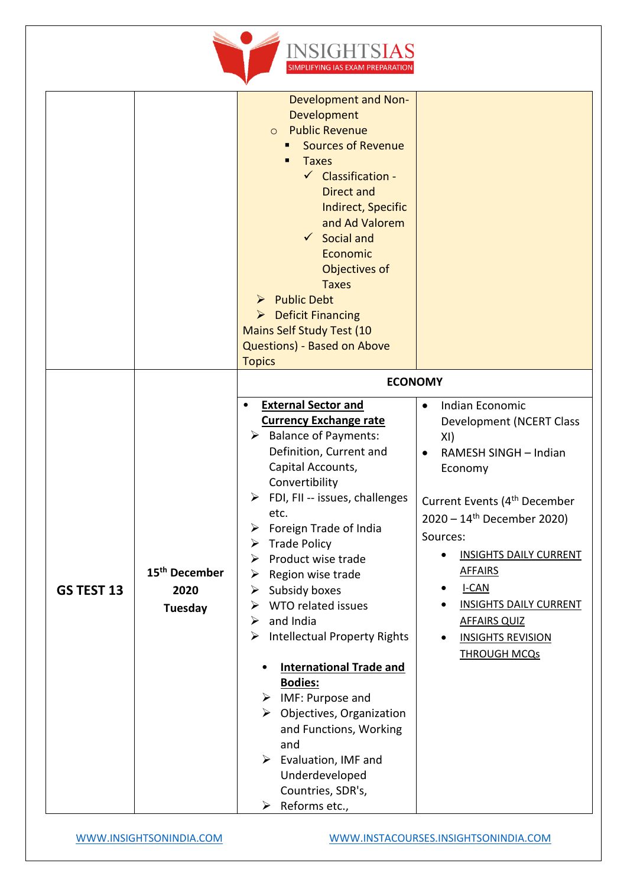

|            |                                              | Development and Non-<br>Development<br><b>Public Revenue</b><br>$\circ$<br><b>Sources of Revenue</b><br><b>Taxes</b><br>$\checkmark$ Classification -<br><b>Direct and</b><br><b>Indirect, Specific</b><br>and Ad Valorem<br>$\checkmark$ Social and<br>Economic<br>Objectives of<br><b>Taxes</b><br>$\triangleright$ Public Debt<br>$\triangleright$ Deficit Financing<br><b>Mains Self Study Test (10</b><br>Questions) - Based on Above<br><b>Topics</b>                                                                                                                                                                                                                                                            |                                                                                                                                                                                                                                                                                                                                                                      |
|------------|----------------------------------------------|------------------------------------------------------------------------------------------------------------------------------------------------------------------------------------------------------------------------------------------------------------------------------------------------------------------------------------------------------------------------------------------------------------------------------------------------------------------------------------------------------------------------------------------------------------------------------------------------------------------------------------------------------------------------------------------------------------------------|----------------------------------------------------------------------------------------------------------------------------------------------------------------------------------------------------------------------------------------------------------------------------------------------------------------------------------------------------------------------|
|            |                                              | <b>ECONOMY</b><br><b>External Sector and</b>                                                                                                                                                                                                                                                                                                                                                                                                                                                                                                                                                                                                                                                                           | Indian Economic<br>$\bullet$                                                                                                                                                                                                                                                                                                                                         |
| GS TEST 13 | 15 <sup>th</sup> December<br>2020<br>Tuesday | <b>Currency Exchange rate</b><br>$\triangleright$ Balance of Payments:<br>Definition, Current and<br>Capital Accounts,<br>Convertibility<br>FDI, FII -- issues, challenges<br>➤<br>etc.<br>Foreign Trade of India<br>➤<br>$\triangleright$ Trade Policy<br>Product wise trade<br>Region wise trade<br>➤<br>Subsidy boxes<br>➤<br>WTO related issues<br>➤<br>and India<br>➤<br><b>Intellectual Property Rights</b><br>$\blacktriangleright$<br><b>International Trade and</b><br><b>Bodies:</b><br>$\triangleright$ IMF: Purpose and<br>Objectives, Organization<br>≻<br>and Functions, Working<br>and<br>$\triangleright$ Evaluation, IMF and<br>Underdeveloped<br>Countries, SDR's,<br>$\triangleright$ Reforms etc., | <b>Development (NCERT Class</b><br>XI)<br>RAMESH SINGH - Indian<br>$\bullet$<br>Economy<br>Current Events (4 <sup>th</sup> December<br>$2020 - 14$ <sup>th</sup> December 2020)<br>Sources:<br><b>INSIGHTS DAILY CURRENT</b><br><b>AFFAIRS</b><br>$I-CAN$<br><b>INSIGHTS DAILY CURRENT</b><br><b>AFFAIRS QUIZ</b><br><b>INSIGHTS REVISION</b><br><b>THROUGH MCQs</b> |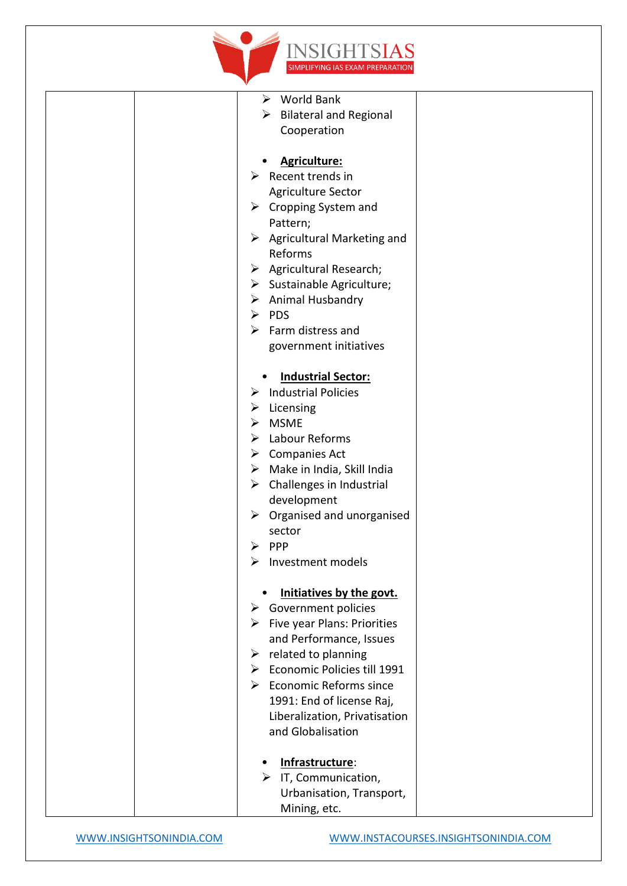

| v                                                         |  |
|-----------------------------------------------------------|--|
| $\triangleright$ World Bank                               |  |
| <b>Bilateral and Regional</b><br>➤                        |  |
| Cooperation                                               |  |
|                                                           |  |
| <b>Agriculture:</b>                                       |  |
| $\triangleright$ Recent trends in                         |  |
| <b>Agriculture Sector</b>                                 |  |
| $\triangleright$ Cropping System and                      |  |
| Pattern;                                                  |  |
| $\triangleright$ Agricultural Marketing and               |  |
| Reforms                                                   |  |
| $\triangleright$ Agricultural Research;                   |  |
| $\triangleright$ Sustainable Agriculture;                 |  |
|                                                           |  |
| $\triangleright$ Animal Husbandry<br>$\triangleright$ PDS |  |
| $\triangleright$ Farm distress and                        |  |
|                                                           |  |
| government initiatives                                    |  |
|                                                           |  |
| <b>Industrial Sector:</b>                                 |  |
| $\triangleright$ Industrial Policies                      |  |
| $\triangleright$ Licensing                                |  |
| <b>MSME</b><br>≻                                          |  |
| $\triangleright$ Labour Reforms                           |  |
| $\triangleright$ Companies Act                            |  |
| $\triangleright$ Make in India, Skill India               |  |
| $\triangleright$ Challenges in Industrial                 |  |
| development                                               |  |
| $\triangleright$ Organised and unorganised                |  |
| sector                                                    |  |
| $\triangleright$ PPP                                      |  |
| Investment models<br>➤                                    |  |
|                                                           |  |
| Initiatives by the govt.                                  |  |
| $\triangleright$ Government policies                      |  |
| $\triangleright$ Five year Plans: Priorities              |  |
| and Performance, Issues                                   |  |
| $\triangleright$ related to planning                      |  |
| Economic Policies till 1991<br>≻                          |  |
| $\triangleright$ Economic Reforms since                   |  |
| 1991: End of license Raj,                                 |  |
| Liberalization, Privatisation                             |  |
| and Globalisation                                         |  |
|                                                           |  |
| Infrastructure:                                           |  |
| IT, Communication,<br>➤                                   |  |
| Urbanisation, Transport,                                  |  |
| Mining, etc.                                              |  |
|                                                           |  |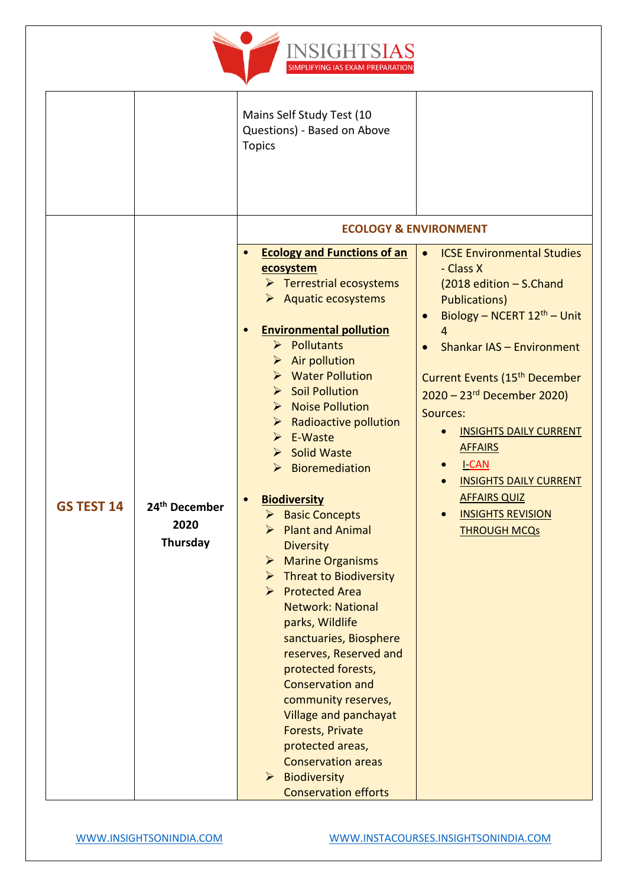

|                   |                                               | Mains Self Study Test (10<br>Questions) - Based on Above<br><b>Topics</b>                                                                                                                                                                                                                                                                                                                                                                                                                                                                                                                                                                                                                                                                                                                                                                                                                                                                                                                                                                                                                            |                                                                                                                                                                                                                                                                                                                                                                                                                                                                                               |
|-------------------|-----------------------------------------------|------------------------------------------------------------------------------------------------------------------------------------------------------------------------------------------------------------------------------------------------------------------------------------------------------------------------------------------------------------------------------------------------------------------------------------------------------------------------------------------------------------------------------------------------------------------------------------------------------------------------------------------------------------------------------------------------------------------------------------------------------------------------------------------------------------------------------------------------------------------------------------------------------------------------------------------------------------------------------------------------------------------------------------------------------------------------------------------------------|-----------------------------------------------------------------------------------------------------------------------------------------------------------------------------------------------------------------------------------------------------------------------------------------------------------------------------------------------------------------------------------------------------------------------------------------------------------------------------------------------|
| <b>GS TEST 14</b> | 24 <sup>th</sup> December<br>2020<br>Thursday | <b>ECOLOGY &amp; ENVIRONMENT</b><br><b>Ecology and Functions of an</b><br>ecosystem<br>$\triangleright$ Terrestrial ecosystems<br>$\triangleright$ Aquatic ecosystems<br><b>Environmental pollution</b><br>$\triangleright$ Pollutants<br>$\triangleright$ Air pollution<br>$\triangleright$ Water Pollution<br>Soil Pollution<br>> Noise Pollution<br>$\triangleright$ Radioactive pollution<br>$\triangleright$ E-Waste<br>$\triangleright$ Solid Waste<br>Bioremediation<br>$\blacktriangleright$<br><b>Biodiversity</b><br>> Basic Concepts<br><b>Plant and Animal</b><br>$\blacktriangleright$<br><b>Diversity</b><br>$\triangleright$ Marine Organisms<br><b>Threat to Biodiversity</b><br>➤<br><b>Protected Area</b><br>$\blacktriangleright$<br><b>Network: National</b><br>parks, Wildlife<br>sanctuaries, Biosphere<br>reserves, Reserved and<br>protected forests,<br><b>Conservation and</b><br>community reserves,<br>Village and panchayat<br><b>Forests, Private</b><br>protected areas,<br><b>Conservation areas</b><br>$\triangleright$ Biodiversity<br><b>Conservation efforts</b> | <b>ICSE Environmental Studies</b><br>$\bullet$<br>- Class X<br>$(2018$ edition $-$ S. Chand<br><b>Publications)</b><br>Biology - NCERT $12th$ - Unit<br>$\overline{4}$<br><b>Shankar IAS - Environment</b><br>Current Events (15 <sup>th</sup> December<br>$2020 - 23$ <sup>rd</sup> December 2020)<br>Sources:<br><b>INSIGHTS DAILY CURRENT</b><br><b>AFFAIRS</b><br><b>I-CAN</b><br><b>INSIGHTS DAILY CURRENT</b><br><b>AFFAIRS QUIZ</b><br><b>INSIGHTS REVISION</b><br><b>THROUGH MCQs</b> |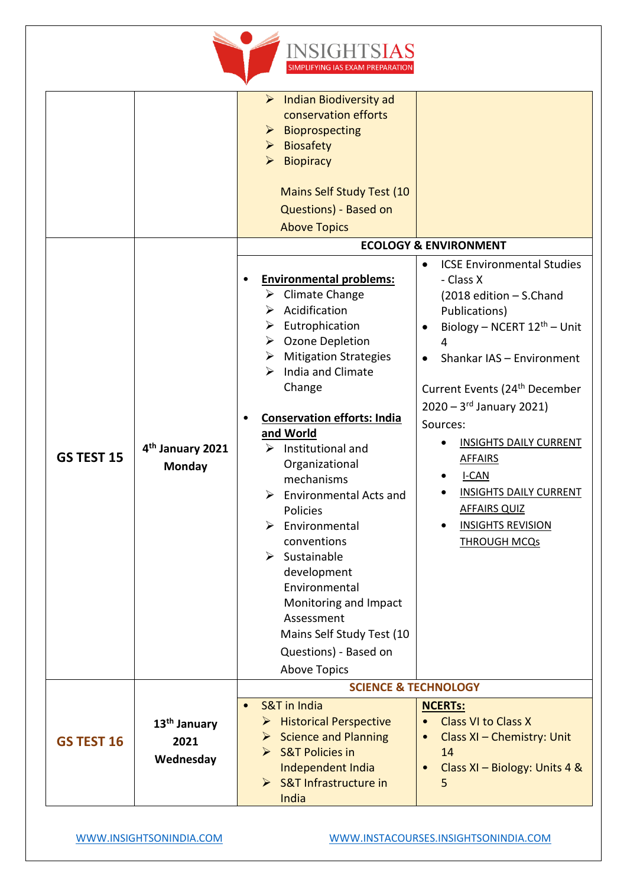

|                   |                                               | $\triangleright$ Indian Biodiversity ad<br>conservation efforts<br>$\triangleright$ Bioprospecting<br>$\triangleright$ Biosafety<br>$\triangleright$ Biopiracy<br><b>Mains Self Study Test (10</b><br>Questions) - Based on<br><b>Above Topics</b>                                                                                                                                                                                                                                                                                                                                                                              |                                                                                                                                                                                                                                                                                                                                                                                                                                                         |
|-------------------|-----------------------------------------------|---------------------------------------------------------------------------------------------------------------------------------------------------------------------------------------------------------------------------------------------------------------------------------------------------------------------------------------------------------------------------------------------------------------------------------------------------------------------------------------------------------------------------------------------------------------------------------------------------------------------------------|---------------------------------------------------------------------------------------------------------------------------------------------------------------------------------------------------------------------------------------------------------------------------------------------------------------------------------------------------------------------------------------------------------------------------------------------------------|
|                   |                                               |                                                                                                                                                                                                                                                                                                                                                                                                                                                                                                                                                                                                                                 | <b>ECOLOGY &amp; ENVIRONMENT</b>                                                                                                                                                                                                                                                                                                                                                                                                                        |
| GS TEST 15        | 4 <sup>th</sup> January 2021<br>Monday        | <b>Environmental problems:</b><br>$\triangleright$ Climate Change<br>Acidification<br>➤<br>$\triangleright$ Eutrophication<br>Ozone Depletion<br>➤<br>$\triangleright$ Mitigation Strategies<br>India and Climate<br>➤<br>Change<br><b>Conservation efforts: India</b><br>and World<br>Institutional and<br>➤<br>Organizational<br>mechanisms<br><b>Environmental Acts and</b><br>➤<br><b>Policies</b><br>Environmental<br>➤<br>conventions<br>$\triangleright$ Sustainable<br>development<br>Environmental<br>Monitoring and Impact<br>Assessment<br>Mains Self Study Test (10<br>Questions) - Based on<br><b>Above Topics</b> | <b>ICSE Environmental Studies</b><br>$\bullet$<br>- Class X<br>(2018 edition - S.Chand<br>Publications)<br>Biology - NCERT 12 <sup>th</sup> - Unit<br>4<br>Shankar IAS - Environment<br>Current Events (24 <sup>th</sup> December<br>$2020 - 3^{rd}$ January 2021)<br>Sources:<br><b>INSIGHTS DAILY CURRENT</b><br><b>AFFAIRS</b><br>$I-CAN$<br><b>INSIGHTS DAILY CURRENT</b><br><b>AFFAIRS QUIZ</b><br><b>INSIGHTS REVISION</b><br><b>THROUGH MCQs</b> |
| <b>GS TEST 16</b> | 13 <sup>th</sup> January<br>2021<br>Wednesday | <b>SCIENCE &amp; TECHNOLOGY</b><br><b>S&amp;T</b> in India<br><b>Historical Perspective</b><br>➤<br>$\triangleright$ Science and Planning<br><b>S&amp;T Policies in</b><br>$\triangleright$<br>Independent India<br>> S&T Infrastructure in<br>India                                                                                                                                                                                                                                                                                                                                                                            | <b>NCERTs:</b><br><b>Class VI to Class X</b><br>$\bullet$<br>Class XI - Chemistry: Unit<br>14<br>Class XI - Biology: Units 4 &<br>5                                                                                                                                                                                                                                                                                                                     |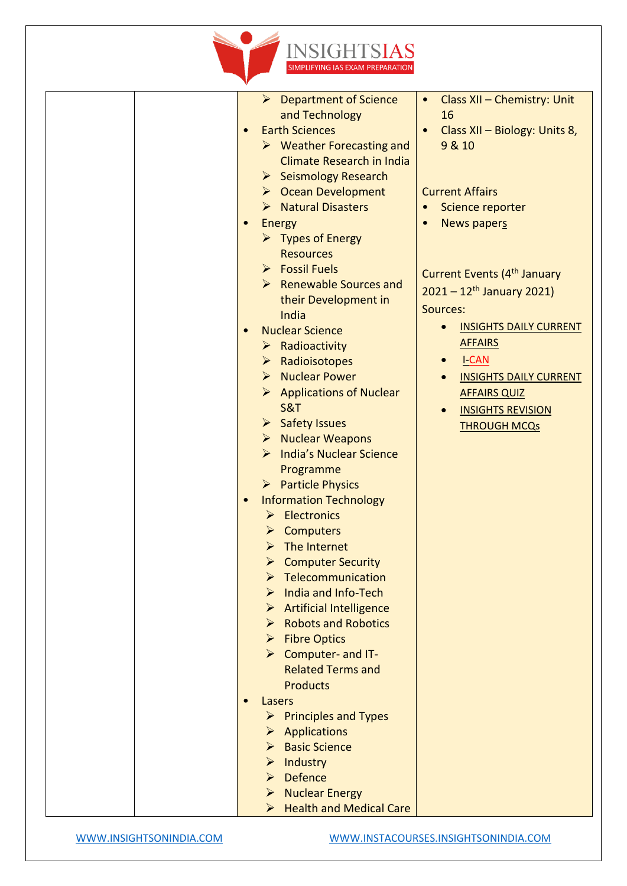

|  | $\triangleright$ Department of Science             | Class XII - Chemistry: Unit<br>$\bullet$<br>16 |
|--|----------------------------------------------------|------------------------------------------------|
|  | and Technology<br><b>Earth Sciences</b>            |                                                |
|  | $\triangleright$ Weather Forecasting and           | Class XII - Biology: Units 8,<br>9 & 10        |
|  | Climate Research in India                          |                                                |
|  |                                                    |                                                |
|  | $\triangleright$ Seismology Research               |                                                |
|  | > Ocean Development                                | <b>Current Affairs</b>                         |
|  | > Natural Disasters                                | Science reporter<br>$\bullet$                  |
|  | <b>Energy</b>                                      | News papers<br>$\bullet$                       |
|  | $\triangleright$ Types of Energy                   |                                                |
|  | <b>Resources</b>                                   |                                                |
|  | $\triangleright$ Fossil Fuels                      | Current Events (4 <sup>th</sup> January        |
|  | $\triangleright$ Renewable Sources and             | $2021 - 12$ <sup>th</sup> January 2021)        |
|  | their Development in                               | Sources:                                       |
|  | India                                              | <b>INSIGHTS DAILY CURRENT</b>                  |
|  | <b>Nuclear Science</b>                             |                                                |
|  | $\triangleright$ Radioactivity                     | <b>AFFAIRS</b>                                 |
|  | $\triangleright$ Radioisotopes                     | <b>I-CAN</b>                                   |
|  | > Nuclear Power                                    | <b>INSIGHTS DAILY CURRENT</b>                  |
|  | $\triangleright$ Applications of Nuclear           | <b>AFFAIRS QUIZ</b>                            |
|  | S&T                                                | <b>INSIGHTS REVISION</b>                       |
|  | > Safety Issues                                    | <b>THROUGH MCQs</b>                            |
|  | $\triangleright$ Nuclear Weapons                   |                                                |
|  | <b>India's Nuclear Science</b><br>$\triangleright$ |                                                |
|  | Programme                                          |                                                |
|  | > Particle Physics                                 |                                                |
|  | <b>Information Technology</b>                      |                                                |
|  | $\triangleright$ Electronics                       |                                                |
|  | Computers                                          |                                                |
|  | $\triangleright$ The Internet                      |                                                |
|  | <b>Computer Security</b><br>➤                      |                                                |
|  | Telecommunication                                  |                                                |
|  | India and Info-Tech<br>⋗                           |                                                |
|  | $\triangleright$ Artificial Intelligence           |                                                |
|  | $\triangleright$ Robots and Robotics               |                                                |
|  | $\triangleright$ Fibre Optics                      |                                                |
|  | $\triangleright$ Computer- and IT-                 |                                                |
|  | <b>Related Terms and</b>                           |                                                |
|  | <b>Products</b>                                    |                                                |
|  | Lasers                                             |                                                |
|  | $\triangleright$ Principles and Types              |                                                |
|  | $\triangleright$ Applications                      |                                                |
|  | $\triangleright$ Basic Science                     |                                                |
|  | $\triangleright$ Industry                          |                                                |
|  | $\triangleright$ Defence                           |                                                |
|  | $\triangleright$ Nuclear Energy                    |                                                |
|  | $\triangleright$ Health and Medical Care           |                                                |
|  |                                                    |                                                |

[WWW.INSIGHTSONINDIA.COM](file:///C:/Users/ADMIN/Desktop/FINAL/WWW.INSIGHTSONINDIA.COM) [WWW.INSTACOURSES.INSIGHTSONINDIA.COM](file:///C:/Users/ADMIN/Desktop/FINAL/WWW.INSTACOURSES.INSIGHTSONINDIA.COM)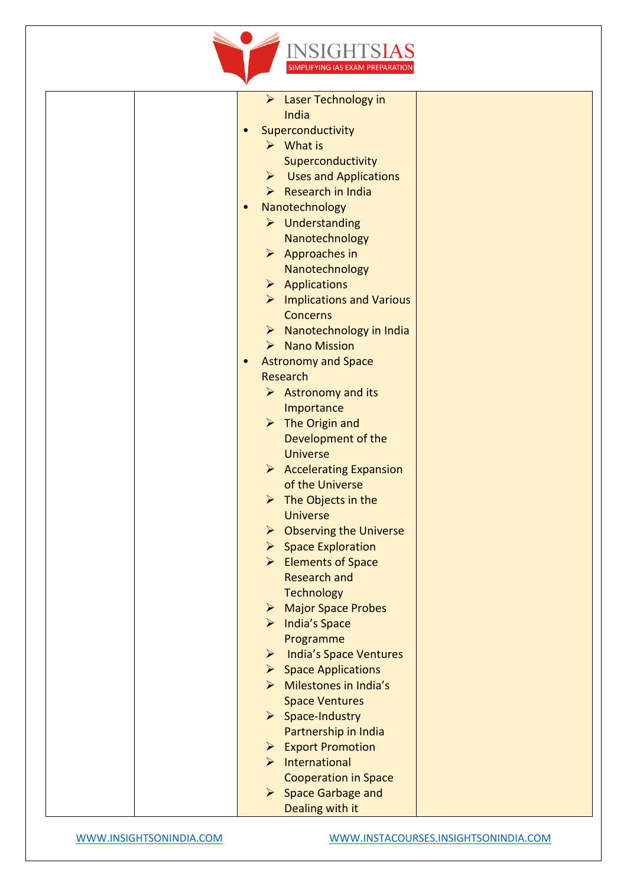

| $\triangleright$ Laser Technology in<br>India<br>Superconductivity<br>$\bullet$ |                                                                                                                                                                                                                                                                                                                                                                                                                                                                                                                                                                                                    |
|---------------------------------------------------------------------------------|----------------------------------------------------------------------------------------------------------------------------------------------------------------------------------------------------------------------------------------------------------------------------------------------------------------------------------------------------------------------------------------------------------------------------------------------------------------------------------------------------------------------------------------------------------------------------------------------------|
|                                                                                 |                                                                                                                                                                                                                                                                                                                                                                                                                                                                                                                                                                                                    |
|                                                                                 |                                                                                                                                                                                                                                                                                                                                                                                                                                                                                                                                                                                                    |
|                                                                                 |                                                                                                                                                                                                                                                                                                                                                                                                                                                                                                                                                                                                    |
|                                                                                 |                                                                                                                                                                                                                                                                                                                                                                                                                                                                                                                                                                                                    |
| Superconductivity                                                               |                                                                                                                                                                                                                                                                                                                                                                                                                                                                                                                                                                                                    |
| $\triangleright$ Uses and Applications                                          |                                                                                                                                                                                                                                                                                                                                                                                                                                                                                                                                                                                                    |
| $\triangleright$ Research in India                                              |                                                                                                                                                                                                                                                                                                                                                                                                                                                                                                                                                                                                    |
| Nanotechnology<br>$\bullet$                                                     |                                                                                                                                                                                                                                                                                                                                                                                                                                                                                                                                                                                                    |
| $\triangleright$ Understanding                                                  |                                                                                                                                                                                                                                                                                                                                                                                                                                                                                                                                                                                                    |
| Nanotechnology                                                                  |                                                                                                                                                                                                                                                                                                                                                                                                                                                                                                                                                                                                    |
| $\triangleright$ Approaches in                                                  |                                                                                                                                                                                                                                                                                                                                                                                                                                                                                                                                                                                                    |
| Nanotechnology                                                                  |                                                                                                                                                                                                                                                                                                                                                                                                                                                                                                                                                                                                    |
|                                                                                 |                                                                                                                                                                                                                                                                                                                                                                                                                                                                                                                                                                                                    |
|                                                                                 |                                                                                                                                                                                                                                                                                                                                                                                                                                                                                                                                                                                                    |
| <b>Concerns</b>                                                                 |                                                                                                                                                                                                                                                                                                                                                                                                                                                                                                                                                                                                    |
|                                                                                 |                                                                                                                                                                                                                                                                                                                                                                                                                                                                                                                                                                                                    |
|                                                                                 |                                                                                                                                                                                                                                                                                                                                                                                                                                                                                                                                                                                                    |
| $\bullet$                                                                       |                                                                                                                                                                                                                                                                                                                                                                                                                                                                                                                                                                                                    |
|                                                                                 |                                                                                                                                                                                                                                                                                                                                                                                                                                                                                                                                                                                                    |
|                                                                                 |                                                                                                                                                                                                                                                                                                                                                                                                                                                                                                                                                                                                    |
|                                                                                 |                                                                                                                                                                                                                                                                                                                                                                                                                                                                                                                                                                                                    |
|                                                                                 |                                                                                                                                                                                                                                                                                                                                                                                                                                                                                                                                                                                                    |
|                                                                                 |                                                                                                                                                                                                                                                                                                                                                                                                                                                                                                                                                                                                    |
|                                                                                 |                                                                                                                                                                                                                                                                                                                                                                                                                                                                                                                                                                                                    |
|                                                                                 |                                                                                                                                                                                                                                                                                                                                                                                                                                                                                                                                                                                                    |
|                                                                                 |                                                                                                                                                                                                                                                                                                                                                                                                                                                                                                                                                                                                    |
|                                                                                 |                                                                                                                                                                                                                                                                                                                                                                                                                                                                                                                                                                                                    |
|                                                                                 |                                                                                                                                                                                                                                                                                                                                                                                                                                                                                                                                                                                                    |
|                                                                                 |                                                                                                                                                                                                                                                                                                                                                                                                                                                                                                                                                                                                    |
|                                                                                 |                                                                                                                                                                                                                                                                                                                                                                                                                                                                                                                                                                                                    |
| $\blacktriangleright$                                                           |                                                                                                                                                                                                                                                                                                                                                                                                                                                                                                                                                                                                    |
| <b>Research and</b>                                                             |                                                                                                                                                                                                                                                                                                                                                                                                                                                                                                                                                                                                    |
| <b>Technology</b>                                                               |                                                                                                                                                                                                                                                                                                                                                                                                                                                                                                                                                                                                    |
| $\triangleright$ Major Space Probes                                             |                                                                                                                                                                                                                                                                                                                                                                                                                                                                                                                                                                                                    |
| $\triangleright$ India's Space                                                  |                                                                                                                                                                                                                                                                                                                                                                                                                                                                                                                                                                                                    |
| Programme                                                                       |                                                                                                                                                                                                                                                                                                                                                                                                                                                                                                                                                                                                    |
| <b>India's Space Ventures</b><br>$\blacktriangleright$                          |                                                                                                                                                                                                                                                                                                                                                                                                                                                                                                                                                                                                    |
| $\triangleright$ Space Applications                                             |                                                                                                                                                                                                                                                                                                                                                                                                                                                                                                                                                                                                    |
| $\triangleright$ Milestones in India's                                          |                                                                                                                                                                                                                                                                                                                                                                                                                                                                                                                                                                                                    |
| <b>Space Ventures</b>                                                           |                                                                                                                                                                                                                                                                                                                                                                                                                                                                                                                                                                                                    |
| $\triangleright$ Space-Industry                                                 |                                                                                                                                                                                                                                                                                                                                                                                                                                                                                                                                                                                                    |
| Partnership in India                                                            |                                                                                                                                                                                                                                                                                                                                                                                                                                                                                                                                                                                                    |
| > Export Promotion                                                              |                                                                                                                                                                                                                                                                                                                                                                                                                                                                                                                                                                                                    |
| $\triangleright$ International                                                  |                                                                                                                                                                                                                                                                                                                                                                                                                                                                                                                                                                                                    |
| <b>Cooperation in Space</b>                                                     |                                                                                                                                                                                                                                                                                                                                                                                                                                                                                                                                                                                                    |
| $\triangleright$ Space Garbage and                                              |                                                                                                                                                                                                                                                                                                                                                                                                                                                                                                                                                                                                    |
| Dealing with it                                                                 |                                                                                                                                                                                                                                                                                                                                                                                                                                                                                                                                                                                                    |
|                                                                                 | $\triangleright$ What is<br>$\triangleright$ Applications<br>$\triangleright$ Implications and Various<br>$\triangleright$ Nanotechnology in India<br>$\triangleright$ Nano Mission<br><b>Astronomy and Space</b><br>Research<br>$\triangleright$ Astronomy and its<br>Importance<br>$\triangleright$ The Origin and<br>Development of the<br><b>Universe</b><br>$\triangleright$ Accelerating Expansion<br>of the Universe<br>$\triangleright$ The Objects in the<br><b>Universe</b><br>$\triangleright$ Observing the Universe<br>$\triangleright$ Space Exploration<br><b>Elements of Space</b> |

[WWW.INSIGHTSONINDIA.COM](file:///C:/Users/ADMIN/Desktop/FINAL/WWW.INSIGHTSONINDIA.COM) [WWW.INSTACOURSES.INSIGHTSONINDIA.COM](file:///C:/Users/ADMIN/Desktop/FINAL/WWW.INSTACOURSES.INSIGHTSONINDIA.COM)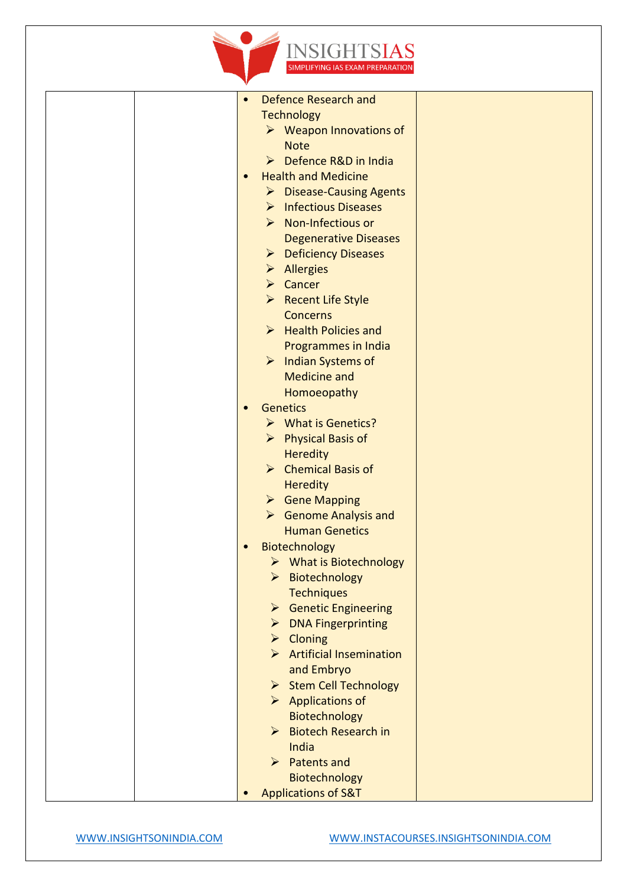

| <b>Defence Research and</b><br>$\bullet$ |  |
|------------------------------------------|--|
| <b>Technology</b>                        |  |
| $\triangleright$ Weapon Innovations of   |  |
| <b>Note</b>                              |  |
| $\triangleright$ Defence R&D in India    |  |
| <b>Health and Medicine</b><br>$\bullet$  |  |
| $\triangleright$ Disease-Causing Agents  |  |
| $\triangleright$ Infectious Diseases     |  |
| $\triangleright$ Non-Infectious or       |  |
| <b>Degenerative Diseases</b>             |  |
| $\triangleright$ Deficiency Diseases     |  |
| $\triangleright$ Allergies               |  |
| $\triangleright$ Cancer                  |  |
| Recent Life Style                        |  |
| Concerns                                 |  |
| $\triangleright$ Health Policies and     |  |
| Programmes in India                      |  |
| $\triangleright$ Indian Systems of       |  |
| <b>Medicine and</b>                      |  |
| Homoeopathy                              |  |
| <b>Genetics</b><br>$\bullet$             |  |
| $\triangleright$ What is Genetics?       |  |
| $\triangleright$ Physical Basis of       |  |
| <b>Heredity</b>                          |  |
| $\triangleright$ Chemical Basis of       |  |
| <b>Heredity</b>                          |  |
| $\triangleright$ Gene Mapping            |  |
| $\triangleright$ Genome Analysis and     |  |
| <b>Human Genetics</b>                    |  |
| Biotechnology                            |  |
| <b>What is Biotechnology</b><br>➤        |  |
| > Biotechnology                          |  |
| <b>Techniques</b>                        |  |
| $\triangleright$ Genetic Engineering     |  |
| $\triangleright$ DNA Fingerprinting      |  |
| $\triangleright$ Cloning                 |  |
| > Artificial Insemination                |  |
| and Embryo                               |  |
| > Stem Cell Technology                   |  |
| $\triangleright$ Applications of         |  |
| Biotechnology                            |  |
| > Biotech Research in                    |  |
| India                                    |  |
| $\triangleright$ Patents and             |  |
| Biotechnology                            |  |
| <b>Applications of S&amp;T</b>           |  |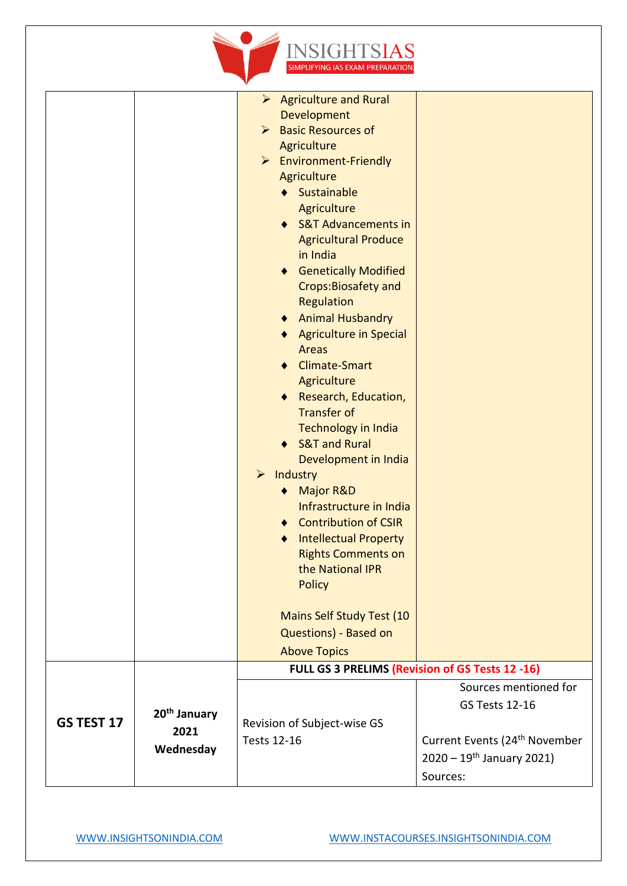

|            |                                               | $\triangleright$ Agriculture and Rural<br>Development<br><b>Basic Resources of</b><br>$\blacktriangleright$<br>Agriculture<br>$\triangleright$ Environment-Friendly<br>Agriculture<br>Sustainable<br>Agriculture<br><b>S&amp;T Advancements in</b><br><b>Agricultural Produce</b><br>in India<br><b>Genetically Modified</b><br>Crops: Biosafety and<br>Regulation<br><b>Animal Husbandry</b><br><b>Agriculture in Special</b><br><b>Areas</b><br><b>Climate-Smart</b><br>Agriculture<br>Research, Education,<br><b>Transfer of</b><br>Technology in India<br><b>S&amp;T and Rural</b><br>Development in India<br>Industry<br>$\blacktriangleright$<br><b>Major R&amp;D</b><br>٠<br>Infrastructure in India<br><b>Contribution of CSIR</b><br><b>Intellectual Property</b><br><b>Rights Comments on</b><br>the National IPR<br><b>Policy</b><br><b>Mains Self Study Test (10</b><br>Questions) - Based on<br><b>Above Topics</b> |                                                                                                                                                    |
|------------|-----------------------------------------------|----------------------------------------------------------------------------------------------------------------------------------------------------------------------------------------------------------------------------------------------------------------------------------------------------------------------------------------------------------------------------------------------------------------------------------------------------------------------------------------------------------------------------------------------------------------------------------------------------------------------------------------------------------------------------------------------------------------------------------------------------------------------------------------------------------------------------------------------------------------------------------------------------------------------------------|----------------------------------------------------------------------------------------------------------------------------------------------------|
|            |                                               | FULL GS 3 PRELIMS (Revision of GS Tests 12 -16)                                                                                                                                                                                                                                                                                                                                                                                                                                                                                                                                                                                                                                                                                                                                                                                                                                                                                  |                                                                                                                                                    |
| GS TEST 17 | 20 <sup>th</sup> January<br>2021<br>Wednesday | Revision of Subject-wise GS<br><b>Tests 12-16</b>                                                                                                                                                                                                                                                                                                                                                                                                                                                                                                                                                                                                                                                                                                                                                                                                                                                                                | Sources mentioned for<br><b>GS Tests 12-16</b><br>Current Events (24 <sup>th</sup> November<br>$2020 - 19$ <sup>th</sup> January 2021)<br>Sources: |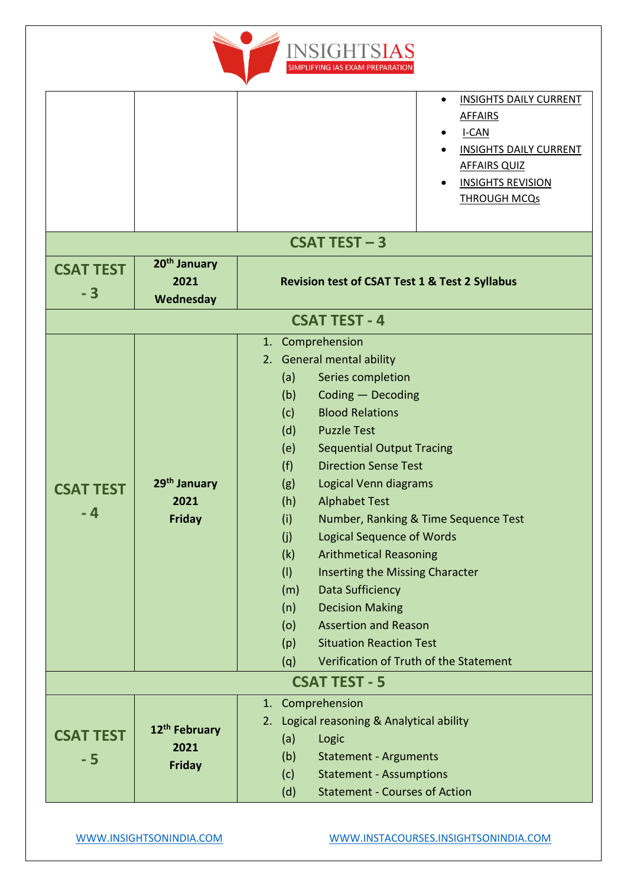

|                  |                           | <b>INSIGHTS DAILY CURRENT</b><br>$\bullet$<br><b>AFFAIRS</b><br>$I-CAN$<br><b>INSIGHTS DAILY CURRENT</b><br><b>AFFAIRS QUIZ</b> |  |
|------------------|---------------------------|---------------------------------------------------------------------------------------------------------------------------------|--|
|                  |                           | <b>INSIGHTS REVISION</b><br><b>THROUGH MCQs</b>                                                                                 |  |
|                  |                           | CSAT TEST $-3$                                                                                                                  |  |
| <b>CSAT TEST</b> | 20 <sup>th</sup> January  |                                                                                                                                 |  |
| $-3$             | 2021<br>Wednesday         | <b>Revision test of CSAT Test 1 &amp; Test 2 Syllabus</b>                                                                       |  |
|                  |                           | <b>CSAT TEST - 4</b>                                                                                                            |  |
|                  |                           | 1. Comprehension                                                                                                                |  |
|                  |                           | 2. General mental ability                                                                                                       |  |
|                  |                           | Series completion<br>(a)                                                                                                        |  |
|                  |                           | Coding - Decoding<br>(b)<br><b>Blood Relations</b><br>(c)                                                                       |  |
|                  |                           | (d)<br><b>Puzzle Test</b>                                                                                                       |  |
|                  |                           | <b>Sequential Output Tracing</b><br>(e)                                                                                         |  |
|                  |                           | (f)<br><b>Direction Sense Test</b>                                                                                              |  |
| <b>CSAT TEST</b> | 29 <sup>th</sup> January  | Logical Venn diagrams<br>(g)                                                                                                    |  |
|                  | 2021                      | <b>Alphabet Test</b><br>(h)                                                                                                     |  |
| - 4              | <b>Friday</b>             | (i)<br>Number, Ranking & Time Sequence Test                                                                                     |  |
|                  |                           | <b>Logical Sequence of Words</b><br>(j)                                                                                         |  |
|                  |                           | <b>Arithmetical Reasoning</b><br>(k)                                                                                            |  |
|                  |                           | (1)<br><b>Inserting the Missing Character</b>                                                                                   |  |
|                  |                           | (m)<br>Data Sufficiency                                                                                                         |  |
|                  |                           | <b>Decision Making</b><br>(n)                                                                                                   |  |
|                  |                           | <b>Assertion and Reason</b><br>(o)                                                                                              |  |
|                  |                           | <b>Situation Reaction Test</b><br>(p)<br>Verification of Truth of the Statement                                                 |  |
|                  |                           | (q)<br><b>CSAT TEST - 5</b>                                                                                                     |  |
|                  |                           | 1. Comprehension                                                                                                                |  |
|                  |                           | Logical reasoning & Analytical ability<br>2.                                                                                    |  |
| <b>CSAT TEST</b> | 12 <sup>th</sup> February | (a)<br>Logic                                                                                                                    |  |
| - 5              | 2021                      | (b)<br><b>Statement - Arguments</b>                                                                                             |  |
|                  | <b>Friday</b>             | <b>Statement - Assumptions</b><br>(c)                                                                                           |  |
|                  |                           | <b>Statement - Courses of Action</b><br>(d)                                                                                     |  |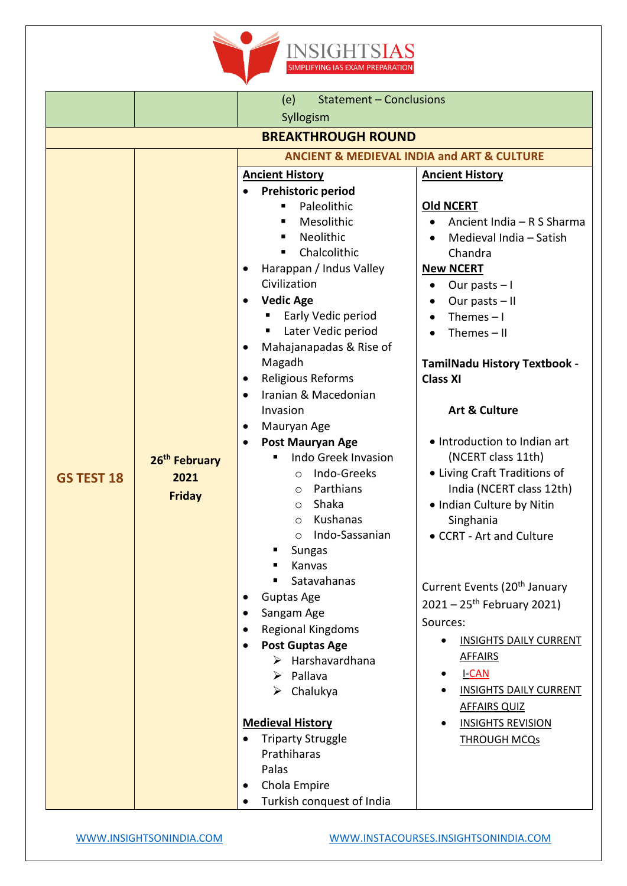

|                           |                           | <b>Statement - Conclusions</b><br>(e)                     |                                                 |  |
|---------------------------|---------------------------|-----------------------------------------------------------|-------------------------------------------------|--|
|                           |                           | Syllogism                                                 |                                                 |  |
| <b>BREAKTHROUGH ROUND</b> |                           |                                                           |                                                 |  |
|                           |                           | <b>ANCIENT &amp; MEDIEVAL INDIA and ART &amp; CULTURE</b> |                                                 |  |
|                           |                           | <b>Ancient History</b>                                    | <b>Ancient History</b>                          |  |
|                           |                           | Prehistoric period                                        |                                                 |  |
|                           |                           | Paleolithic<br>٠                                          | <b>Old NCERT</b>                                |  |
|                           |                           | Mesolithic<br>Neolithic                                   | Ancient India - R S Sharma                      |  |
|                           |                           | Chalcolithic<br>٠                                         | Medieval India - Satish<br>$\bullet$<br>Chandra |  |
|                           |                           | Harappan / Indus Valley                                   | <b>New NCERT</b>                                |  |
|                           |                           | Civilization                                              | Our pasts $-1$<br>$\bullet$                     |  |
|                           |                           | <b>Vedic Age</b>                                          | Our pasts - II<br>$\bullet$                     |  |
|                           |                           | Early Vedic period                                        | Themes $-1$<br>$\bullet$                        |  |
|                           |                           | Later Vedic period                                        | Themes $-$ II                                   |  |
|                           |                           | Mahajanapadas & Rise of                                   |                                                 |  |
|                           |                           | Magadh                                                    | TamilNadu History Textbook -                    |  |
|                           | $\bullet$                 | <b>Religious Reforms</b>                                  | <b>Class XI</b>                                 |  |
|                           | $\bullet$                 | Iranian & Macedonian                                      |                                                 |  |
|                           |                           | Invasion                                                  | <b>Art &amp; Culture</b>                        |  |
|                           | ٠                         | Mauryan Age                                               |                                                 |  |
|                           | $\bullet$                 | Post Mauryan Age                                          | • Introduction to Indian art                    |  |
|                           | 26 <sup>th</sup> February | Indo Greek Invasion                                       | (NCERT class 11th)                              |  |
| <b>GS TEST 18</b>         | 2021                      | Indo-Greeks<br>$\circ$                                    | • Living Craft Traditions of                    |  |
|                           | <b>Friday</b>             | Parthians<br>$\circ$<br>Shaka                             | India (NCERT class 12th)                        |  |
|                           |                           | $\circ$<br>Kushanas<br>$\circ$                            | • Indian Culture by Nitin<br>Singhania          |  |
|                           |                           | Indo-Sassanian<br>$\circ$                                 | • CCRT - Art and Culture                        |  |
|                           |                           | <b>Sungas</b>                                             |                                                 |  |
|                           |                           | Kanvas<br>■                                               |                                                 |  |
|                           |                           | Satavahanas                                               | Current Events (20 <sup>th</sup> January        |  |
|                           | $\bullet$                 | <b>Guptas Age</b>                                         |                                                 |  |
|                           | $\bullet$                 | Sangam Age                                                | $2021 - 25$ <sup>th</sup> February 2021)        |  |
|                           |                           | <b>Regional Kingdoms</b>                                  | Sources:                                        |  |
|                           |                           | <b>Post Guptas Age</b>                                    | <b>INSIGHTS DAILY CURRENT</b>                   |  |
|                           |                           | $\triangleright$ Harshavardhana                           | <b>AFFAIRS</b>                                  |  |
|                           |                           | $\triangleright$ Pallava                                  | <b>I-CAN</b>                                    |  |
|                           |                           | $\triangleright$ Chalukya                                 | <b>INSIGHTS DAILY CURRENT</b>                   |  |
|                           |                           | <b>Medieval History</b>                                   | <b>AFFAIRS QUIZ</b>                             |  |
|                           |                           | <b>Triparty Struggle</b>                                  | <b>INSIGHTS REVISION</b><br><b>THROUGH MCQs</b> |  |
|                           |                           | Prathiharas                                               |                                                 |  |
|                           |                           | Palas                                                     |                                                 |  |
|                           | $\bullet$                 | Chola Empire                                              |                                                 |  |
|                           |                           | Turkish conquest of India                                 |                                                 |  |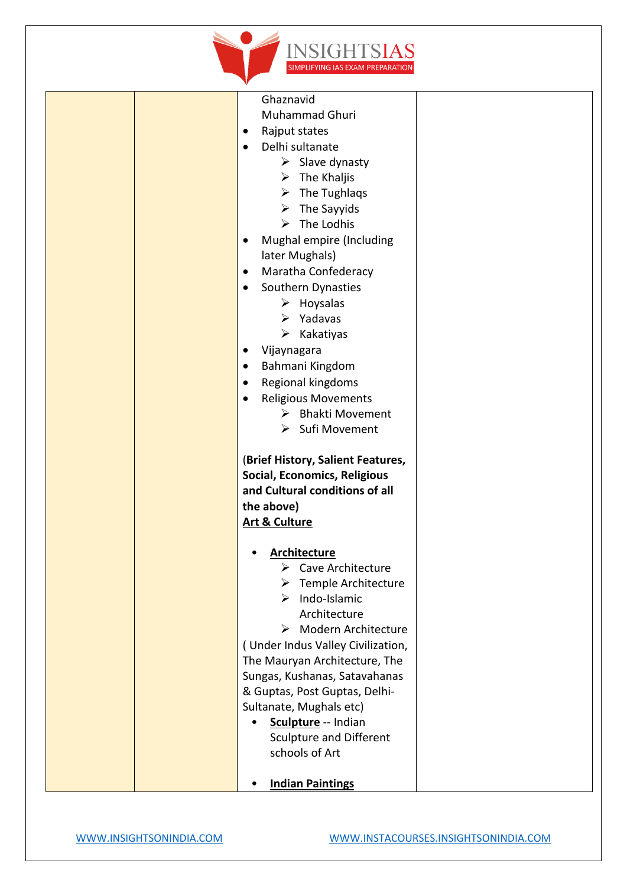

| Ghaznavid<br>Muhammad Ghuri<br>Rajput states<br>$\bullet$<br>Delhi sultanate<br>$\bullet$<br>$\triangleright$ Slave dynasty<br>$\triangleright$ The Khaljis<br>$\triangleright$ The Tughlaqs<br>$\triangleright$ The Sayyids<br>$\triangleright$ The Lodhis<br>Mughal empire (Including<br>٠<br>later Mughals)<br>Maratha Confederacy<br>$\bullet$<br>Southern Dynasties<br>$\bullet$<br>$\triangleright$ Hoysalas<br>$\triangleright$ Yadavas<br>Kakatiyas<br>➤<br>Vijaynagara<br>$\bullet$<br>Bahmani Kingdom<br>٠<br>Regional kingdoms<br>$\bullet$<br><b>Religious Movements</b><br>٠<br>$\triangleright$ Bhakti Movement<br>$\triangleright$ Sufi Movement |  |
|-----------------------------------------------------------------------------------------------------------------------------------------------------------------------------------------------------------------------------------------------------------------------------------------------------------------------------------------------------------------------------------------------------------------------------------------------------------------------------------------------------------------------------------------------------------------------------------------------------------------------------------------------------------------|--|
| (Brief History, Salient Features,<br>Social, Economics, Religious<br>and Cultural conditions of all<br>the above)<br><b>Art &amp; Culture</b>                                                                                                                                                                                                                                                                                                                                                                                                                                                                                                                   |  |
| <b>Architecture</b><br>$\triangleright$ Cave Architecture<br>Temple Architecture<br>➤<br>Indo-Islamic<br>➤<br>Architecture<br>Modern Architecture<br>➤<br>(Under Indus Valley Civilization,<br>The Mauryan Architecture, The<br>Sungas, Kushanas, Satavahanas<br>& Guptas, Post Guptas, Delhi-<br>Sultanate, Mughals etc)<br>Sculpture -- Indian<br>$\bullet$<br>Sculpture and Different<br>schools of Art                                                                                                                                                                                                                                                      |  |
| <b>Indian Paintings</b>                                                                                                                                                                                                                                                                                                                                                                                                                                                                                                                                                                                                                                         |  |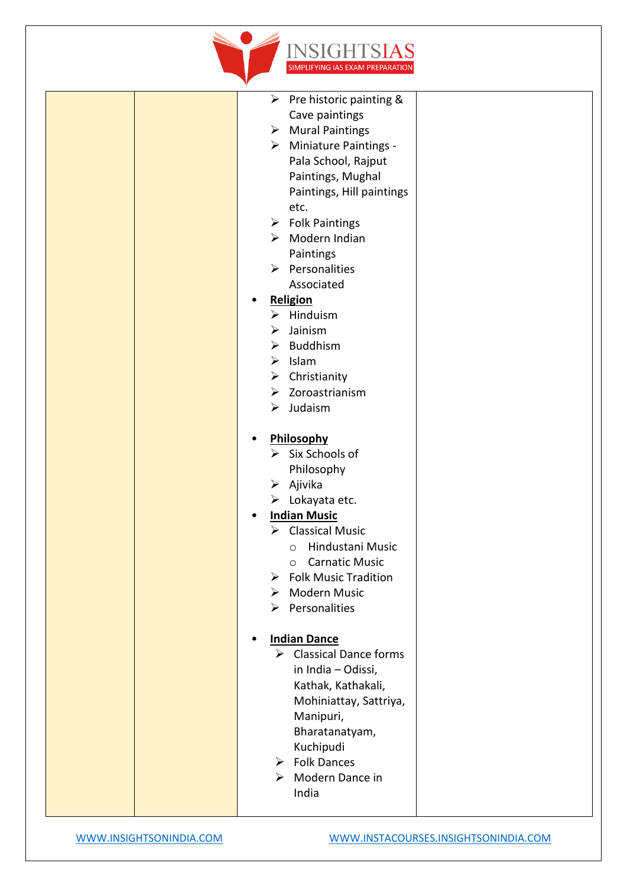

|  | $\triangleright$ Pre historic painting &             |
|--|------------------------------------------------------|
|  | Cave paintings                                       |
|  | $\triangleright$ Mural Paintings                     |
|  | Miniature Paintings -<br>➤                           |
|  | Pala School, Rajput                                  |
|  | Paintings, Mughal                                    |
|  | Paintings, Hill paintings                            |
|  | etc.                                                 |
|  | $\triangleright$ Folk Paintings                      |
|  | $\triangleright$ Modern Indian                       |
|  | Paintings                                            |
|  | $\triangleright$ Personalities                       |
|  | Associated                                           |
|  | <b>Religion</b><br>٠                                 |
|  | $\triangleright$ Hinduism                            |
|  | Jainism<br>➤                                         |
|  | <b>Buddhism</b><br>➤                                 |
|  | Islam<br>➤                                           |
|  | $\triangleright$ Christianity                        |
|  | $\triangleright$ Zoroastrianism                      |
|  | $\triangleright$ Judaism                             |
|  |                                                      |
|  | Philosophy                                           |
|  | $\triangleright$ Six Schools of                      |
|  | Philosophy                                           |
|  | $\triangleright$ Ajivika                             |
|  | $\triangleright$ Lokayata etc.                       |
|  | <b>Indian Music</b>                                  |
|  | <b>Classical Music</b><br>➤                          |
|  |                                                      |
|  | Hindustani Music<br>$\circ$<br><b>Carnatic Music</b> |
|  | $\circ$<br><b>Folk Music Tradition</b><br>➤          |
|  | <b>Modern Music</b><br>≻                             |
|  | $\triangleright$ Personalities                       |
|  |                                                      |
|  | <b>Indian Dance</b><br>$\bullet$                     |
|  | $\triangleright$ Classical Dance forms               |
|  |                                                      |
|  | in India - Odissi,                                   |
|  | Kathak, Kathakali,                                   |
|  | Mohiniattay, Sattriya,                               |
|  | Manipuri,                                            |
|  | Bharatanatyam,                                       |
|  | Kuchipudi                                            |
|  | $\triangleright$ Folk Dances                         |
|  | $\triangleright$ Modern Dance in                     |
|  | India                                                |
|  |                                                      |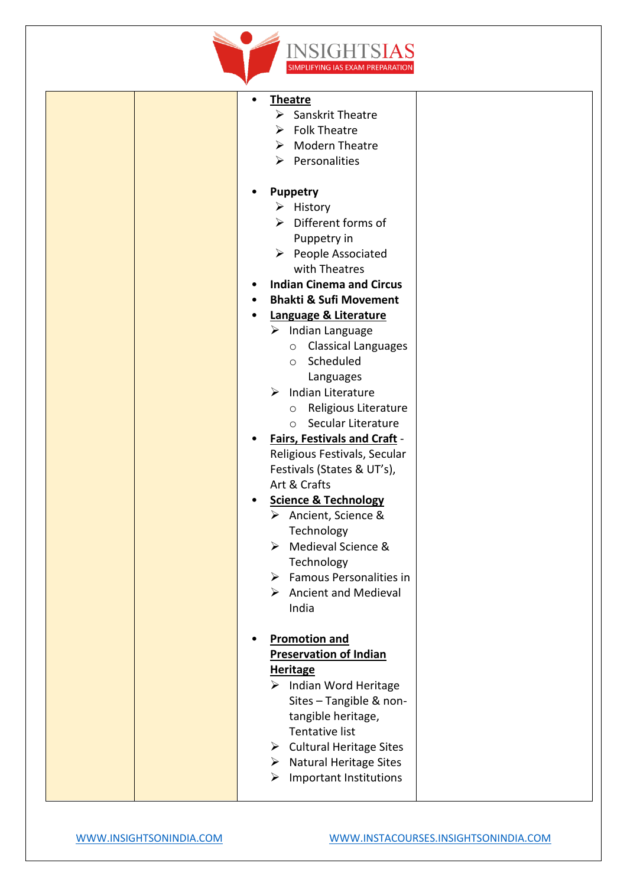

|  | <b>Theatre</b><br>$\bullet$<br>Sanskrit Theatre<br>⋗<br><b>Folk Theatre</b><br>➤<br><b>Modern Theatre</b><br>➤<br>$\triangleright$ Personalities                                                                                                                                                                                                                                                                                  |  |
|--|-----------------------------------------------------------------------------------------------------------------------------------------------------------------------------------------------------------------------------------------------------------------------------------------------------------------------------------------------------------------------------------------------------------------------------------|--|
|  | <b>Puppetry</b><br>$\triangleright$ History<br>Different forms of<br>➤<br>Puppetry in<br>$\triangleright$ People Associated<br>with Theatres<br><b>Indian Cinema and Circus</b><br>٠<br><b>Bhakti &amp; Sufi Movement</b><br>Language & Literature<br>$\triangleright$ Indian Language<br><b>Classical Languages</b><br>$\circ$<br>Scheduled<br>$\circ$<br>Languages<br>Indian Literature<br>≻<br>Religious Literature<br>$\circ$ |  |
|  | Secular Literature<br>$\circ$<br><b>Fairs, Festivals and Craft -</b><br>Religious Festivals, Secular<br>Festivals (States & UT's),<br>Art & Crafts<br><b>Science &amp; Technology</b><br>٠<br>> Ancient, Science &<br>Technology<br>> Medieval Science &<br>Technology<br>$\triangleright$ Famous Personalities in<br>$\triangleright$ Ancient and Medieval<br>India                                                              |  |
|  | <b>Promotion and</b><br><b>Preservation of Indian</b><br><b>Heritage</b><br>> Indian Word Heritage<br>Sites - Tangible & non-<br>tangible heritage,<br><b>Tentative list</b><br>$\triangleright$ Cultural Heritage Sites<br>$\triangleright$ Natural Heritage Sites<br><b>Important Institutions</b><br>➤                                                                                                                         |  |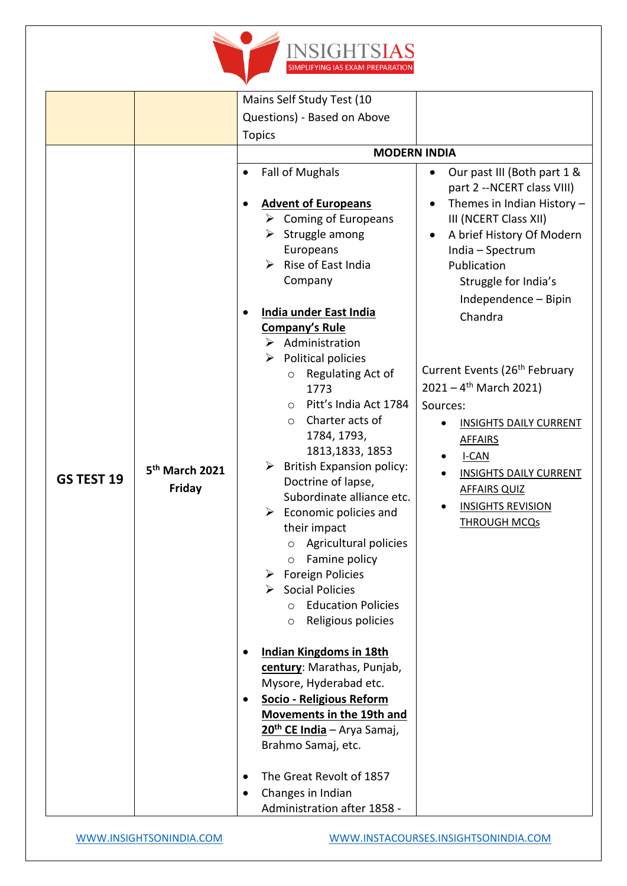

|            |                                      | Mains Self Study Test (10                                                                                                                                                                                                                                                                                                                                                                                                                                                                                                                                                                                                                                                                                                                                                                                                                                                                                                                                                                                                                                                                                                                     |                                                                                                                                                                                                                                                                                                                                                                                                                                                                                                                                       |
|------------|--------------------------------------|-----------------------------------------------------------------------------------------------------------------------------------------------------------------------------------------------------------------------------------------------------------------------------------------------------------------------------------------------------------------------------------------------------------------------------------------------------------------------------------------------------------------------------------------------------------------------------------------------------------------------------------------------------------------------------------------------------------------------------------------------------------------------------------------------------------------------------------------------------------------------------------------------------------------------------------------------------------------------------------------------------------------------------------------------------------------------------------------------------------------------------------------------|---------------------------------------------------------------------------------------------------------------------------------------------------------------------------------------------------------------------------------------------------------------------------------------------------------------------------------------------------------------------------------------------------------------------------------------------------------------------------------------------------------------------------------------|
|            |                                      | Questions) - Based on Above                                                                                                                                                                                                                                                                                                                                                                                                                                                                                                                                                                                                                                                                                                                                                                                                                                                                                                                                                                                                                                                                                                                   |                                                                                                                                                                                                                                                                                                                                                                                                                                                                                                                                       |
|            |                                      |                                                                                                                                                                                                                                                                                                                                                                                                                                                                                                                                                                                                                                                                                                                                                                                                                                                                                                                                                                                                                                                                                                                                               |                                                                                                                                                                                                                                                                                                                                                                                                                                                                                                                                       |
|            |                                      | <b>Topics</b>                                                                                                                                                                                                                                                                                                                                                                                                                                                                                                                                                                                                                                                                                                                                                                                                                                                                                                                                                                                                                                                                                                                                 |                                                                                                                                                                                                                                                                                                                                                                                                                                                                                                                                       |
| GS TEST 19 | 5 <sup>th</sup> March 2021<br>Friday | <b>MODERN INDIA</b><br><b>Fall of Mughals</b><br><b>Advent of Europeans</b><br>$\triangleright$ Coming of Europeans<br>$\triangleright$ Struggle among<br>Europeans<br>$\triangleright$ Rise of East India<br>Company<br>India under East India<br><b>Company's Rule</b><br>$\triangleright$ Administration<br>Political policies<br>➤<br>Regulating Act of<br>$\circ$<br>1773<br>Pitt's India Act 1784<br>$\circ$<br>Charter acts of<br>$\circ$<br>1784, 1793,<br>1813, 1833, 1853<br><b>British Expansion policy:</b><br>➤<br>Doctrine of lapse,<br>Subordinate alliance etc.<br>$\triangleright$ Economic policies and<br>their impact<br>o Agricultural policies<br><b>Famine policy</b><br><b>Foreign Policies</b><br>➤<br>$\triangleright$ Social Policies<br><b>Education Policies</b><br>$\circ$<br>Religious policies<br>$\circ$<br><b>Indian Kingdoms in 18th</b><br>century: Marathas, Punjab,<br>Mysore, Hyderabad etc.<br>Socio - Religious Reform<br>Movements in the 19th and<br>20 <sup>th</sup> CE India - Arya Samaj,<br>Brahmo Samaj, etc.<br>The Great Revolt of 1857<br>Changes in Indian<br>Administration after 1858 - | Our past III (Both part 1 &<br>$\bullet$<br>part 2 -- NCERT class VIII)<br>Themes in Indian History $-$<br>III (NCERT Class XII)<br>A brief History Of Modern<br>India - Spectrum<br>Publication<br>Struggle for India's<br>Independence - Bipin<br>Chandra<br>Current Events (26 <sup>th</sup> February<br>$2021 - 4$ <sup>th</sup> March 2021)<br>Sources:<br><b>INSIGHTS DAILY CURRENT</b><br><b>AFFAIRS</b><br>$I-CAN$<br><b>INSIGHTS DAILY CURRENT</b><br><b>AFFAIRS QUIZ</b><br><b>INSIGHTS REVISION</b><br><b>THROUGH MCQs</b> |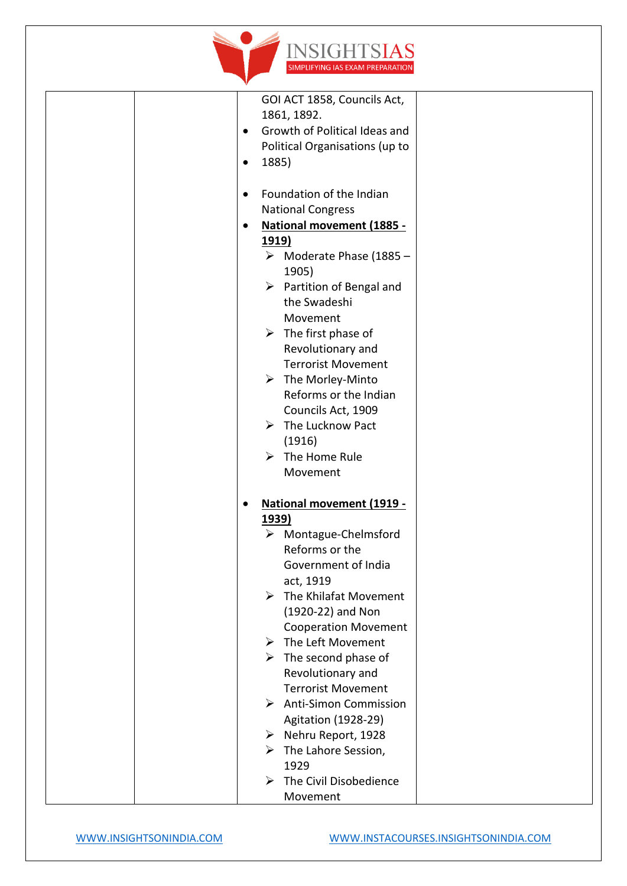

| GOI ACT 1858, Councils Act,<br>1861, 1892.<br>Growth of Political Ideas and<br>Political Organisations (up to<br>1885)<br>٠<br>Foundation of the Indian<br><b>National Congress</b><br>National movement (1885 -<br><u>1919)</u><br>$\triangleright$ Moderate Phase (1885 –<br>1905)<br>$\triangleright$ Partition of Bengal and<br>the Swadeshi<br>Movement<br>$\triangleright$ The first phase of<br>Revolutionary and<br><b>Terrorist Movement</b><br>$\triangleright$ The Morley-Minto<br>Reforms or the Indian<br>Councils Act, 1909<br>$\triangleright$ The Lucknow Pact<br>(1916)<br>$\triangleright$ The Home Rule<br>Movement |
|----------------------------------------------------------------------------------------------------------------------------------------------------------------------------------------------------------------------------------------------------------------------------------------------------------------------------------------------------------------------------------------------------------------------------------------------------------------------------------------------------------------------------------------------------------------------------------------------------------------------------------------|
| National movement (1919 -<br><u>1939)</u><br>Montague-Chelmsford<br>Reforms or the<br>Government of India<br>act, 1919<br>$\triangleright$ The Khilafat Movement<br>(1920-22) and Non<br><b>Cooperation Movement</b><br>The Left Movement<br>➤<br>$\triangleright$ The second phase of<br>Revolutionary and<br><b>Terrorist Movement</b><br>$\triangleright$ Anti-Simon Commission<br>Agitation (1928-29)<br>> Nehru Report, 1928<br>$\triangleright$ The Lahore Session,<br>1929<br>The Civil Disobedience<br>➤<br>Movement                                                                                                           |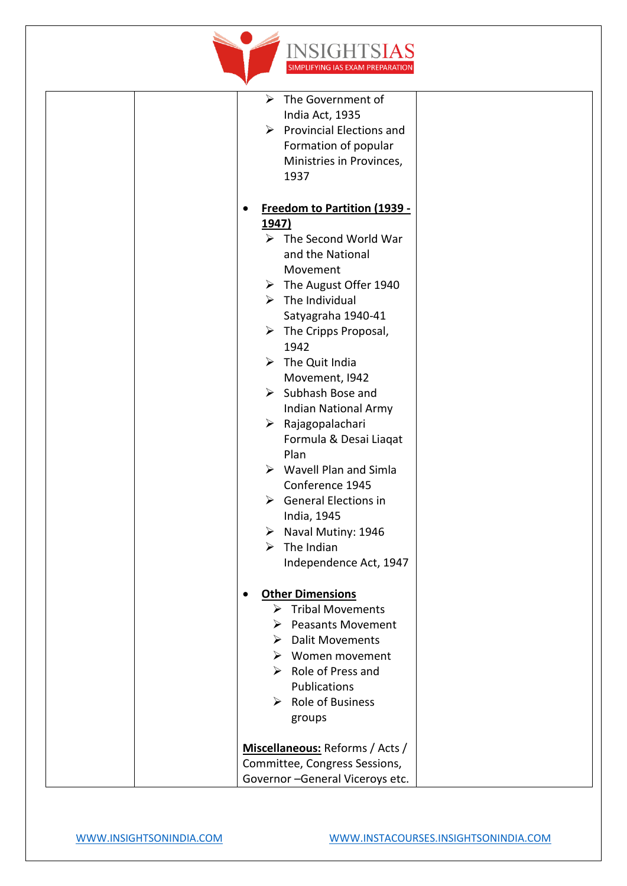

| The Government of<br>➤                    |
|-------------------------------------------|
| India Act, 1935                           |
| $\triangleright$ Provincial Elections and |
| Formation of popular                      |
| Ministries in Provinces,                  |
| 1937                                      |
|                                           |
| Freedom to Partition (1939 -              |
| <u>1947)</u>                              |
| $\triangleright$ The Second World War     |
| and the National                          |
| Movement                                  |
| $\triangleright$ The August Offer 1940    |
| $\triangleright$ The Individual           |
| Satyagraha 1940-41                        |
| $\triangleright$ The Cripps Proposal,     |
| 1942                                      |
| The Quit India<br>$\blacktriangleright$   |
| Movement, 1942                            |
| $\triangleright$ Subhash Bose and         |
| <b>Indian National Army</b>               |
| $\triangleright$ Rajagopalachari          |
| Formula & Desai Liaqat                    |
| Plan                                      |
| $\triangleright$ Wavell Plan and Simla    |
| Conference 1945                           |
| $\triangleright$ General Elections in     |
| India, 1945                               |
| Naval Mutiny: 1946<br>➤                   |
| The Indian<br>➤                           |
| Independence Act, 1947                    |
|                                           |
| <b>Other Dimensions</b>                   |
| $\triangleright$ Tribal Movements         |
| <b>Peasants Movement</b><br>⋗             |
| <b>Dalit Movements</b><br>➤               |
| $\triangleright$ Women movement           |
| $\triangleright$ Role of Press and        |
| Publications                              |
| $\triangleright$ Role of Business         |
| groups                                    |
|                                           |
| Miscellaneous: Reforms / Acts /           |
| Committee, Congress Sessions,             |
| Governor - General Viceroys etc.          |
|                                           |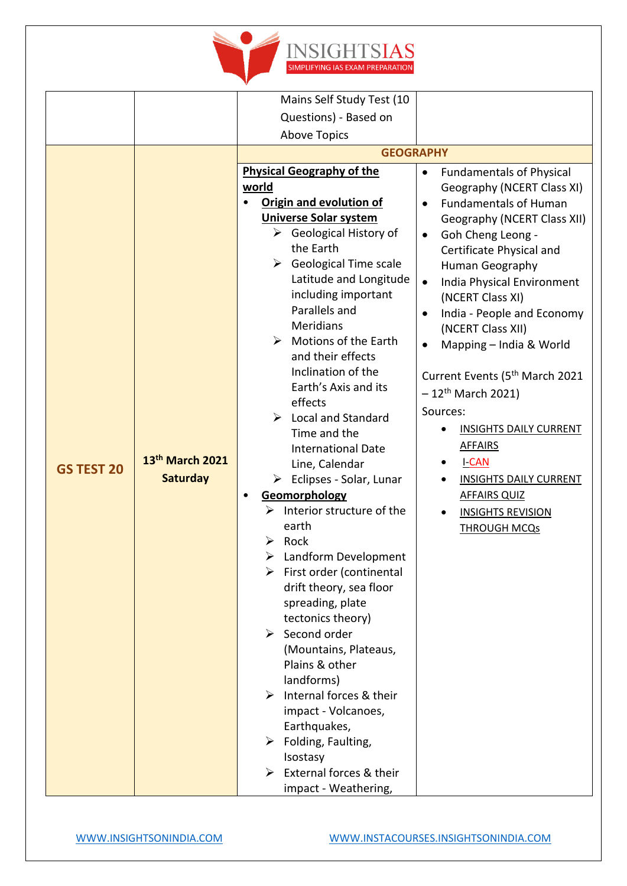

|                   |                             | Mains Self Study Test (10                                  |                                                                                          |
|-------------------|-----------------------------|------------------------------------------------------------|------------------------------------------------------------------------------------------|
|                   |                             | Questions) - Based on                                      |                                                                                          |
|                   |                             | <b>Above Topics</b>                                        |                                                                                          |
|                   |                             | <b>GEOGRAPHY</b>                                           |                                                                                          |
|                   |                             |                                                            |                                                                                          |
|                   |                             | <b>Physical Geography of the</b><br>world                  | <b>Fundamentals of Physical</b><br>$\bullet$<br>Geography (NCERT Class XI)               |
|                   |                             | <b>Origin and evolution of</b>                             | <b>Fundamentals of Human</b><br>$\bullet$                                                |
|                   |                             | <b>Universe Solar system</b>                               | Geography (NCERT Class XII)                                                              |
|                   |                             | $\triangleright$ Geological History of                     | Goh Cheng Leong -<br>$\bullet$                                                           |
|                   |                             | the Earth                                                  | Certificate Physical and                                                                 |
|                   |                             | $\triangleright$ Geological Time scale                     | Human Geography                                                                          |
|                   |                             | Latitude and Longitude                                     | India Physical Environment<br>$\bullet$                                                  |
|                   |                             | including important                                        | (NCERT Class XI)                                                                         |
|                   |                             | Parallels and                                              | India - People and Economy                                                               |
|                   |                             | <b>Meridians</b>                                           | (NCERT Class XII)                                                                        |
|                   |                             | $\triangleright$ Motions of the Earth<br>and their effects | Mapping - India & World                                                                  |
|                   |                             | Inclination of the                                         |                                                                                          |
|                   |                             | Earth's Axis and its                                       | Current Events (5 <sup>th</sup> March 2021<br>- 12 <sup>th</sup> March 2021)<br>Sources: |
|                   |                             | effects                                                    |                                                                                          |
|                   |                             | <b>Local and Standard</b><br>$\blacktriangleright$         |                                                                                          |
|                   |                             | Time and the                                               | <b>INSIGHTS DAILY CURRENT</b><br><b>AFFAIRS</b><br>$I-CAN$                               |
|                   |                             | <b>International Date</b>                                  |                                                                                          |
| <b>GS TEST 20</b> | 13 <sup>th</sup> March 2021 | Line, Calendar                                             |                                                                                          |
|                   | <b>Saturday</b>             | $\triangleright$ Eclipses - Solar, Lunar                   | <b>INSIGHTS DAILY CURRENT</b>                                                            |
|                   |                             | Geomorphology                                              | <b>AFFAIRS QUIZ</b>                                                                      |
|                   |                             | Interior structure of the<br>⋗                             | <b>INSIGHTS REVISION</b>                                                                 |
|                   |                             | earth<br>Rock                                              | <b>THROUGH MCQs</b>                                                                      |
|                   |                             | $\triangleright$ Landform Development                      |                                                                                          |
|                   |                             | $\triangleright$ First order (continental                  |                                                                                          |
|                   |                             | drift theory, sea floor                                    |                                                                                          |
|                   |                             | spreading, plate                                           |                                                                                          |
|                   |                             | tectonics theory)                                          |                                                                                          |
|                   |                             | $\triangleright$ Second order                              |                                                                                          |
|                   |                             | (Mountains, Plateaus,                                      |                                                                                          |
|                   |                             | Plains & other                                             |                                                                                          |
|                   |                             | landforms)                                                 |                                                                                          |
|                   |                             | Internal forces & their<br>➤                               |                                                                                          |
|                   |                             | impact - Volcanoes,                                        |                                                                                          |
|                   |                             | Earthquakes,<br>$\triangleright$ Folding, Faulting,        |                                                                                          |
|                   |                             | Isostasy                                                   |                                                                                          |
|                   |                             | $\triangleright$ External forces & their                   |                                                                                          |
|                   |                             | impact - Weathering,                                       |                                                                                          |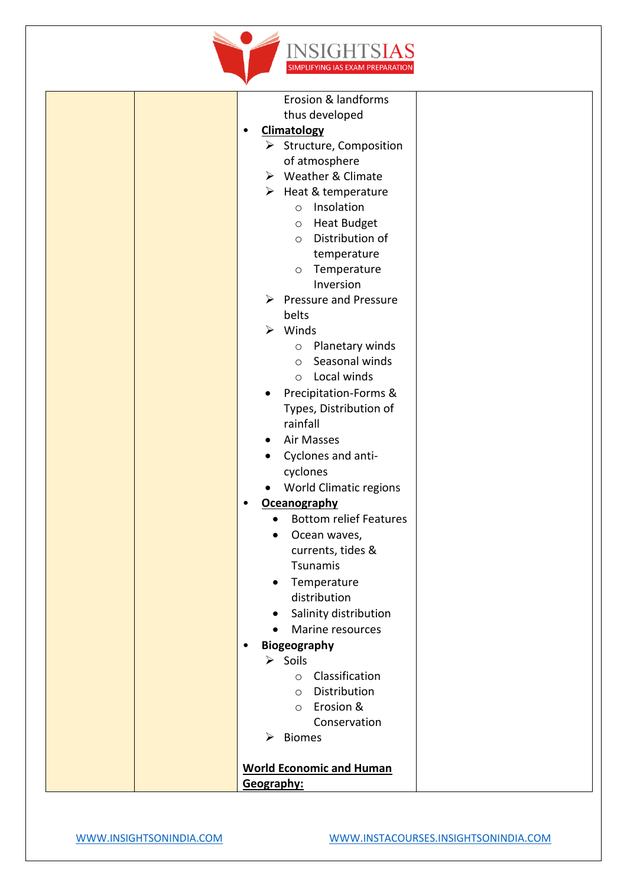

|           | Erosion & landforms                     |  |
|-----------|-----------------------------------------|--|
|           | thus developed                          |  |
| ٠         | <b>Climatology</b>                      |  |
|           | $\triangleright$ Structure, Composition |  |
|           | of atmosphere                           |  |
|           | ▶ Weather & Climate                     |  |
|           | $\triangleright$ Heat & temperature     |  |
|           | Insolation<br>$\circ$                   |  |
|           | o Heat Budget                           |  |
|           | Distribution of<br>$\circ$              |  |
|           | temperature                             |  |
|           | Temperature<br>$\circ$                  |  |
|           | Inversion                               |  |
|           | $\triangleright$ Pressure and Pressure  |  |
|           | belts                                   |  |
|           | $\triangleright$ Winds                  |  |
|           | Planetary winds<br>$\circ$              |  |
|           | Seasonal winds<br>$\circ$               |  |
|           | Local winds<br>$\circ$                  |  |
|           | Precipitation-Forms &<br>$\bullet$      |  |
|           | Types, Distribution of                  |  |
|           | rainfall                                |  |
|           | Air Masses<br>٠                         |  |
|           | Cyclones and anti-<br>$\bullet$         |  |
|           | cyclones                                |  |
|           | World Climatic regions<br>$\bullet$     |  |
|           | <b>Oceanography</b>                     |  |
|           | <b>Bottom relief Features</b>           |  |
|           | Ocean waves,                            |  |
|           | currents, tides &                       |  |
|           | Tsunamis                                |  |
|           | Temperature<br>$\bullet$                |  |
|           | distribution                            |  |
|           | Salinity distribution<br>$\bullet$      |  |
|           | Marine resources<br>$\bullet$           |  |
| $\bullet$ | <b>Biogeography</b>                     |  |
|           | $\triangleright$ Soils                  |  |
|           | Classification<br>$\circ$               |  |
|           | Distribution<br>$\circ$                 |  |
|           | Erosion &<br>$\circ$                    |  |
|           | Conservation                            |  |
|           | ➤<br><b>Biomes</b>                      |  |
|           |                                         |  |
|           | <b>World Economic and Human</b>         |  |
|           | Geography:                              |  |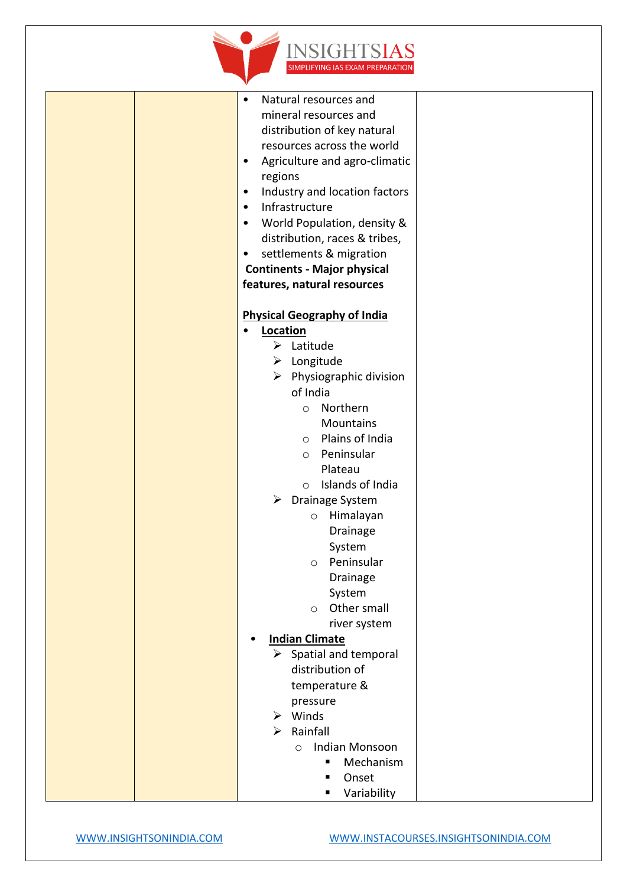

| Natural resources and<br>$\bullet$<br>mineral resources and<br>distribution of key natural<br>resources across the world<br>Agriculture and agro-climatic<br>$\bullet$<br>regions<br>Industry and location factors<br>$\bullet$<br>Infrastructure<br>$\bullet$<br>World Population, density &<br>$\bullet$ |  |
|------------------------------------------------------------------------------------------------------------------------------------------------------------------------------------------------------------------------------------------------------------------------------------------------------------|--|
| distribution, races & tribes,<br>settlements & migration<br>$\bullet$<br><b>Continents - Major physical</b>                                                                                                                                                                                                |  |
| features, natural resources                                                                                                                                                                                                                                                                                |  |
| <b>Physical Geography of India</b><br>Location                                                                                                                                                                                                                                                             |  |
| $\triangleright$ Latitude                                                                                                                                                                                                                                                                                  |  |
| $\triangleright$ Longitude                                                                                                                                                                                                                                                                                 |  |
| Physiographic division<br>➤<br>of India                                                                                                                                                                                                                                                                    |  |
| Northern<br>$\circ$                                                                                                                                                                                                                                                                                        |  |
| Mountains                                                                                                                                                                                                                                                                                                  |  |
| $\circ$ Plains of India                                                                                                                                                                                                                                                                                    |  |
| Peninsular<br>$\circ$                                                                                                                                                                                                                                                                                      |  |
| Plateau                                                                                                                                                                                                                                                                                                    |  |
| Islands of India<br>$\bigcirc$                                                                                                                                                                                                                                                                             |  |
| > Drainage System                                                                                                                                                                                                                                                                                          |  |
| Himalayan<br>$\circ$                                                                                                                                                                                                                                                                                       |  |
| Drainage<br>System                                                                                                                                                                                                                                                                                         |  |
| Peninsular<br>$\circ$                                                                                                                                                                                                                                                                                      |  |
| Drainage                                                                                                                                                                                                                                                                                                   |  |
| System                                                                                                                                                                                                                                                                                                     |  |
| Other small<br>$\circ$                                                                                                                                                                                                                                                                                     |  |
| river system                                                                                                                                                                                                                                                                                               |  |
| <b>Indian Climate</b>                                                                                                                                                                                                                                                                                      |  |
| $\triangleright$ Spatial and temporal                                                                                                                                                                                                                                                                      |  |
| distribution of                                                                                                                                                                                                                                                                                            |  |
| temperature &                                                                                                                                                                                                                                                                                              |  |
| pressure<br>$\triangleright$ Winds                                                                                                                                                                                                                                                                         |  |
| $\triangleright$ Rainfall                                                                                                                                                                                                                                                                                  |  |
| Indian Monsoon<br>$\circ$                                                                                                                                                                                                                                                                                  |  |
| Mechanism<br>٠                                                                                                                                                                                                                                                                                             |  |
| Onset<br>■                                                                                                                                                                                                                                                                                                 |  |
| Variability<br>ш                                                                                                                                                                                                                                                                                           |  |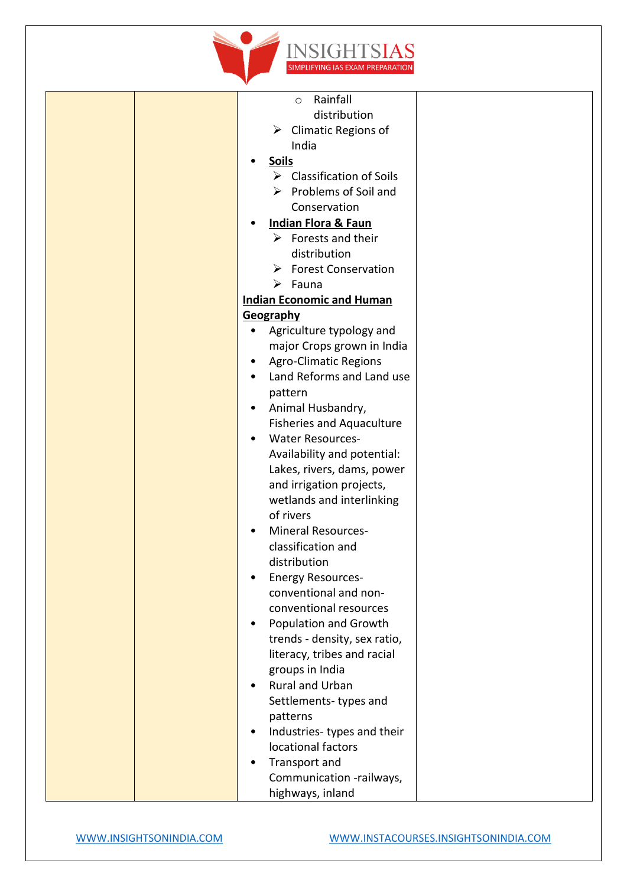

|  | Rainfall<br>$\circ$<br>distribution<br><b>Climatic Regions of</b><br>➤<br>India<br><b>Soils</b><br>$\triangleright$ Classification of Soils<br>Problems of Soil and<br>➤<br>Conservation<br><b>Indian Flora &amp; Faun</b><br>٠                                                                 |  |
|--|-------------------------------------------------------------------------------------------------------------------------------------------------------------------------------------------------------------------------------------------------------------------------------------------------|--|
|  | $\triangleright$ Forests and their<br>distribution<br>> Forest Conservation<br>$\triangleright$ Fauna<br><b>Indian Economic and Human</b><br>Geography<br>Agriculture typology and<br>$\bullet$<br>major Crops grown in India<br><b>Agro-Climatic Regions</b><br>٠<br>Land Reforms and Land use |  |
|  | pattern<br>Animal Husbandry,<br>$\bullet$<br><b>Fisheries and Aquaculture</b><br><b>Water Resources-</b><br>٠<br>Availability and potential:<br>Lakes, rivers, dams, power<br>and irrigation projects,<br>wetlands and interlinking<br>of rivers<br><b>Mineral Resources-</b>                   |  |
|  | classification and<br>distribution<br><b>Energy Resources-</b><br>٠<br>conventional and non-<br>conventional resources<br>Population and Growth<br>$\bullet$<br>trends - density, sex ratio,<br>literacy, tribes and racial<br>groups in India                                                  |  |
|  | Rural and Urban<br>$\bullet$<br>Settlements-types and<br>patterns<br>Industries-types and their<br>$\bullet$<br>locational factors<br>Transport and<br>$\bullet$<br>Communication -railways,<br>highways, inland                                                                                |  |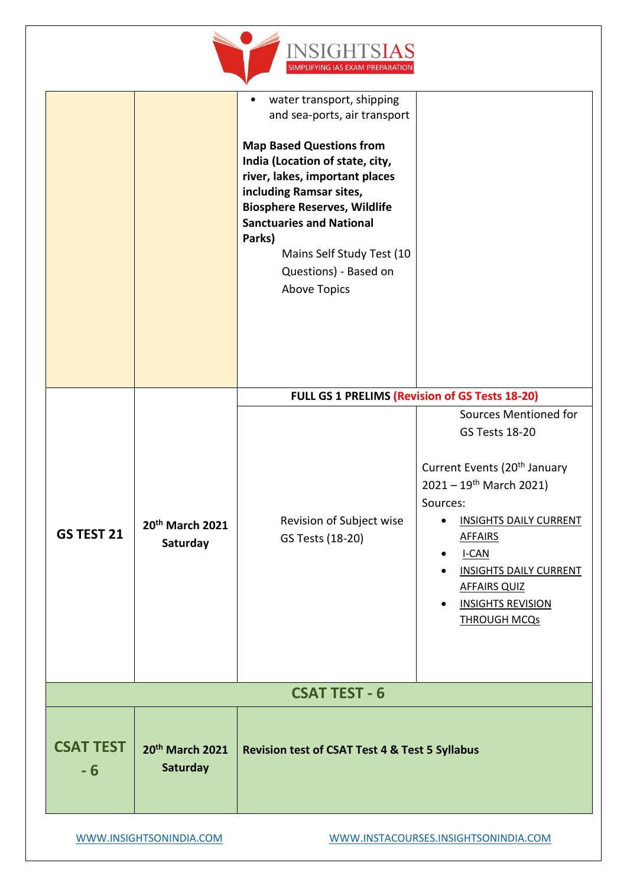

|                          |                                         | water transport, shipping<br>٠<br>and sea-ports, air transport<br><b>Map Based Questions from</b><br>India (Location of state, city,<br>river, lakes, important places<br>including Ramsar sites,<br><b>Biosphere Reserves, Wildlife</b><br><b>Sanctuaries and National</b><br>Parks)<br>Mains Self Study Test (10<br>Questions) - Based on<br><b>Above Topics</b> |                                                                                                                                                                                                                                                                                                                        |
|--------------------------|-----------------------------------------|--------------------------------------------------------------------------------------------------------------------------------------------------------------------------------------------------------------------------------------------------------------------------------------------------------------------------------------------------------------------|------------------------------------------------------------------------------------------------------------------------------------------------------------------------------------------------------------------------------------------------------------------------------------------------------------------------|
|                          |                                         | FULL GS 1 PRELIMS (Revision of GS Tests 18-20)                                                                                                                                                                                                                                                                                                                     |                                                                                                                                                                                                                                                                                                                        |
| GS TEST 21               | 20 <sup>th</sup> March 2021<br>Saturday | Revision of Subject wise<br>GS Tests (18-20)                                                                                                                                                                                                                                                                                                                       | Sources Mentioned for<br><b>GS Tests 18-20</b><br>Current Events (20 <sup>th</sup> January<br>$2021 - 19$ <sup>th</sup> March 2021)<br>Sources:<br><b>INSIGHTS DAILY CURRENT</b><br><b>AFFAIRS</b><br>I-CAN<br><b>INSIGHTS DAILY CURRENT</b><br><b>AFFAIRS QUIZ</b><br><b>INSIGHTS REVISION</b><br><b>THROUGH MCQs</b> |
|                          |                                         | <b>CSAT TEST - 6</b>                                                                                                                                                                                                                                                                                                                                               |                                                                                                                                                                                                                                                                                                                        |
| <b>CSAT TEST</b><br>$-6$ | 20th March 2021<br>Saturday             | <b>Revision test of CSAT Test 4 &amp; Test 5 Syllabus</b>                                                                                                                                                                                                                                                                                                          |                                                                                                                                                                                                                                                                                                                        |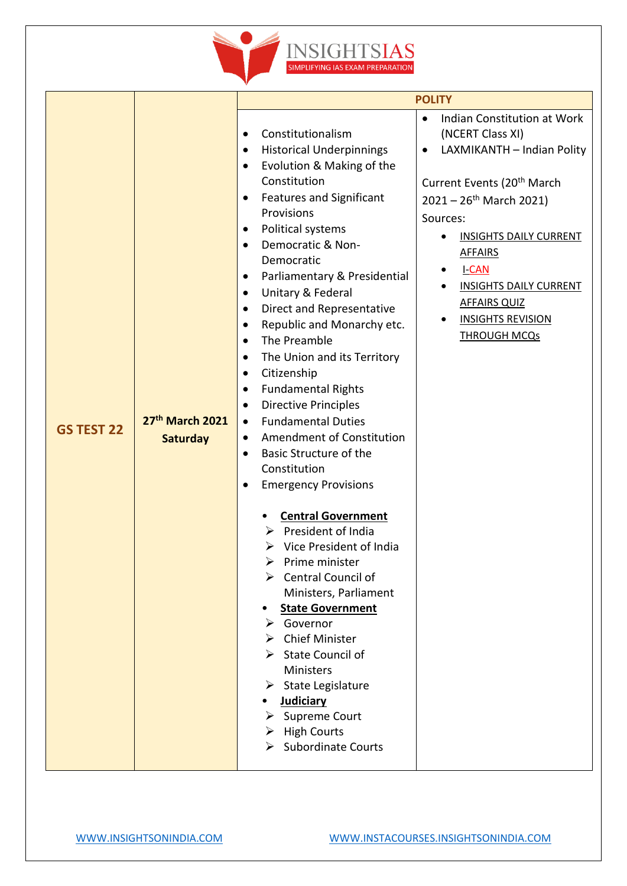

|                   |                                    |                                                                                                                                                                                                                                                                                                                                                                                                                                                                                                                                                                                                                                                                                                                                                                                                                                                                                                                                                                                                                                                                                                                                                                                                                         | <b>POLITY</b>                                                                                                                                                                                                                                                                                                                                                                        |
|-------------------|------------------------------------|-------------------------------------------------------------------------------------------------------------------------------------------------------------------------------------------------------------------------------------------------------------------------------------------------------------------------------------------------------------------------------------------------------------------------------------------------------------------------------------------------------------------------------------------------------------------------------------------------------------------------------------------------------------------------------------------------------------------------------------------------------------------------------------------------------------------------------------------------------------------------------------------------------------------------------------------------------------------------------------------------------------------------------------------------------------------------------------------------------------------------------------------------------------------------------------------------------------------------|--------------------------------------------------------------------------------------------------------------------------------------------------------------------------------------------------------------------------------------------------------------------------------------------------------------------------------------------------------------------------------------|
| <b>GS TEST 22</b> | 27th March 2021<br><b>Saturday</b> | Constitutionalism<br>$\bullet$<br><b>Historical Underpinnings</b><br>$\bullet$<br>Evolution & Making of the<br>Constitution<br><b>Features and Significant</b><br>$\bullet$<br>Provisions<br>Political systems<br>Democratic & Non-<br>$\bullet$<br>Democratic<br>Parliamentary & Presidential<br>Unitary & Federal<br>$\bullet$<br>Direct and Representative<br>$\bullet$<br>Republic and Monarchy etc.<br>$\bullet$<br>The Preamble<br>$\bullet$<br>The Union and its Territory<br>$\bullet$<br>Citizenship<br>$\bullet$<br><b>Fundamental Rights</b><br>$\bullet$<br><b>Directive Principles</b><br><b>Fundamental Duties</b><br>$\bullet$<br>Amendment of Constitution<br>$\bullet$<br><b>Basic Structure of the</b><br>Constitution<br><b>Emergency Provisions</b><br><b>Central Government</b><br>President of India<br>Vice President of India<br>⋗<br>➤<br>Prime minister<br><b>Central Council of</b><br>Ministers, Parliament<br><b>State Government</b><br>$\triangleright$ Governor<br>Chief Minister<br>$\triangleright$ State Council of<br><b>Ministers</b><br>$\triangleright$ State Legislature<br><b>Judiciary</b><br>Supreme Court<br>$\triangleright$ High Courts<br><b>Subordinate Courts</b><br>➤ | Indian Constitution at Work<br>$\bullet$<br>(NCERT Class XI)<br>LAXMIKANTH - Indian Polity<br>$\bullet$<br>Current Events (20 <sup>th</sup> March<br>$2021 - 26$ <sup>th</sup> March 2021)<br>Sources:<br><b>INSIGHTS DAILY CURRENT</b><br><b>AFFAIRS</b><br><b>I-CAN</b><br><b>INSIGHTS DAILY CURRENT</b><br><b>AFFAIRS QUIZ</b><br><b>INSIGHTS REVISION</b><br><b>THROUGH MCQs</b> |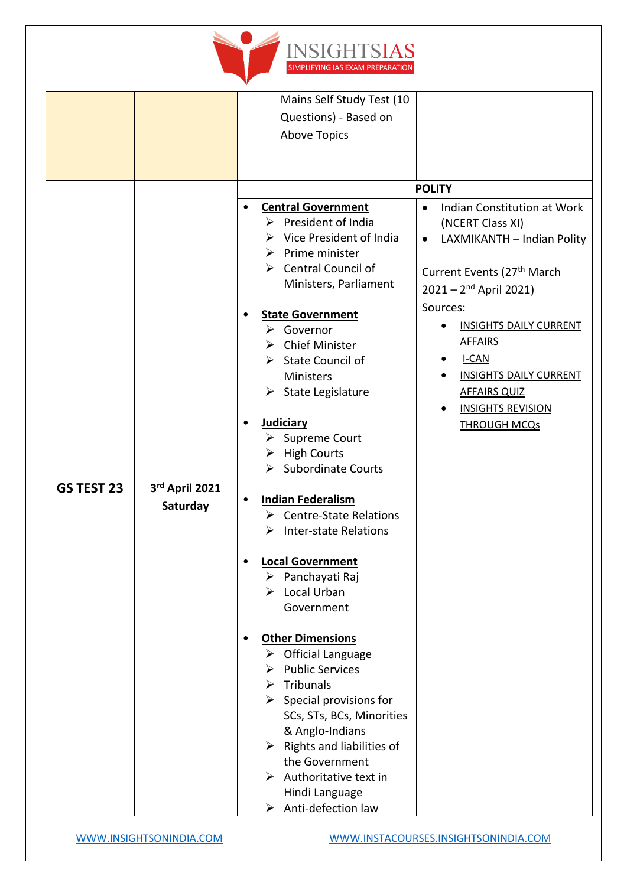

|            |                            | Mains Self Study Test (10                                                                                                                                                                                                                                                                                                                                                                                                                                                                                                                                                                                                                                                                                                                                                                                                                                                                                                                                                                                             |                                                                                                                                                                                                                                                                                                                                                                     |
|------------|----------------------------|-----------------------------------------------------------------------------------------------------------------------------------------------------------------------------------------------------------------------------------------------------------------------------------------------------------------------------------------------------------------------------------------------------------------------------------------------------------------------------------------------------------------------------------------------------------------------------------------------------------------------------------------------------------------------------------------------------------------------------------------------------------------------------------------------------------------------------------------------------------------------------------------------------------------------------------------------------------------------------------------------------------------------|---------------------------------------------------------------------------------------------------------------------------------------------------------------------------------------------------------------------------------------------------------------------------------------------------------------------------------------------------------------------|
|            |                            | Questions) - Based on                                                                                                                                                                                                                                                                                                                                                                                                                                                                                                                                                                                                                                                                                                                                                                                                                                                                                                                                                                                                 |                                                                                                                                                                                                                                                                                                                                                                     |
|            |                            | <b>Above Topics</b>                                                                                                                                                                                                                                                                                                                                                                                                                                                                                                                                                                                                                                                                                                                                                                                                                                                                                                                                                                                                   |                                                                                                                                                                                                                                                                                                                                                                     |
|            |                            |                                                                                                                                                                                                                                                                                                                                                                                                                                                                                                                                                                                                                                                                                                                                                                                                                                                                                                                                                                                                                       |                                                                                                                                                                                                                                                                                                                                                                     |
|            |                            |                                                                                                                                                                                                                                                                                                                                                                                                                                                                                                                                                                                                                                                                                                                                                                                                                                                                                                                                                                                                                       |                                                                                                                                                                                                                                                                                                                                                                     |
|            |                            |                                                                                                                                                                                                                                                                                                                                                                                                                                                                                                                                                                                                                                                                                                                                                                                                                                                                                                                                                                                                                       | <b>POLITY</b>                                                                                                                                                                                                                                                                                                                                                       |
| GS TEST 23 | 3rd April 2021<br>Saturday | <b>Central Government</b><br>$\triangleright$ President of India<br>Vice President of India<br>➤<br>$\triangleright$ Prime minister<br>$\triangleright$ Central Council of<br>Ministers, Parliament<br><b>State Government</b><br>$\triangleright$ Governor<br><b>Chief Minister</b><br>$\triangleright$ State Council of<br>Ministers<br>$\triangleright$ State Legislature<br><b>Judiciary</b><br>> Supreme Court<br>$\triangleright$ High Courts<br>> Subordinate Courts<br><b>Indian Federalism</b><br>$\triangleright$ Centre-State Relations<br><b>Inter-state Relations</b><br>≻<br><b>Local Government</b><br>Panchayati Raj<br>➤<br>Local Urban<br>Government<br><b>Other Dimensions</b><br>$\bullet$<br><b>Official Language</b><br>➤<br><b>Public Services</b><br>➤<br>Tribunals<br>≻<br>Special provisions for<br>➤<br>SCs, STs, BCs, Minorities<br>& Anglo-Indians<br>Rights and liabilities of<br>the Government<br>Authoritative text in<br>➤<br>Hindi Language<br>$\triangleright$ Anti-defection law | Indian Constitution at Work<br>$\bullet$<br>(NCERT Class XI)<br>LAXMIKANTH - Indian Polity<br>$\bullet$<br>Current Events (27 <sup>th</sup> March<br>$2021 - 2^{nd}$ April 2021)<br>Sources:<br><b>INSIGHTS DAILY CURRENT</b><br><b>AFFAIRS</b><br>I-CAN<br><b>INSIGHTS DAILY CURRENT</b><br><b>AFFAIRS QUIZ</b><br><b>INSIGHTS REVISION</b><br><b>THROUGH MCQs</b> |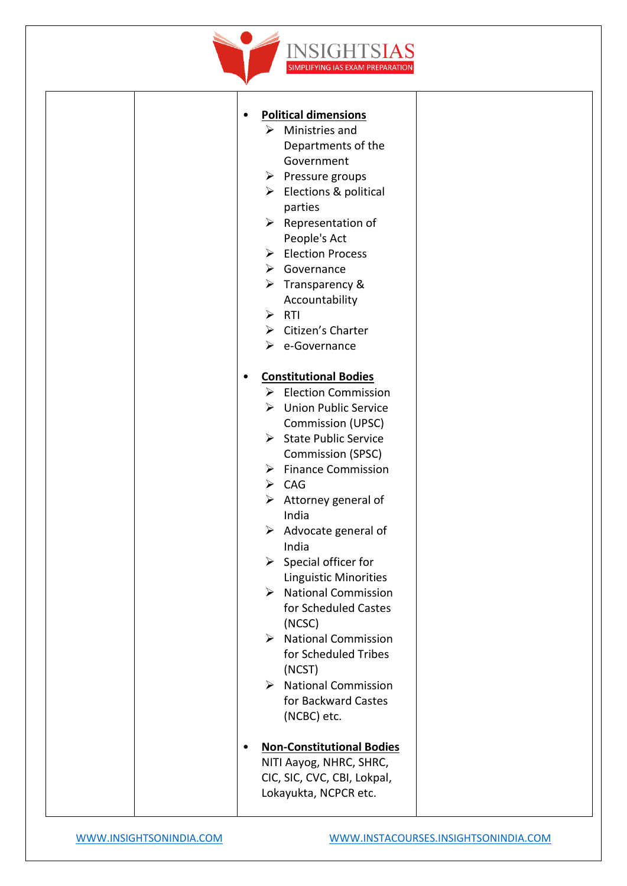

|  | <b>Political dimensions</b><br>٠<br>Ministries and<br>⋗<br>Departments of the<br>Government<br>$\triangleright$ Pressure groups<br>$\triangleright$ Elections & political<br>parties<br>$\triangleright$ Representation of<br>People's Act<br>$\triangleright$ Election Process                                                                                                                                                                                                                                                                                |  |
|--|----------------------------------------------------------------------------------------------------------------------------------------------------------------------------------------------------------------------------------------------------------------------------------------------------------------------------------------------------------------------------------------------------------------------------------------------------------------------------------------------------------------------------------------------------------------|--|
|  | $\triangleright$ Transparency &<br>Accountability<br>$\triangleright$ RTI<br>Citizen's Charter<br>➤                                                                                                                                                                                                                                                                                                                                                                                                                                                            |  |
|  | $\triangleright$ e-Governance<br><b>Constitutional Bodies</b><br>$\bullet$<br>$\triangleright$ Election Commission<br><b>Union Public Service</b><br>➤<br><b>Commission (UPSC)</b><br>$\triangleright$ State Public Service<br>Commission (SPSC)<br><b>Finance Commission</b><br>➤<br>$\triangleright$ CAG<br>$\triangleright$ Attorney general of<br>India<br>$\triangleright$ Advocate general of<br>India<br>$\triangleright$ Special officer for<br><b>Linguistic Minorities</b><br>$\triangleright$ National Commission<br>for Scheduled Castes<br>(NCSC) |  |
|  | $\triangleright$ National Commission<br>for Scheduled Tribes<br>(NCST)<br>$\triangleright$ National Commission<br>for Backward Castes<br>(NCBC) etc.<br><b>Non-Constitutional Bodies</b><br>$\bullet$<br>NITI Aayog, NHRC, SHRC,<br>CIC, SIC, CVC, CBI, Lokpal,<br>Lokayukta, NCPCR etc.                                                                                                                                                                                                                                                                       |  |
|  |                                                                                                                                                                                                                                                                                                                                                                                                                                                                                                                                                                |  |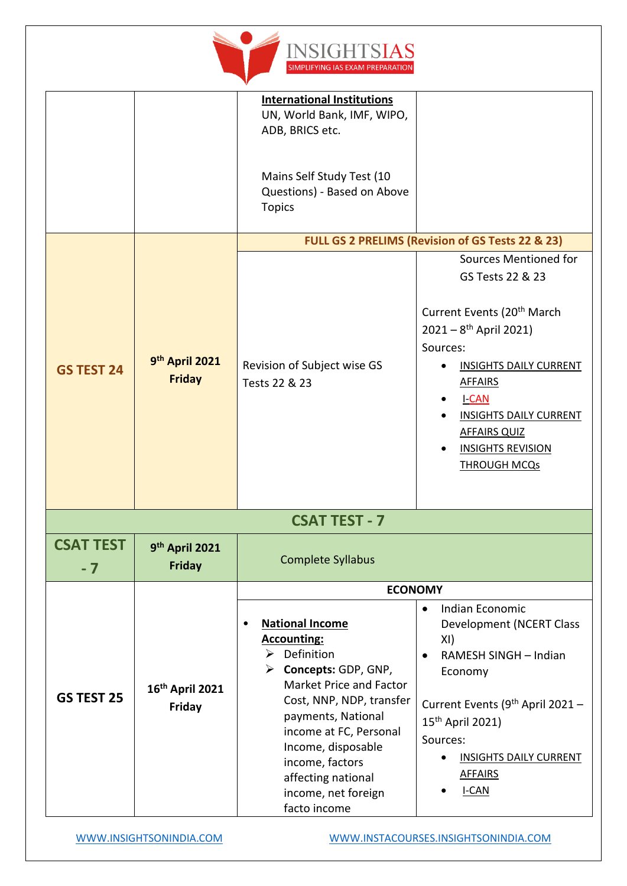

| <b>GS TEST 24</b> | 9 <sup>th</sup> April 2021<br><b>Friday</b>  | <b>International Institutions</b><br>UN, World Bank, IMF, WIPO,<br>ADB, BRICS etc.<br>Mains Self Study Test (10<br>Questions) - Based on Above<br><b>Topics</b><br>Revision of Subject wise GS<br>Tests 22 & 23                                                                                                                                     | FULL GS 2 PRELIMS (Revision of GS Tests 22 & 23)<br>Sources Mentioned for<br>GS Tests 22 & 23<br>Current Events (20 <sup>th</sup> March<br>$2021 - 8$ <sup>th</sup> April 2021)<br>Sources:<br><b>INSIGHTS DAILY CURRENT</b><br><b>AFFAIRS</b><br><b>I-CAN</b><br><b>INSIGHTS DAILY CURRENT</b><br><b>AFFAIRS QUIZ</b><br><b>INSIGHTS REVISION</b><br><b>THROUGH MCQs</b> |
|-------------------|----------------------------------------------|-----------------------------------------------------------------------------------------------------------------------------------------------------------------------------------------------------------------------------------------------------------------------------------------------------------------------------------------------------|---------------------------------------------------------------------------------------------------------------------------------------------------------------------------------------------------------------------------------------------------------------------------------------------------------------------------------------------------------------------------|
|                   |                                              | <b>CSAT TEST - 7</b>                                                                                                                                                                                                                                                                                                                                |                                                                                                                                                                                                                                                                                                                                                                           |
| <b>CSAT TEST</b>  | 9th April 2021                               |                                                                                                                                                                                                                                                                                                                                                     |                                                                                                                                                                                                                                                                                                                                                                           |
| $-7$              | <b>Friday</b>                                | <b>Complete Syllabus</b>                                                                                                                                                                                                                                                                                                                            |                                                                                                                                                                                                                                                                                                                                                                           |
| GS TEST 25        | 16 <sup>th</sup> April 2021<br><b>Friday</b> | <b>ECONOMY</b><br><b>National Income</b><br>$\bullet$<br><b>Accounting:</b><br>$\triangleright$ Definition<br>Concepts: GDP, GNP,<br>➤<br>Market Price and Factor<br>Cost, NNP, NDP, transfer<br>payments, National<br>income at FC, Personal<br>Income, disposable<br>income, factors<br>affecting national<br>income, net foreign<br>facto income | Indian Economic<br>$\bullet$<br>Development (NCERT Class<br>XI)<br>RAMESH SINGH - Indian<br>$\bullet$<br>Economy<br>Current Events (9 <sup>th</sup> April 2021 -<br>15 <sup>th</sup> April 2021)<br>Sources:<br><b>INSIGHTS DAILY CURRENT</b><br><b>AFFAIRS</b><br>I-CAN                                                                                                  |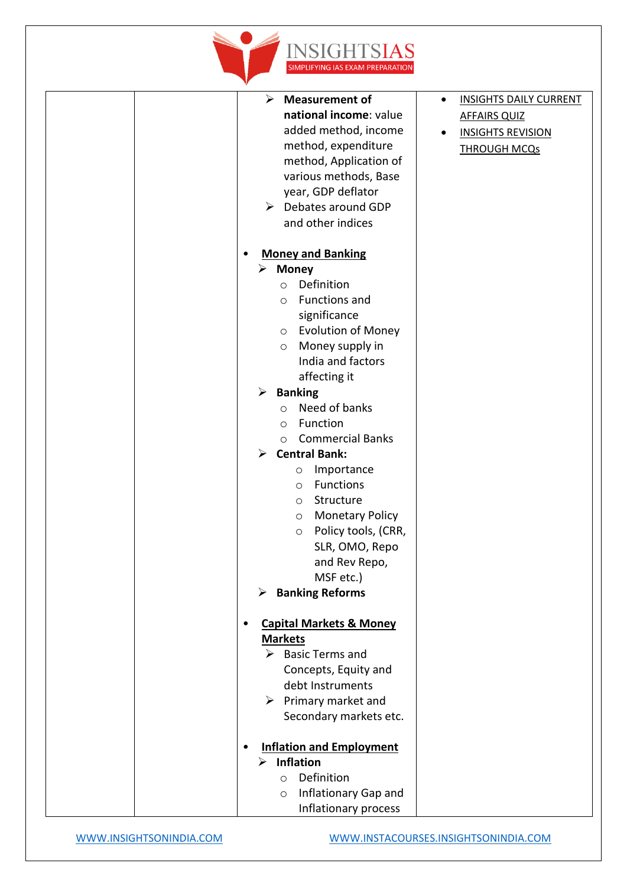

| ➤<br><b>Measurement of</b>                | <b>INSIGHTS DAILY CURRENT</b><br>$\bullet$ |
|-------------------------------------------|--------------------------------------------|
| national income: value                    | <b>AFFAIRS QUIZ</b>                        |
| added method, income                      | <b>INSIGHTS REVISION</b>                   |
| method, expenditure                       | <b>THROUGH MCQs</b>                        |
| method, Application of                    |                                            |
| various methods, Base                     |                                            |
| year, GDP deflator                        |                                            |
| Debates around GDP<br>➤                   |                                            |
|                                           |                                            |
| and other indices                         |                                            |
| <b>Money and Banking</b><br>٠             |                                            |
| <b>Money</b>                              |                                            |
| Definition<br>$\circ$                     |                                            |
| Functions and<br>$\circ$                  |                                            |
| significance                              |                                            |
| <b>Evolution of Money</b>                 |                                            |
| $\circ$                                   |                                            |
| Money supply in<br>$\circ$                |                                            |
| India and factors                         |                                            |
| affecting it                              |                                            |
| <b>Banking</b><br>➤                       |                                            |
| Need of banks<br>$\circ$                  |                                            |
| Function<br>$\circ$                       |                                            |
| <b>Commercial Banks</b><br>$\circ$        |                                            |
| <b>Central Bank:</b><br>➤                 |                                            |
| Importance<br>$\circ$                     |                                            |
| Functions<br>$\circ$                      |                                            |
| Structure<br>$\circ$                      |                                            |
| <b>Monetary Policy</b><br>$\circ$         |                                            |
| Policy tools, (CRR,<br>$\circ$            |                                            |
| SLR, OMO, Repo                            |                                            |
| and Rev Repo,                             |                                            |
| MSF etc.)                                 |                                            |
| <b>Banking Reforms</b><br>≻               |                                            |
|                                           |                                            |
| <b>Capital Markets &amp; Money</b><br>٠   |                                            |
| <b>Markets</b>                            |                                            |
| $\triangleright$ Basic Terms and          |                                            |
| Concepts, Equity and                      |                                            |
| debt Instruments                          |                                            |
| $\triangleright$ Primary market and       |                                            |
| Secondary markets etc.                    |                                            |
|                                           |                                            |
| <b>Inflation and Employment</b>           |                                            |
| <b>Inflation</b><br>$\blacktriangleright$ |                                            |
| Definition<br>$\circ$                     |                                            |
| Inflationary Gap and<br>$\circ$           |                                            |
| Inflationary process                      |                                            |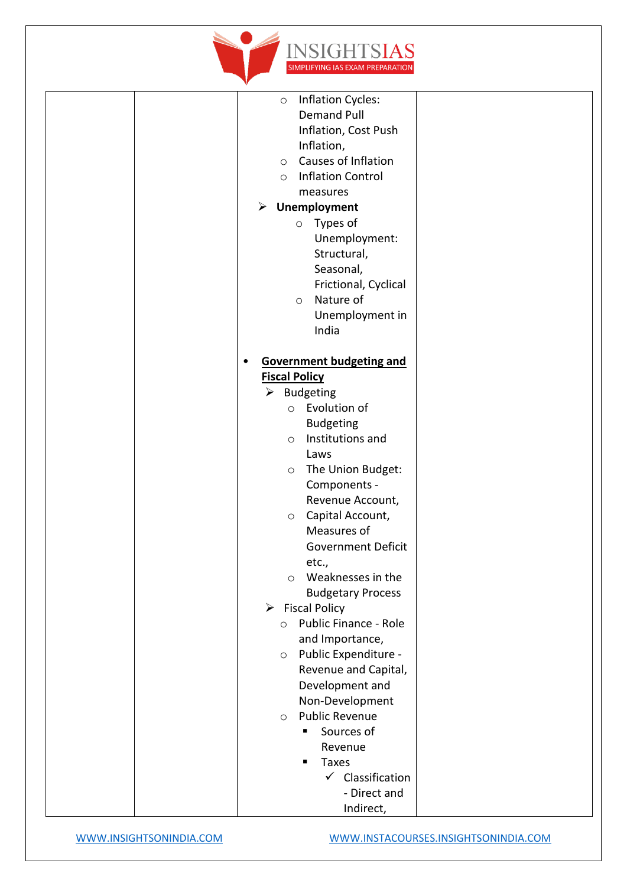

|  | <b>Inflation Cycles:</b><br>$\circ$               |  |
|--|---------------------------------------------------|--|
|  | <b>Demand Pull</b>                                |  |
|  | Inflation, Cost Push                              |  |
|  | Inflation,                                        |  |
|  | Causes of Inflation<br>$\circ$                    |  |
|  | <b>Inflation Control</b><br>$\circ$               |  |
|  | measures                                          |  |
|  | Unemployment<br>➤                                 |  |
|  | Types of<br>$\circ$                               |  |
|  | Unemployment:                                     |  |
|  | Structural,                                       |  |
|  | Seasonal,                                         |  |
|  | Frictional, Cyclical                              |  |
|  | Nature of<br>$\circ$                              |  |
|  | Unemployment in                                   |  |
|  | India                                             |  |
|  | <b>Government budgeting and</b><br>٠              |  |
|  | <b>Fiscal Policy</b>                              |  |
|  | <b>Budgeting</b><br>➤                             |  |
|  | Evolution of<br>$\circ$                           |  |
|  | <b>Budgeting</b>                                  |  |
|  | Institutions and<br>$\circ$                       |  |
|  | Laws                                              |  |
|  | The Union Budget:<br>$\circ$                      |  |
|  | Components -                                      |  |
|  | Revenue Account,                                  |  |
|  |                                                   |  |
|  | Capital Account,<br>$\circ$<br>Measures of        |  |
|  | <b>Government Deficit</b>                         |  |
|  |                                                   |  |
|  | etc.,                                             |  |
|  | Weaknesses in the<br>$\circ$                      |  |
|  | <b>Budgetary Process</b><br>$\blacktriangleright$ |  |
|  | <b>Fiscal Policy</b>                              |  |
|  | Public Finance - Role<br>$\circ$                  |  |
|  | and Importance,                                   |  |
|  | Public Expenditure -<br>$\circ$                   |  |
|  | Revenue and Capital,                              |  |
|  | Development and                                   |  |
|  | Non-Development                                   |  |
|  | <b>Public Revenue</b><br>$\circ$                  |  |
|  | Sources of<br>٠                                   |  |
|  | Revenue                                           |  |
|  | Taxes<br>п                                        |  |
|  | $\checkmark$ Classification                       |  |
|  | - Direct and                                      |  |
|  | Indirect,                                         |  |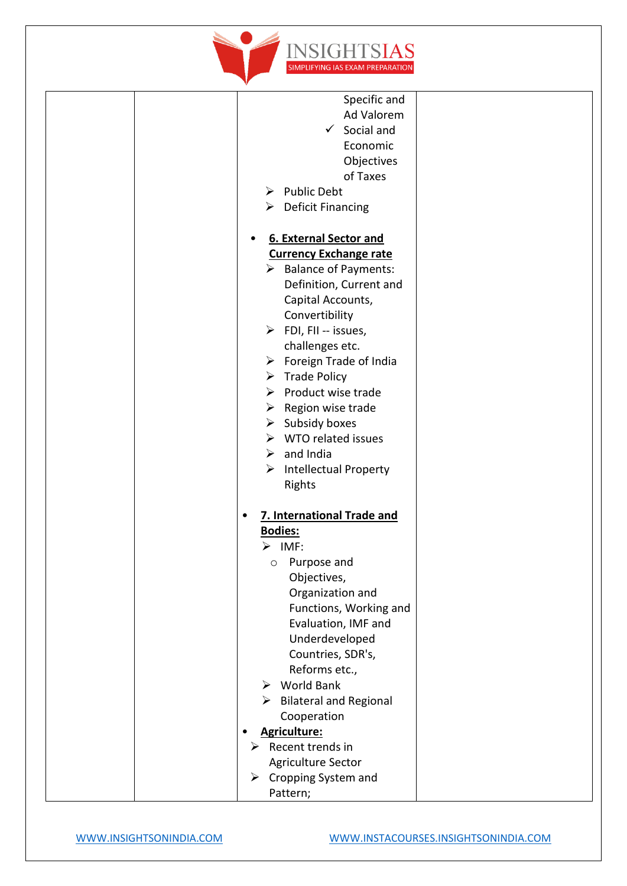

| Specific and<br>Ad Valorem<br>$\checkmark$ Social and<br>Economic<br>Objectives<br>of Taxes<br><b>Public Debt</b><br>➤<br><b>Deficit Financing</b><br>➤                                                                                                                                                                                                                                                                                                                                                                              |  |
|--------------------------------------------------------------------------------------------------------------------------------------------------------------------------------------------------------------------------------------------------------------------------------------------------------------------------------------------------------------------------------------------------------------------------------------------------------------------------------------------------------------------------------------|--|
| <b>6. External Sector and</b><br><b>Currency Exchange rate</b><br>$\triangleright$ Balance of Payments:<br>Definition, Current and<br>Capital Accounts,<br>Convertibility<br>$\triangleright$ FDI, FII -- issues,<br>challenges etc.<br>$\triangleright$ Foreign Trade of India<br>$\triangleright$ Trade Policy<br>$\triangleright$ Product wise trade<br>$\triangleright$ Region wise trade<br>$\triangleright$ Subsidy boxes<br>> WTO related issues<br>$\triangleright$ and India<br><b>Intellectual Property</b><br>➤<br>Rights |  |
| 7. International Trade and<br><b>Bodies:</b><br>$\triangleright$ IMF:<br>Purpose and<br>$\circ$<br>Objectives,<br>Organization and<br>Functions, Working and<br>Evaluation, IMF and<br>Underdeveloped<br>Countries, SDR's,<br>Reforms etc.,<br>$\triangleright$ World Bank<br>$\triangleright$ Bilateral and Regional<br>Cooperation<br><b>Agriculture:</b><br>Recent trends in<br>⋗<br>Agriculture Sector<br><b>Cropping System and</b><br>➤<br>Pattern;                                                                            |  |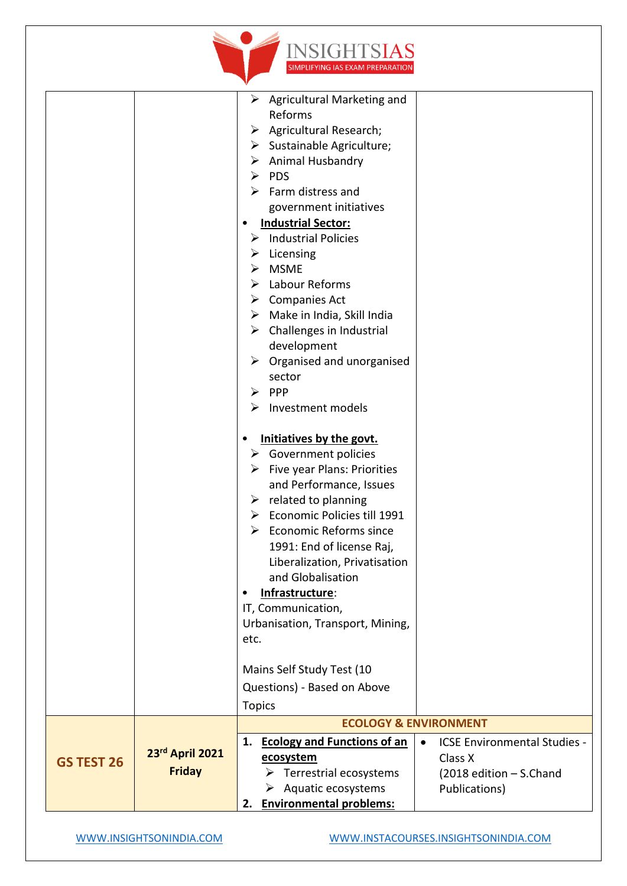

|                   |                                  | V                                                                                                                                                                                                                                                                                                                                                                                                                                                                                                                                                                                                                                                                                                                                                                                                                                                                                                                                                                                                                                                                 |                                                                                                             |
|-------------------|----------------------------------|-------------------------------------------------------------------------------------------------------------------------------------------------------------------------------------------------------------------------------------------------------------------------------------------------------------------------------------------------------------------------------------------------------------------------------------------------------------------------------------------------------------------------------------------------------------------------------------------------------------------------------------------------------------------------------------------------------------------------------------------------------------------------------------------------------------------------------------------------------------------------------------------------------------------------------------------------------------------------------------------------------------------------------------------------------------------|-------------------------------------------------------------------------------------------------------------|
|                   |                                  | $\triangleright$ Agricultural Marketing and<br>Reforms<br>Agricultural Research;<br>➤<br>Sustainable Agriculture;<br>➤<br>Animal Husbandry<br>➤<br><b>PDS</b><br>≻<br>Farm distress and<br>➤<br>government initiatives<br><b>Industrial Sector:</b><br><b>Industrial Policies</b><br>Licensing<br>➤<br>MSME<br>≻<br>Labour Reforms<br>⋗<br>$\triangleright$ Companies Act<br>Make in India, Skill India<br>➤<br>$\triangleright$ Challenges in Industrial<br>development<br>Organised and unorganised<br>➤<br>sector<br><b>PPP</b><br>➤<br>Investment models<br>➤<br>Initiatives by the govt.<br><b>Government policies</b><br>➤<br>$\triangleright$ Five year Plans: Priorities<br>and Performance, Issues<br>related to planning<br>➤<br>Economic Policies till 1991<br><b>Economic Reforms since</b><br>≻<br>1991: End of license Raj,<br>Liberalization, Privatisation<br>and Globalisation<br>Infrastructure:<br>IT, Communication,<br>Urbanisation, Transport, Mining,<br>etc.<br>Mains Self Study Test (10<br>Questions) - Based on Above<br><b>Topics</b> |                                                                                                             |
|                   |                                  | <b>ECOLOGY &amp; ENVIRONMENT</b>                                                                                                                                                                                                                                                                                                                                                                                                                                                                                                                                                                                                                                                                                                                                                                                                                                                                                                                                                                                                                                  |                                                                                                             |
|                   |                                  |                                                                                                                                                                                                                                                                                                                                                                                                                                                                                                                                                                                                                                                                                                                                                                                                                                                                                                                                                                                                                                                                   |                                                                                                             |
| <b>GS TEST 26</b> | 23rd April 2021<br><b>Friday</b> | 1. Ecology and Functions of an<br>ecosystem<br>$\triangleright$ Terrestrial ecosystems<br>$\triangleright$ Aquatic ecosystems<br><b>Environmental problems:</b><br>2.                                                                                                                                                                                                                                                                                                                                                                                                                                                                                                                                                                                                                                                                                                                                                                                                                                                                                             | <b>ICSE Environmental Studies -</b><br>$\bullet$<br>Class X<br>$(2018$ edition $-$ S.Chand<br>Publications) |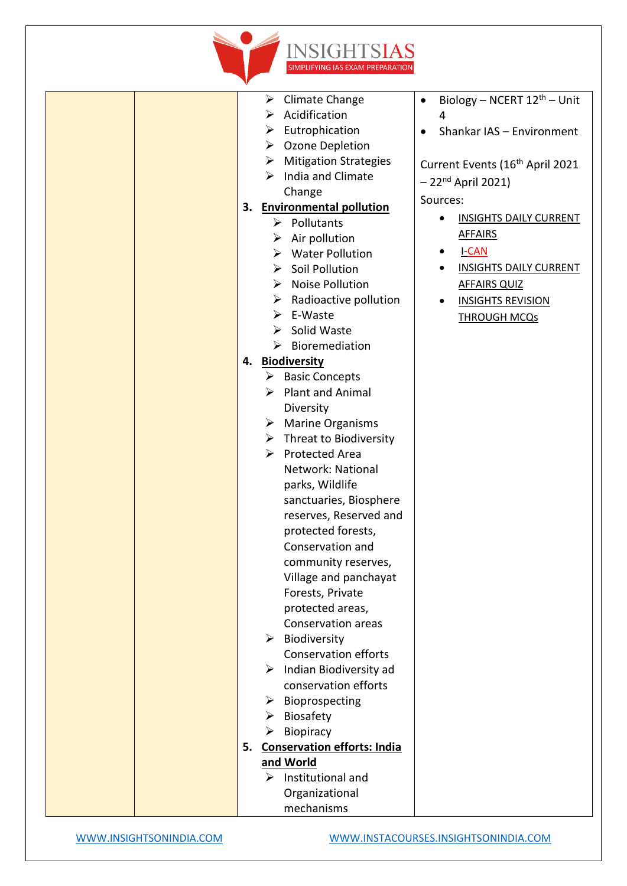

| Climate Change<br>➤                      | Biology - NCERT 12 <sup>th</sup> - Unit     |
|------------------------------------------|---------------------------------------------|
| Acidification<br>➤                       | 4                                           |
| Eutrophication<br>➤                      | Shankar IAS - Environment                   |
| $\triangleright$ Ozone Depletion         |                                             |
| $\triangleright$ Mitigation Strategies   | Current Events (16 <sup>th</sup> April 2021 |
| India and Climate<br>➤                   | $-22nd$ April 2021)                         |
| Change                                   |                                             |
| 3. Environmental pollution               | Sources:                                    |
| $\triangleright$ Pollutants              | <b>INSIGHTS DAILY CURRENT</b>               |
| $\triangleright$ Air pollution           | <b>AFFAIRS</b>                              |
| $\triangleright$ Water Pollution         | <b>I-CAN</b>                                |
| $\triangleright$ Soil Pollution          | <b>INSIGHTS DAILY CURRENT</b><br>$\bullet$  |
| $\triangleright$ Noise Pollution         | <b>AFFAIRS QUIZ</b>                         |
| $\triangleright$ Radioactive pollution   | <b>INSIGHTS REVISION</b>                    |
| E-Waste<br>➤                             | <b>THROUGH MCQs</b>                         |
| Solid Waste<br>➤                         |                                             |
| Bioremediation<br>➤                      |                                             |
| <b>Biodiversity</b><br>4.                |                                             |
| <b>Basic Concepts</b><br>➤               |                                             |
| <b>Plant and Animal</b><br>➤             |                                             |
| Diversity                                |                                             |
| $\triangleright$ Marine Organisms        |                                             |
| $\triangleright$ Threat to Biodiversity  |                                             |
| ➤<br><b>Protected Area</b>               |                                             |
| Network: National                        |                                             |
| parks, Wildlife                          |                                             |
| sanctuaries, Biosphere                   |                                             |
| reserves, Reserved and                   |                                             |
| protected forests,                       |                                             |
| Conservation and                         |                                             |
| community reserves,                      |                                             |
| Village and panchayat                    |                                             |
| Forests, Private                         |                                             |
| protected areas,                         |                                             |
| <b>Conservation areas</b>                |                                             |
| $\triangleright$ Biodiversity            |                                             |
| <b>Conservation efforts</b>              |                                             |
| Indian Biodiversity ad<br>➤              |                                             |
| conservation efforts                     |                                             |
| Bioprospecting<br>➤                      |                                             |
| Biosafety<br>➤                           |                                             |
| Biopiracy<br>➤                           |                                             |
| <b>Conservation efforts: India</b><br>5. |                                             |
| and World                                |                                             |
| Institutional and<br>⋗                   |                                             |
| Organizational                           |                                             |
| mechanisms                               |                                             |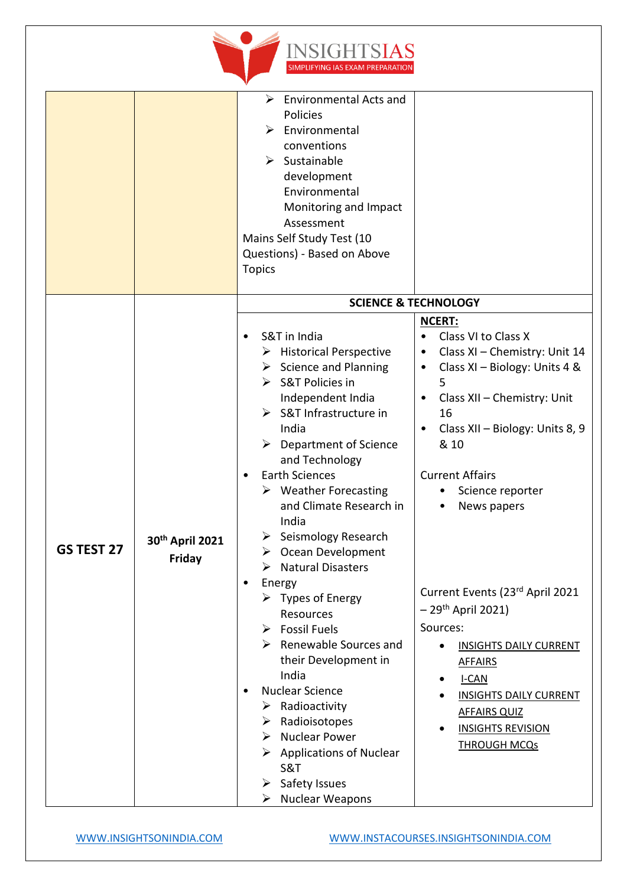

|            |                                              | <b>Environmental Acts and</b><br>➤<br>Policies<br>$\triangleright$ Environmental<br>conventions<br>$\triangleright$ Sustainable<br>development<br>Environmental<br>Monitoring and Impact<br>Assessment<br>Mains Self Study Test (10<br>Questions) - Based on Above<br><b>Topics</b>                                                                                                                                                                                                                                       |                                                                                                                                                                                                                                                                                                                         |
|------------|----------------------------------------------|---------------------------------------------------------------------------------------------------------------------------------------------------------------------------------------------------------------------------------------------------------------------------------------------------------------------------------------------------------------------------------------------------------------------------------------------------------------------------------------------------------------------------|-------------------------------------------------------------------------------------------------------------------------------------------------------------------------------------------------------------------------------------------------------------------------------------------------------------------------|
|            |                                              | <b>SCIENCE &amp; TECHNOLOGY</b>                                                                                                                                                                                                                                                                                                                                                                                                                                                                                           |                                                                                                                                                                                                                                                                                                                         |
| GS TEST 27 | 30 <sup>th</sup> April 2021<br><b>Friday</b> | S&T in India<br>$\triangleright$ Historical Perspective<br>$\triangleright$ Science and Planning<br>$\triangleright$ S&T Policies in<br>Independent India<br>$\triangleright$ S&T Infrastructure in<br>India<br>Department of Science<br>≻<br>and Technology<br><b>Earth Sciences</b><br>$\triangleright$ Weather Forecasting<br>and Climate Research in<br>India<br>$\triangleright$ Seismology Research<br>$\triangleright$ Ocean Development<br><b>Natural Disasters</b><br>Energy<br>$\triangleright$ Types of Energy | <b>NCERT:</b><br>Class VI to Class X<br>$\bullet$<br>Class XI - Chemistry: Unit 14<br>٠<br>Class XI - Biology: Units 4 &<br>٠<br>5<br>Class XII - Chemistry: Unit<br>٠<br>16<br>Class XII - Biology: Units 8, 9<br>& 10<br><b>Current Affairs</b><br>Science reporter<br>News papers<br>Current Events (23rd April 2021 |
|            |                                              | <b>Resources</b><br>$\triangleright$ Fossil Fuels<br>$\triangleright$ Renewable Sources and<br>their Development in<br>India<br><b>Nuclear Science</b><br>$\triangleright$ Radioactivity<br>Radioisotopes<br>➤<br>$\triangleright$ Nuclear Power<br>$\triangleright$ Applications of Nuclear<br>S&T<br>Safety Issues<br>➤<br><b>Nuclear Weapons</b><br>≻                                                                                                                                                                  | $-29$ <sup>th</sup> April 2021)<br>Sources:<br><b>INSIGHTS DAILY CURRENT</b><br><b>AFFAIRS</b><br>I-CAN<br><b>INSIGHTS DAILY CURRENT</b><br><b>AFFAIRS QUIZ</b><br><b>INSIGHTS REVISION</b><br><b>THROUGH MCQs</b>                                                                                                      |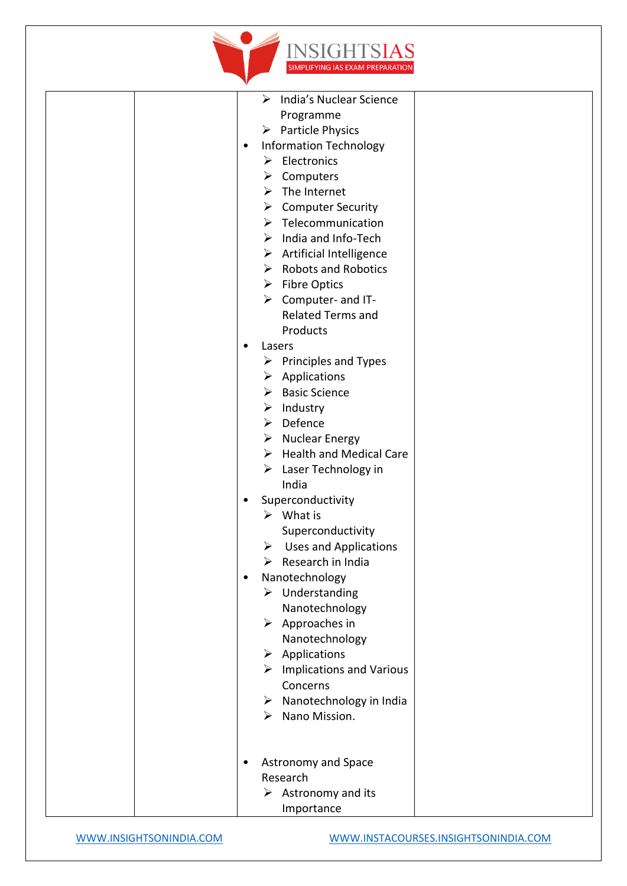

|  | $\triangleright$ India's Nuclear Science  |
|--|-------------------------------------------|
|  | Programme                                 |
|  | $\triangleright$ Particle Physics         |
|  | <b>Information Technology</b><br>٠        |
|  | $\triangleright$ Electronics              |
|  | Computers<br>➤                            |
|  | The Internet<br>➤                         |
|  | $\triangleright$ Computer Security        |
|  | $\triangleright$ Telecommunication        |
|  | India and Info-Tech<br>➤                  |
|  | $\triangleright$ Artificial Intelligence  |
|  | <b>Robots and Robotics</b><br>➤           |
|  | $\triangleright$ Fibre Optics             |
|  | $\triangleright$ Computer- and IT-        |
|  | <b>Related Terms and</b>                  |
|  | Products                                  |
|  | Lasers<br>٠                               |
|  | $\triangleright$ Principles and Types     |
|  | $\triangleright$ Applications             |
|  | <b>Basic Science</b><br>➤                 |
|  | Industry<br>➤                             |
|  | $\triangleright$ Defence                  |
|  | $\triangleright$ Nuclear Energy           |
|  | $\triangleright$ Health and Medical Care  |
|  | $\triangleright$ Laser Technology in      |
|  | India                                     |
|  | Superconductivity<br>٠                    |
|  | $\triangleright$ What is                  |
|  | Superconductivity                         |
|  | $\triangleright$ Uses and Applications    |
|  | Research in India<br>≻                    |
|  | Nanotechnology<br>$\bullet$               |
|  | $\triangleright$ Understanding            |
|  | Nanotechnology                            |
|  | $\triangleright$ Approaches in            |
|  | Nanotechnology                            |
|  | $\triangleright$ Applications             |
|  | $\triangleright$ Implications and Various |
|  | Concerns                                  |
|  | Nanotechnology in India<br>➤              |
|  | Nano Mission.<br>➤                        |
|  |                                           |
|  |                                           |
|  | Astronomy and Space<br>٠                  |
|  | Research                                  |
|  | $\triangleright$ Astronomy and its        |
|  | Importance                                |
|  |                                           |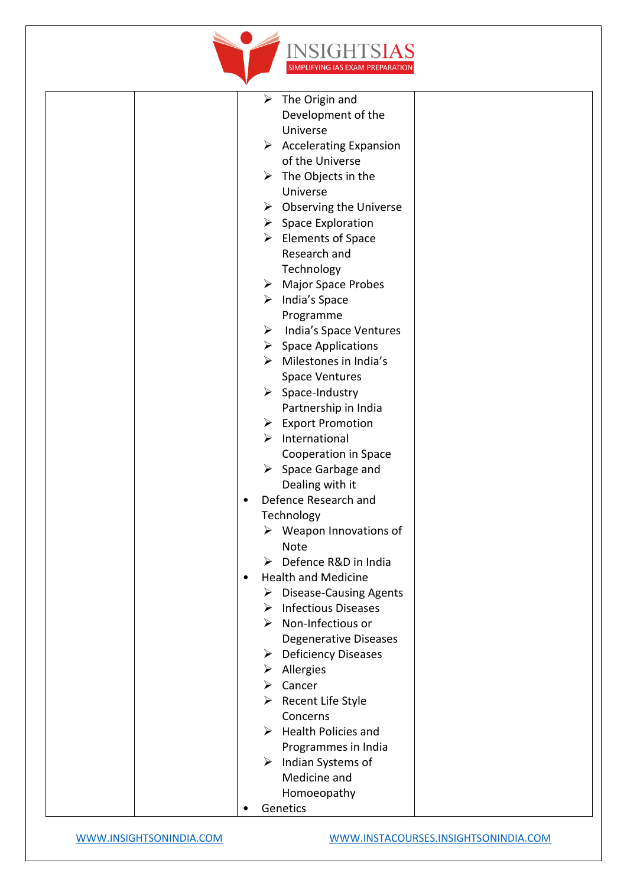

|           | $\triangleright$ The Origin and         |  |
|-----------|-----------------------------------------|--|
|           | Development of the                      |  |
|           | Universe                                |  |
|           | $\triangleright$ Accelerating Expansion |  |
|           | of the Universe                         |  |
|           | $\triangleright$ The Objects in the     |  |
|           | Universe                                |  |
|           | $\triangleright$ Observing the Universe |  |
|           | $\triangleright$ Space Exploration      |  |
|           | $\triangleright$ Elements of Space      |  |
|           | Research and                            |  |
|           | Technology                              |  |
|           | $\triangleright$ Major Space Probes     |  |
|           | $\triangleright$ India's Space          |  |
|           | Programme                               |  |
|           | $\triangleright$ India's Space Ventures |  |
|           | $\triangleright$ Space Applications     |  |
|           | $\triangleright$ Milestones in India's  |  |
|           | <b>Space Ventures</b>                   |  |
|           | $\triangleright$ Space-Industry         |  |
|           | Partnership in India                    |  |
|           | $\triangleright$ Export Promotion       |  |
|           | $\triangleright$ International          |  |
|           | Cooperation in Space                    |  |
|           | $\triangleright$ Space Garbage and      |  |
|           | Dealing with it                         |  |
| $\bullet$ | Defence Research and                    |  |
|           | Technology                              |  |
|           | Weapon Innovations of<br>➤              |  |
|           | Note                                    |  |
|           | Defence R&D in India<br>➤               |  |
| $\bullet$ | <b>Health and Medicine</b>              |  |
|           | <b>Disease-Causing Agents</b><br>➤      |  |
|           | $\triangleright$ Infectious Diseases    |  |
|           | $\triangleright$ Non-Infectious or      |  |
|           | <b>Degenerative Diseases</b>            |  |
|           | $\triangleright$ Deficiency Diseases    |  |
|           | $\triangleright$ Allergies              |  |
|           | $\triangleright$ Cancer                 |  |
|           | $\triangleright$ Recent Life Style      |  |
|           | Concerns                                |  |
|           | $\triangleright$ Health Policies and    |  |
|           | Programmes in India                     |  |
|           | $\triangleright$ Indian Systems of      |  |
|           | Medicine and                            |  |
|           | Homoeopathy                             |  |
| ٠         | Genetics                                |  |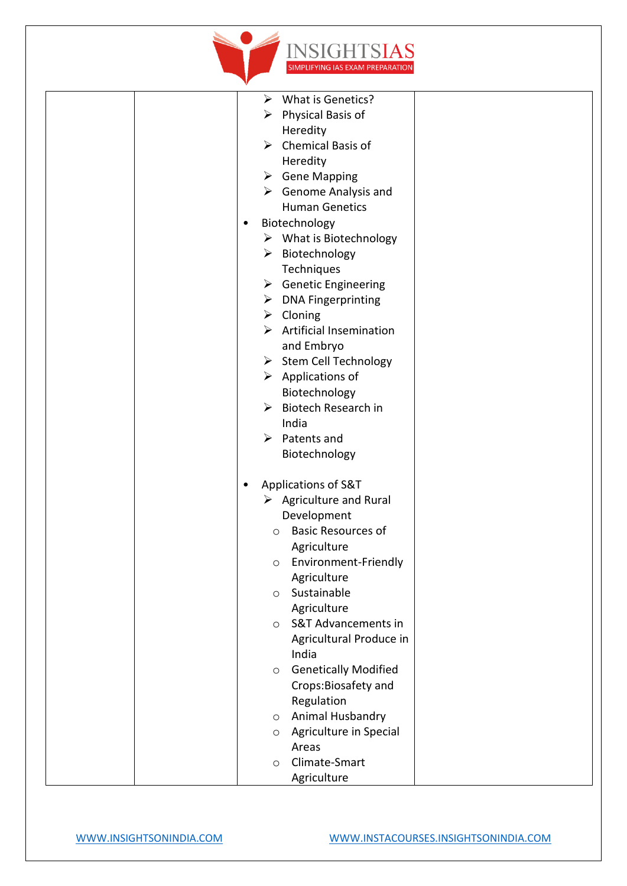

| $\triangleright$ What is Genetics?<br>$\triangleright$ Physical Basis of                                                                                        |  |
|-----------------------------------------------------------------------------------------------------------------------------------------------------------------|--|
| Heredity<br>$\triangleright$ Chemical Basis of<br>Heredity                                                                                                      |  |
| $\triangleright$ Gene Mapping<br>$\triangleright$ Genome Analysis and<br><b>Human Genetics</b><br>Biotechnology<br>٠<br>$\triangleright$ What is Biotechnology  |  |
| > Biotechnology<br>Techniques<br>$\triangleright$ Genetic Engineering<br>$\triangleright$ DNA Fingerprinting                                                    |  |
| $\triangleright$ Cloning<br>$\triangleright$ Artificial Insemination<br>and Embryo<br>$\triangleright$ Stem Cell Technology<br>$\triangleright$ Applications of |  |
| Biotechnology<br>Biotech Research in<br>$\blacktriangleright$<br>India<br>➤<br>Patents and<br>Biotechnology                                                     |  |
| Applications of S&T<br>٠<br>$\triangleright$ Agriculture and Rural<br>Development                                                                               |  |
| <b>Basic Resources of</b><br>$\circ$<br>Agriculture<br>Environment-Friendly<br>$\circ$<br>Agriculture                                                           |  |
| Sustainable<br>$\circ$<br>Agriculture<br>S&T Advancements in<br>$\circ$<br>Agricultural Produce in<br>India                                                     |  |
| <b>Genetically Modified</b><br>$\circ$<br>Crops:Biosafety and<br>Regulation<br>Animal Husbandry<br>$\circ$                                                      |  |
| Agriculture in Special<br>$\circ$<br>Areas<br>Climate-Smart<br>$\circ$<br>Agriculture                                                                           |  |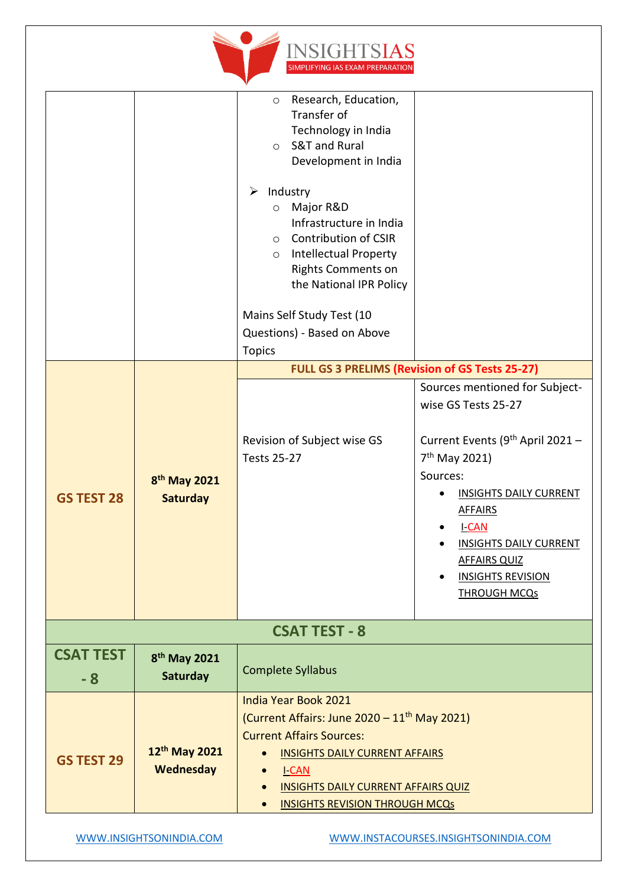

|                          |                                             | o Research, Education,<br>Transfer of<br>Technology in India<br>S&T and Rural<br>$\circ$<br>Development in India<br>Industry<br>➤<br>Major R&D<br>$\circ$<br>Infrastructure in India<br>○ Contribution of CSIR                                                      |                                                                                                                                                                                                                                                                                                                                                                       |
|--------------------------|---------------------------------------------|---------------------------------------------------------------------------------------------------------------------------------------------------------------------------------------------------------------------------------------------------------------------|-----------------------------------------------------------------------------------------------------------------------------------------------------------------------------------------------------------------------------------------------------------------------------------------------------------------------------------------------------------------------|
|                          |                                             | o Intellectual Property<br><b>Rights Comments on</b><br>the National IPR Policy                                                                                                                                                                                     |                                                                                                                                                                                                                                                                                                                                                                       |
|                          |                                             | Mains Self Study Test (10<br>Questions) - Based on Above<br><b>Topics</b>                                                                                                                                                                                           |                                                                                                                                                                                                                                                                                                                                                                       |
| <b>GS TEST 28</b>        | 8 <sup>th</sup> May 2021<br><b>Saturday</b> | Revision of Subject wise GS<br><b>Tests 25-27</b>                                                                                                                                                                                                                   | FULL GS 3 PRELIMS (Revision of GS Tests 25-27)<br>Sources mentioned for Subject-<br>wise GS Tests 25-27<br>Current Events ( $9th$ April 2021 -<br>7 <sup>th</sup> May 2021)<br>Sources:<br><b>INSIGHTS DAILY CURRENT</b><br><b>AFFAIRS</b><br><b>I-CAN</b><br><b>INSIGHTS DAILY CURRENT</b><br><b>AFFAIRS QUIZ</b><br><b>INSIGHTS REVISION</b><br><b>THROUGH MCQs</b> |
|                          |                                             | <b>CSAT TEST - 8</b>                                                                                                                                                                                                                                                |                                                                                                                                                                                                                                                                                                                                                                       |
| <b>CSAT TEST</b><br>$-8$ | 8 <sup>th</sup> May 2021<br>Saturday        | <b>Complete Syllabus</b>                                                                                                                                                                                                                                            |                                                                                                                                                                                                                                                                                                                                                                       |
| <b>GS TEST 29</b>        | 12th May 2021<br>Wednesday                  | India Year Book 2021<br>(Current Affairs: June 2020 - 11 <sup>th</sup> May 2021)<br><b>Current Affairs Sources:</b><br><b>INSIGHTS DAILY CURRENT AFFAIRS</b><br><b>I-CAN</b><br><b>INSIGHTS DAILY CURRENT AFFAIRS QUIZ</b><br><b>INSIGHTS REVISION THROUGH MCQS</b> |                                                                                                                                                                                                                                                                                                                                                                       |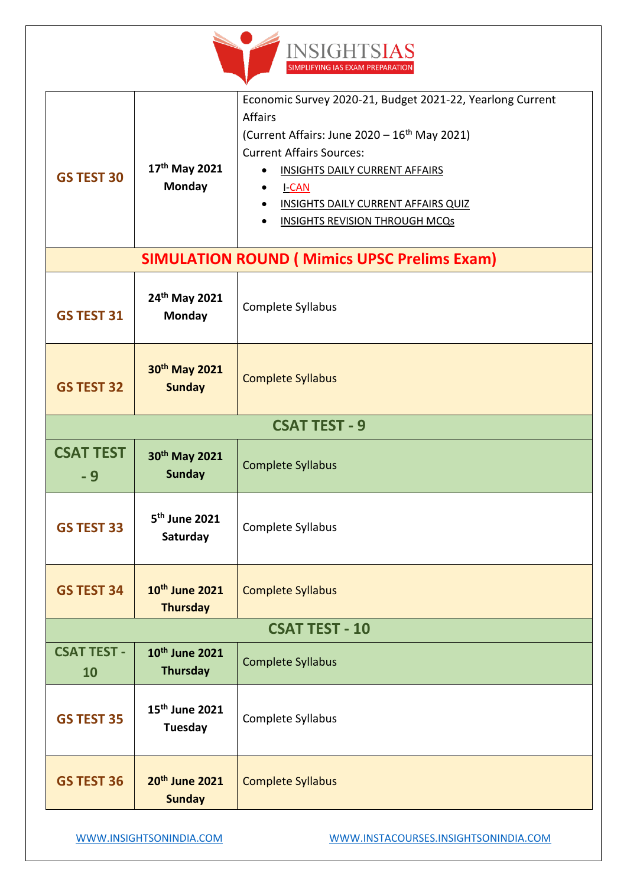

| <b>GS TEST 30</b>        | 17th May 2021<br><b>Monday</b>                | Economic Survey 2020-21, Budget 2021-22, Yearlong Current<br><b>Affairs</b><br>(Current Affairs: June 2020 - 16 <sup>th</sup> May 2021)<br><b>Current Affairs Sources:</b><br><b>INSIGHTS DAILY CURRENT AFFAIRS</b><br><b>I-CAN</b><br><b>INSIGHTS DAILY CURRENT AFFAIRS QUIZ</b><br><b>INSIGHTS REVISION THROUGH MCQs</b> |  |
|--------------------------|-----------------------------------------------|----------------------------------------------------------------------------------------------------------------------------------------------------------------------------------------------------------------------------------------------------------------------------------------------------------------------------|--|
|                          |                                               | <b>SIMULATION ROUND (Mimics UPSC Prelims Exam)</b>                                                                                                                                                                                                                                                                         |  |
| <b>GS TEST 31</b>        | 24 <sup>th</sup> May 2021<br>Monday           | Complete Syllabus                                                                                                                                                                                                                                                                                                          |  |
| <b>GS TEST 32</b>        | 30th May 2021<br><b>Sunday</b>                | <b>Complete Syllabus</b>                                                                                                                                                                                                                                                                                                   |  |
|                          |                                               | <b>CSAT TEST - 9</b>                                                                                                                                                                                                                                                                                                       |  |
| <b>CSAT TEST</b><br>$-9$ | 30th May 2021<br><b>Sunday</b>                | <b>Complete Syllabus</b>                                                                                                                                                                                                                                                                                                   |  |
| <b>GS TEST 33</b>        | 5 <sup>th</sup> June 2021<br>Saturday         | Complete Syllabus                                                                                                                                                                                                                                                                                                          |  |
| <b>GS TEST 34</b>        | 10th June 2021<br><b>Thursday</b>             | <b>Complete Syllabus</b>                                                                                                                                                                                                                                                                                                   |  |
|                          | <b>CSAT TEST - 10</b>                         |                                                                                                                                                                                                                                                                                                                            |  |
| <b>CSAT TEST -</b><br>10 | 10 <sup>th</sup> June 2021<br><b>Thursday</b> | <b>Complete Syllabus</b>                                                                                                                                                                                                                                                                                                   |  |
| <b>GS TEST 35</b>        | 15 <sup>th</sup> June 2021<br>Tuesday         | Complete Syllabus                                                                                                                                                                                                                                                                                                          |  |
| <b>GS TEST 36</b>        | 20th June 2021<br><b>Sunday</b>               | <b>Complete Syllabus</b>                                                                                                                                                                                                                                                                                                   |  |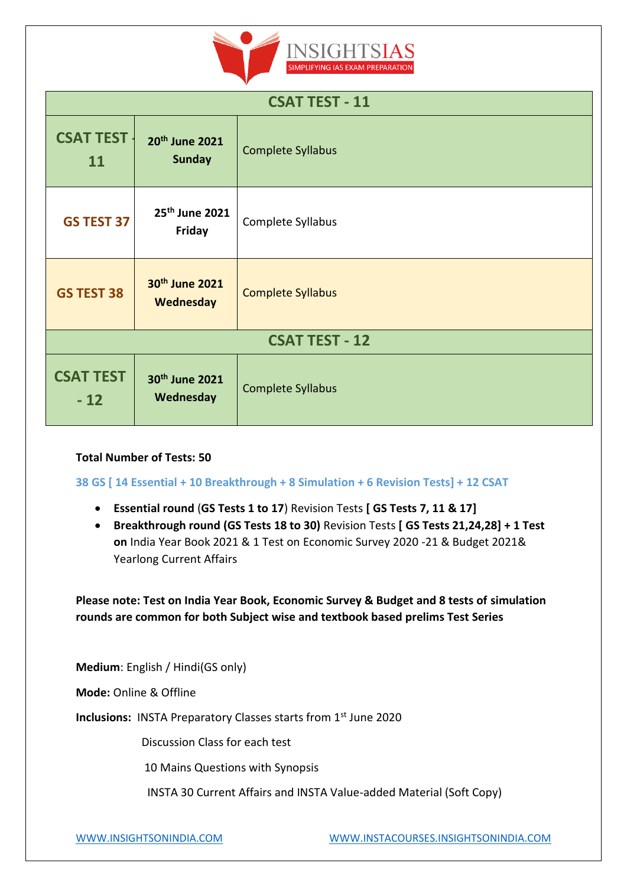

| <b>CSAT TEST - 11</b>     |                                             |                          |
|---------------------------|---------------------------------------------|--------------------------|
| <b>CSAT TEST -</b><br>11  | 20 <sup>th</sup> June 2021<br><b>Sunday</b> | <b>Complete Syllabus</b> |
| <b>GS TEST 37</b>         | 25 <sup>th</sup> June 2021<br>Friday        | Complete Syllabus        |
| <b>GS TEST 38</b>         | 30 <sup>th</sup> June 2021<br>Wednesday     | <b>Complete Syllabus</b> |
| <b>CSAT TEST - 12</b>     |                                             |                          |
| <b>CSAT TEST</b><br>$-12$ | 30 <sup>th</sup> June 2021<br>Wednesday     | <b>Complete Syllabus</b> |

# **Total Number of Tests: 50**

**38 GS [ 14 Essential + 10 Breakthrough + 8 Simulation + 6 Revision Tests] + 12 CSAT**

- **Essential round** (**GS Tests 1 to 17**) Revision Tests **[ GS Tests 7, 11 & 17]**
- **Breakthrough round (GS Tests 18 to 30)** Revision Tests **[ GS Tests 21,24,28] + 1 Test on** India Year Book 2021 & 1 Test on Economic Survey 2020 -21 & Budget 2021& Yearlong Current Affairs

**Please note: Test on India Year Book, Economic Survey & Budget and 8 tests of simulation rounds are common for both Subject wise and textbook based prelims Test Series**

**Medium**: English / Hindi(GS only)

**Mode:** Online & Offline

**Inclusions:** INSTA Preparatory Classes starts from 1<sup>st</sup> June 2020

Discussion Class for each test

10 Mains Questions with Synopsis

INSTA 30 Current Affairs and INSTA Value-added Material (Soft Copy)